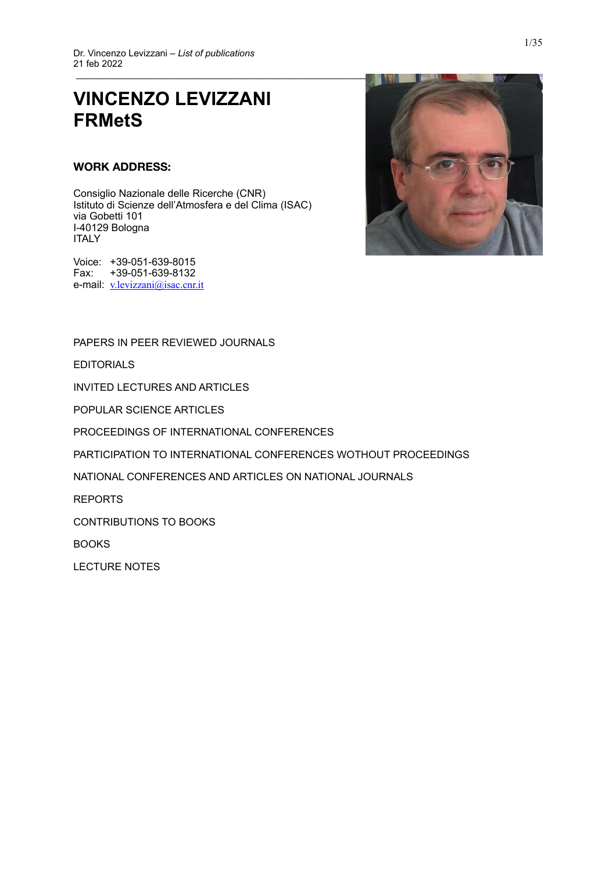# **VINCENZO LEVIZZANI FRMetS**

## **WORK ADDRESS:**

Consiglio Nazionale delle Ricerche (CNR) Istituto di Scienze dell'Atmosfera e del Clima (ISAC) via Gobetti 101 I-40129 Bologna ITALY





[PAPERS IN PEER REVIEWED JOURNALS](#page-1-0)

[EDITORIALS](#page-7-0)

[INVITED LECTURES AND ARTICLES](#page-7-1)

[POPULAR SCIENCE ARTICLES](#page-9-0)

[PROCEEDINGS OF INTERNATIONAL CONFERENCES](#page-10-0)

[PARTICIPATION TO INTERNATIONAL CONFERENCES WOTHOUT PROCEEDINGS](#page-17-0)

[NATIONAL CONFERENCES AND ARTICLES ON NATIONAL JOURNALS](#page-25-0)

[REPORTS](#page-28-0)

[CONTRIBUTIONS TO BOOKS](#page-31-0)

[BOOKS](#page-34-0)

[LECTURE NOTES](#page-34-1)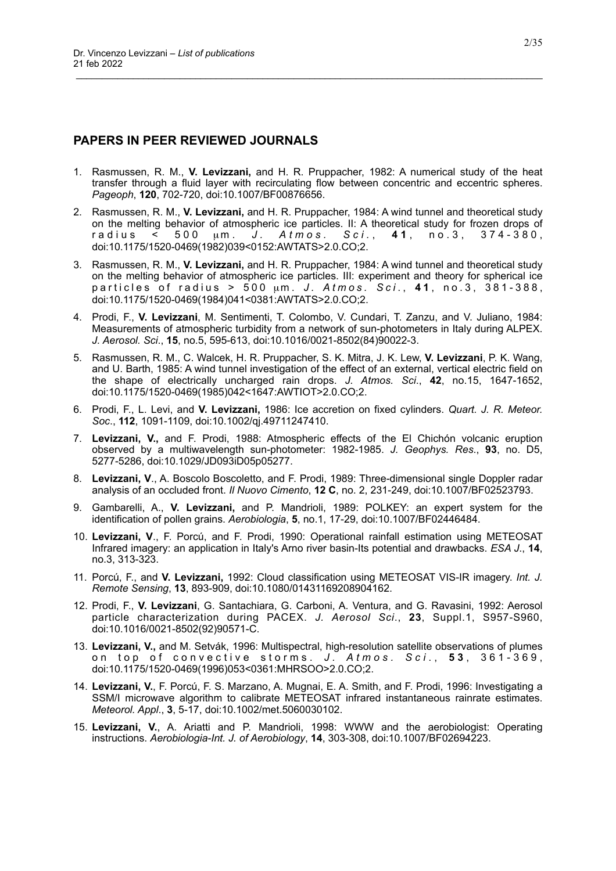# <span id="page-1-0"></span>**PAPERS IN PEER REVIEWED JOURNALS**

1. Rasmussen, R. M., **V. Levizzani,** and H. R. Pruppacher, 1982: A numerical study of the heat transfer through a fluid layer with recirculating flow between concentric and eccentric spheres. *Pageoph*, **120**, 702-720, doi:10.1007/BF00876656.

- 2. Rasmussen, R. M., **V. Levizzani,** and H. R. Pruppacher, 1984: A wind tunnel and theoretical study on the melting behavior of atmospheric ice particles. II: A theoretical study for frozen drops of r a dius < 500 µm. *J. Atmos. Sci.*, 41, no.3, 374-380, doi:10.1175/1520-0469(1982)039<0152:AWTATS>2.0.CO;2.
- 3. Rasmussen, R. M., **V. Levizzani,** and H. R. Pruppacher, 1984: A wind tunnel and theoretical study on the melting behavior of atmospheric ice particles. III: experiment and theory for spherical ice p a r ticles of radius > 500 µm. J. Atmos. Sci., 41, no. 3, 381-388, doi:10.1175/1520-0469(1984)041<0381:AWTATS>2.0.CO;2.
- 4. Prodi, F., **V. Levizzani**, M. Sentimenti, T. Colombo, V. Cundari, T. Zanzu, and V. Juliano, 1984: Measurements of atmospheric turbidity from a network of sun-photometers in Italy during ALPEX. *J. Aerosol. Sci*., **15**, no.5, 595-613, doi:10.1016/0021-8502(84)90022-3.
- 5. Rasmussen, R. M., C. Walcek, H. R. Pruppacher, S. K. Mitra, J. K. Lew, **V. Levizzani**, P. K. Wang, and U. Barth, 1985: A wind tunnel investigation of the effect of an external, vertical electric field on the shape of electrically uncharged rain drops. *J. Atmos. Sci*., **42**, no.15, 1647-1652, doi:10.1175/1520-0469(1985)042<1647:AWTIOT>2.0.CO;2.
- 6. Prodi, F., L. Levi, and **V. Levizzani,** 1986: Ice accretion on fixed cylinders. *Quart. J. R. Meteor. Soc*., **112**, 1091-1109, doi:10.1002/qj.49711247410.
- 7. **Levizzani, V.,** and F. Prodi, 1988: Atmospheric effects of the El Chichón volcanic eruption observed by a multiwavelength sun-photometer: 1982-1985. *J. Geophys. Res*., **93**, no. D5, 5277-5286, doi:10.1029/JD093iD05p05277.
- 8. **Levizzani, V**., A. Boscolo Boscoletto, and F. Prodi, 1989: Three-dimensional single Doppler radar analysis of an occluded front. *Il Nuovo Cimento*, **12 C**, no. 2, 231-249, doi:10.1007/BF02523793.
- 9. Gambarelli, A., **V. Levizzani,** and P. Mandrioli, 1989: POLKEY: an expert system for the identification of pollen grains. *Aerobiologia*, **5**, no.1, 17-29, doi:10.1007/BF02446484.
- 10. **Levizzani, V**., F. Porcú, and F. Prodi, 1990: Operational rainfall estimation using METEOSAT Infrared imagery: an application in Italy's Arno river basin-Its potential and drawbacks. *ESA J*., **14**, no.3, 313-323.
- 11. Porcú, F., and **V. Levizzani,** 1992: Cloud classification using METEOSAT VIS-IR imagery. *Int. J. Remote Sensing*, **13**, 893-909, doi:10.1080/01431169208904162.
- 12. Prodi, F., **V. Levizzani**, G. Santachiara, G. Carboni, A. Ventura, and G. Ravasini, 1992: Aerosol particle characterization during PACEX. *J. Aerosol Sci*., **23**, Suppl.1, S957-S960, doi:10.1016/0021-8502(92)90571-C.
- 13. **Levizzani, V.,** and M. Setvák, 1996: Multispectral, high-resolution satellite observations of plumes on top of convective storms. J. Atmos. Sci., 53, 361-369, doi:10.1175/1520-0469(1996)053<0361:MHRSOO>2.0.CO;2.
- 14. **Levizzani, V.**, F. Porcú, F. S. Marzano, A. Mugnai, E. A. Smith, and F. Prodi, 1996: Investigating a SSM/I microwave algorithm to calibrate METEOSAT infrared instantaneous rainrate estimates. *Meteorol. Appl*., **3**, 5-17, doi:10.1002/met.5060030102.
- 15. **Levizzani, V.**, A. Ariatti and P. Mandrioli, 1998: WWW and the aerobiologist: Operating instructions. *Aerobiologia-Int. J. of Aerobiology*, **14**, 303-308, doi:10.1007/BF02694223.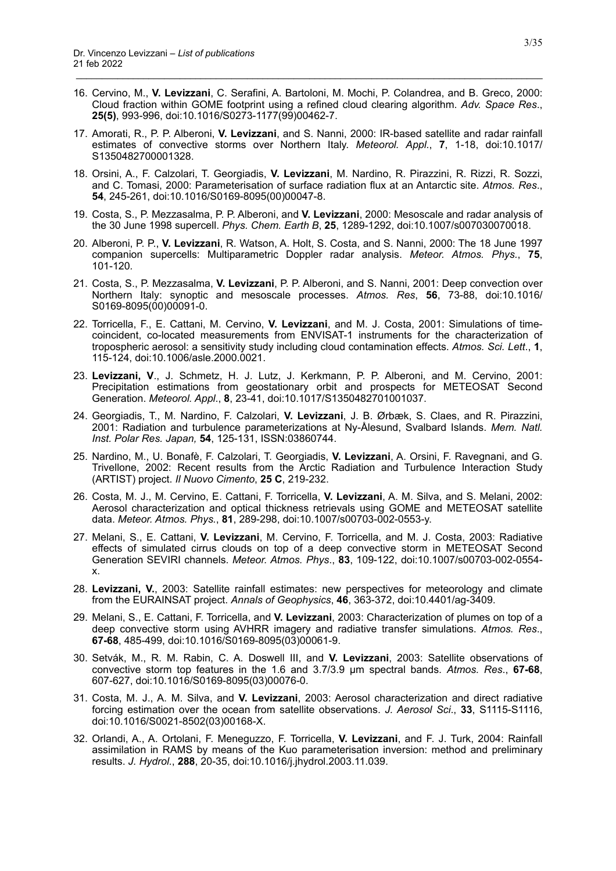16. Cervino, M., **V. Levizzani**, C. Serafini, A. Bartoloni, M. Mochi, P. Colandrea, and B. Greco, 2000: Cloud fraction within GOME footprint using a refined cloud clearing algorithm. *Adv. Space Res*., **25(5)**, 993-996, doi:10.1016/S0273-1177(99)00462-7.

- 17. Amorati, R., P. P. Alberoni, **V. Levizzani**, and S. Nanni, 2000: IR-based satellite and radar rainfall estimates of convective storms over Northern Italy. *Meteorol. Appl.*, **7**, 1-18, doi:10.1017/ S1350482700001328.
- 18. Orsini, A., F. Calzolari, T. Georgiadis, **V. Levizzani**, M. Nardino, R. Pirazzini, R. Rizzi, R. Sozzi, and C. Tomasi, 2000: Parameterisation of surface radiation flux at an Antarctic site. *Atmos. Res*., **54**, 245-261, doi:10.1016/S0169-8095(00)00047-8.
- 19. Costa, S., P. Mezzasalma, P. P. Alberoni, and **V. Levizzani**, 2000: Mesoscale and radar analysis of the 30 June 1998 supercell. *Phys. Chem. Earth B*, **25**, 1289-1292, doi:10.1007/s007030070018.
- 20. Alberoni, P. P., **V. Levizzani**, R. Watson, A. Holt, S. Costa, and S. Nanni, 2000: The 18 June 1997 companion supercells: Multiparametric Doppler radar analysis. *Meteor. Atmos. Phys.*, **75**, 101-120*.*
- 21. Costa, S., P. Mezzasalma, **V. Levizzani**, P. P. Alberoni, and S. Nanni, 2001: Deep convection over Northern Italy: synoptic and mesoscale processes. *Atmos. Res*, **56**, 73-88, doi:10.1016/ S0169-8095(00)00091-0.
- 22. Torricella, F., E. Cattani, M. Cervino, **V. Levizzani**, and M. J. Costa, 2001: Simulations of timecoincident, co-located measurements from ENVISAT-1 instruments for the characterization of tropospheric aerosol: a sensitivity study including cloud contamination effects. *Atmos. Sci. Lett*., **1**, 115-124, doi:10.1006/asle.2000.0021.
- 23. **Levizzani, V**., J. Schmetz, H. J. Lutz, J. Kerkmann, P. P. Alberoni, and M. Cervino, 2001: Precipitation estimations from geostationary orbit and prospects for METEOSAT Second Generation. *Meteorol. Appl*., **8**, 23-41, doi:10.1017/S1350482701001037.
- 24. Georgiadis, T., M. Nardino, F. Calzolari, **V. Levizzani**, J. B. Ørbæk, S. Claes, and R. Pirazzini, 2001: Radiation and turbulence parameterizations at Ny-Ålesund, Svalbard Islands. *Mem. Natl. Inst. Polar Res. Japan,* **54**, 125-131, ISSN:03860744.
- 25. Nardino, M., U. Bonafè, F. Calzolari, T. Georgiadis, **V. Levizzani**, A. Orsini, F. Ravegnani, and G. Trivellone, 2002: Recent results from the Arctic Radiation and Turbulence Interaction Study (ARTIST) project. *Il Nuovo Cimento*, **25 C**, 219-232.
- 26. Costa, M. J., M. Cervino, E. Cattani, F. Torricella, **V. Levizzani**, A. M. Silva, and S. Melani, 2002: Aerosol characterization and optical thickness retrievals using GOME and METEOSAT satellite data. *Meteor. Atmos. Phys.*, **81**, 289-298, doi:10.1007/s00703-002-0553-y.
- 27. Melani, S., E. Cattani, **V. Levizzani**, M. Cervino, F. Torricella, and M. J. Costa, 2003: Radiative effects of simulated cirrus clouds on top of a deep convective storm in METEOSAT Second Generation SEVIRI channels. *Meteor. Atmos. Phys*., **83**, 109-122, doi:10.1007/s00703-002-0554 x.
- 28. **Levizzani, V.**, 2003: Satellite rainfall estimates: new perspectives for meteorology and climate from the EURAINSAT project. *Annals of Geophysics*, **46**, 363-372, doi:10.4401/ag-3409.
- 29. Melani, S., E. Cattani, F. Torricella, and **V. Levizzani**, 2003: Characterization of plumes on top of a deep convective storm using AVHRR imagery and radiative transfer simulations. *Atmos. Res*., **67-68**, 485-499, doi:10.1016/S0169-8095(03)00061-9.
- 30. Setvák, M., R. M. Rabin, C. A. Doswell III, and **V. Levizzani**, 2003: Satellite observations of convective storm top features in the 1.6 and 3.7/3.9 µm spectral bands. *Atmos. Res*., **67-68**, 607-627, doi:10.1016/S0169-8095(03)00076-0.
- 31. Costa, M. J., A. M. Silva, and **V. Levizzani**, 2003: Aerosol characterization and direct radiative forcing estimation over the ocean from satellite observations. *J. Aerosol Sci*., **33**, S1115-S1116, doi:10.1016/S0021-8502(03)00168-X.
- 32. Orlandi, A., A. Ortolani, F. Meneguzzo, F. Torricella, **V. Levizzani**, and F. J. Turk, 2004: Rainfall assimilation in RAMS by means of the Kuo parameterisation inversion: method and preliminary results. *J. Hydrol.*, **288**, 20-35, doi:10.1016/j.jhydrol.2003.11.039.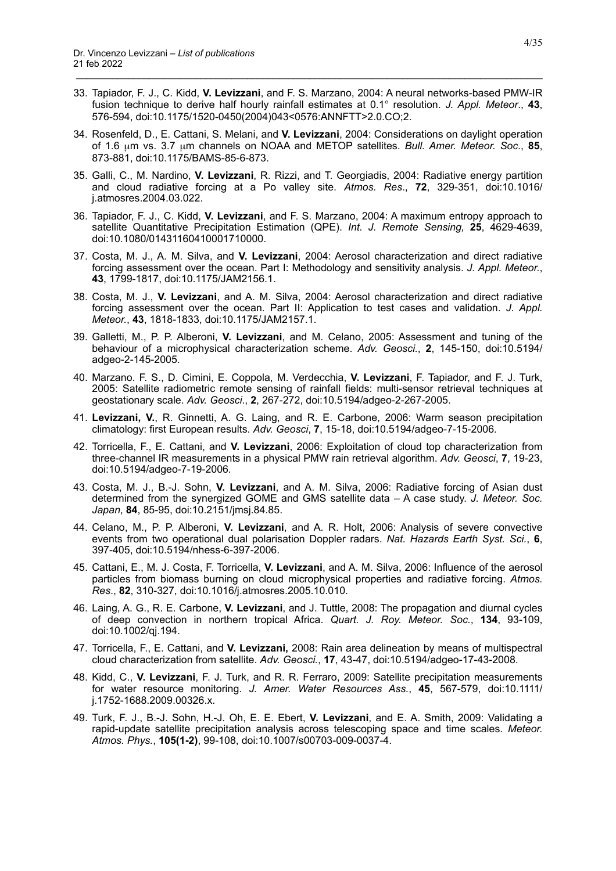33. Tapiador, F. J., C. Kidd, **V. Levizzani**, and F. S. Marzano, 2004: A neural networks-based PMW-IR fusion technique to derive half hourly rainfall estimates at 0.1° resolution. *J. Appl. Meteor*., **43**, 576-594, doi:10.1175/1520-0450(2004)043<0576:ANNFTT>2.0.CO;2.

- 34. Rosenfeld, D., E. Cattani, S. Melani, and **V. Levizzani**, 2004: Considerations on daylight operation of 1.6 µm vs. 3.7 µm channels on NOAA and METOP satellites. *Bull. Amer. Meteor. Soc*., **85**, 873-881, doi:10.1175/BAMS-85-6-873.
- 35. Galli, C., M. Nardino, **V. Levizzani**, R. Rizzi, and T. Georgiadis, 2004: Radiative energy partition and cloud radiative forcing at a Po valley site. *Atmos. Res*., **72**, 329-351, doi:10.1016/ j.atmosres.2004.03.022.
- 36. Tapiador, F. J., C. Kidd, **V. Levizzani**, and F. S. Marzano, 2004: A maximum entropy approach to satellite Quantitative Precipitation Estimation (QPE). *Int. J. Remote Sensing,* **25**, 4629-4639, doi:10.1080/01431160410001710000.
- 37. Costa, M. J., A. M. Silva, and **V. Levizzani**, 2004: Aerosol characterization and direct radiative forcing assessment over the ocean. Part I: Methodology and sensitivity analysis. *J. Appl. Meteor.*, **43**, 1799-1817, doi:10.1175/JAM2156.1.
- 38. Costa, M. J., **V. Levizzani**, and A. M. Silva, 2004: Aerosol characterization and direct radiative forcing assessment over the ocean. Part II: Application to test cases and validation. *J. Appl. Meteor.*, **43**, 1818-1833, doi:10.1175/JAM2157.1.
- 39. Galletti, M., P. P. Alberoni, **V. Levizzani**, and M. Celano, 2005: Assessment and tuning of the behaviour of a microphysical characterization scheme. *Adv. Geosci.*, **2**, 145-150, doi:10.5194/ adgeo-2-145-2005.
- 40. Marzano. F. S., D. Cimini, E. Coppola, M. Verdecchia, **V. Levizzani**, F. Tapiador, and F. J. Turk, 2005: Satellite radiometric remote sensing of rainfall fields: multi-sensor retrieval techniques at geostationary scale. *Adv. Geosci*., **2**, 267-272, doi:10.5194/adgeo-2-267-2005.
- 41. **Levizzani, V.**, R. Ginnetti, A. G. Laing, and R. E. Carbone, 2006: Warm season precipitation climatology: first European results. *Adv. Geosci*, **7**, 15-18, doi:10.5194/adgeo-7-15-2006*.*
- 42. Torricella, F., E. Cattani, and **V. Levizzani**, 2006: Exploitation of cloud top characterization from three-channel IR measurements in a physical PMW rain retrieval algorithm. *Adv. Geosci*, **7**, 19-23, doi:10.5194/adgeo-7-19-2006*.*
- 43. Costa, M. J., B.-J. Sohn, **V. Levizzani**, and A. M. Silva, 2006: Radiative forcing of Asian dust determined from the synergized GOME and GMS satellite data – A case study. *J. Meteor. Soc. Japan*, **84**, 85-95, doi:10.2151/jmsj.84.85.
- 44. Celano, M., P. P. Alberoni, **V. Levizzani**, and A. R. Holt, 2006: Analysis of severe convective events from two operational dual polarisation Doppler radars. *Nat. Hazards Earth Syst. Sci.*, **6**, 397-405, doi:10.5194/nhess-6-397-2006.
- 45. Cattani, E., M. J. Costa, F. Torricella, **V. Levizzani**, and A. M. Silva, 2006: Influence of the aerosol particles from biomass burning on cloud microphysical properties and radiative forcing. *Atmos. Res*., **82**, 310-327, doi:10.1016/j.atmosres.2005.10.010.
- 46. Laing, A. G., R. E. Carbone, **V. Levizzani**, and J. Tuttle, 2008: The propagation and diurnal cycles of deep convection in northern tropical Africa. *Quart. J. Roy. Meteor. Soc.*, **134**, 93-109, doi:10.1002/qj.194.
- 47. Torricella, F., E. Cattani, and **V. Levizzani,** 2008: Rain area delineation by means of multispectral cloud characterization from satellite. *Adv. Geosci.*, **17**, 43-47, doi:10.5194/adgeo-17-43-2008.
- 48. Kidd, C., **V. Levizzani**, F. J. Turk, and R. R. Ferraro, 2009: Satellite precipitation measurements for water resource monitoring. *J. Amer. Water Resources Ass.*, **45**, 567-579, doi:10.1111/ j.1752-1688.2009.00326.x.
- 49. Turk, F. J., B.-J. Sohn, H.-J. Oh, E. E. Ebert, **V. Levizzani**, and E. A. Smith, 2009: Validating a rapid-update satellite precipitation analysis across telescoping space and time scales. *Meteor. Atmos. Phys.*, **105(1-2)**, 99-108, doi:10.1007/s00703-009-0037-4.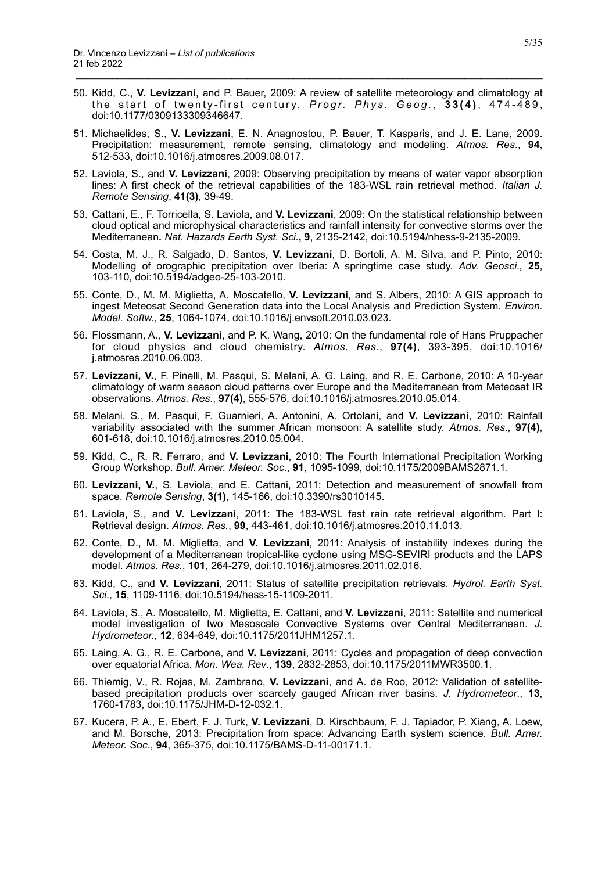50. Kidd, C., **V. Levizzani**, and P. Bauer, 2009: A review of satellite meteorology and climatology at the start of twenty-first century. *Progr. Phys. Geog.*, 33(4), 474-489, doi:10.1177/0309133309346647.

- 51. Michaelides, S., **V. Levizzani**, E. N. Anagnostou, P. Bauer, T. Kasparis, and J. E. Lane, 2009. Precipitation: measurement, remote sensing, climatology and modeling. *Atmos. Res*., **94**, 512-533, doi:10.1016/j.atmosres.2009.08.017.
- 52. Laviola, S., and **V. Levizzani**, 2009: Observing precipitation by means of water vapor absorption lines: A first check of the retrieval capabilities of the 183-WSL rain retrieval method. *Italian J. Remote Sensing*, **41(3)**, 39-49.
- 53. Cattani, E., F. Torricella, S. Laviola, and **V. Levizzani**, 2009: On the statistical relationship between cloud optical and microphysical characteristics and rainfall intensity for convective storms over the Mediterranean**.** *Nat. Hazards Earth Syst. Sci.***, 9**, 2135-2142, doi:10.5194/nhess-9-2135-2009.
- 54. Costa, M. J., R. Salgado, D. Santos, **V. Levizzani**, D. Bortoli, A. M. Silva, and P. Pinto, 2010: Modelling of orographic precipitation over Iberia: A springtime case study. *Adv. Geosci*.*,* **25**, 103-110, doi:10.5194/adgeo-25-103-2010*.*
- 55. Conte, D., M. M. Miglietta, A. Moscatello, **V. Levizzani**, and S. Albers, 2010: A GIS approach to ingest Meteosat Second Generation data into the Local Analysis and Prediction System. *Environ. Model. Softw.*, **25**, 1064-1074, doi:10.1016/j.envsoft.2010.03.023.
- 56. Flossmann, A., **V. Levizzani**, and P. K. Wang, 2010: On the fundamental role of Hans Pruppacher for cloud physics and cloud chemistry. *Atmos. Res.*, **97(4)**, 393-395, doi:10.1016/ j.atmosres.2010.06.003.
- 57. **Levizzani, V.**, F. Pinelli, M. Pasqui, S. Melani, A. G. Laing, and R. E. Carbone, 2010: A 10-year climatology of warm season cloud patterns over Europe and the Mediterranean from Meteosat IR observations. *Atmos. Res*., **97(4)**, 555-576, doi:10.1016/j.atmosres.2010.05.014.
- 58. Melani, S., M. Pasqui, F. Guarnieri, A. Antonini, A. Ortolani, and **V. Levizzani**, 2010: Rainfall variability associated with the summer African monsoon: A satellite study. *Atmos. Res*., **97(4)**, 601-618, doi:10.1016/j.atmosres.2010.05.004.
- 59. Kidd, C., R. R. Ferraro, and **V. Levizzani**, 2010: The Fourth International Precipitation Working Group Workshop. *Bull. Amer. Meteor. Soc*., **91**, 1095-1099, doi:10.1175/2009BAMS2871.1.
- 60. **Levizzani, V.**, S. Laviola, and E. Cattani, 2011: Detection and measurement of snowfall from space. *Remote Sensing*, **3(1)**, 145-166, doi:10.3390/rs3010145.
- 61. Laviola, S., and **V. Levizzani**, 2011: The 183-WSL fast rain rate retrieval algorithm. Part I: Retrieval design. *Atmos. Res.*, **99**, 443-461, doi:10.1016/j.atmosres.2010.11.013.
- 62. Conte, D., M. M. Miglietta, and **V. Levizzani**, 2011: Analysis of instability indexes during the development of a Mediterranean tropical-like cyclone using MSG-SEVIRI products and the LAPS model. *Atmos. Res.*, **101**, 264-279, doi:10.1016/j.atmosres.2011.02.016.
- 63. Kidd, C., and **V. Levizzani**, 2011: Status of satellite precipitation retrievals. *Hydrol. Earth Syst. Sci*., **15**, 1109-1116, doi:10.5194/hess-15-1109-2011.
- 64. Laviola, S., A. Moscatello, M. Miglietta, E. Cattani, and **V. Levizzani**, 2011: Satellite and numerical model investigation of two Mesoscale Convective Systems over Central Mediterranean. *J. Hydrometeor.*, **12**, 634-649, doi:10.1175/2011JHM1257.1.
- 65. Laing, A. G., R. E. Carbone, and **V. Levizzani**, 2011: Cycles and propagation of deep convection over equatorial Africa. *Mon. Wea. Rev*., **139**, 2832-2853, doi:10.1175/2011MWR3500.1.
- 66. Thiemig, V., R. Rojas, M. Zambrano, **V. Levizzani**, and A. de Roo, 2012: Validation of satellitebased precipitation products over scarcely gauged African river basins. *J. Hydrometeor*., **13**, 1760-1783, doi:10.1175/JHM-D-12-032.1.
- 67. Kucera, P. A., E. Ebert, F. J. Turk, **V. Levizzani**, D. Kirschbaum, F. J. Tapiador, P. Xiang, A. Loew, and M. Borsche, 2013: Precipitation from space: Advancing Earth system science. *Bull. Amer. Meteor. Soc.*, **94**, 365-375, doi:10.1175/BAMS-D-11-00171.1.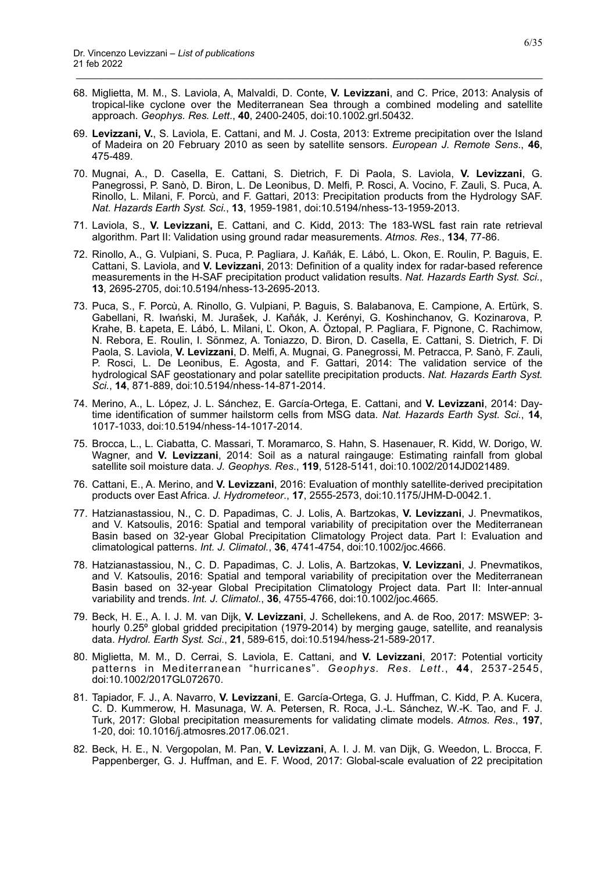68. Miglietta, M. M., S. Laviola, A, Malvaldi, D. Conte, **V. Levizzani**, and C. Price, 2013: Analysis of tropical-like cyclone over the Mediterranean Sea through a combined modeling and satellite approach. *Geophys. Res. Lett*., **40**, 2400-2405, doi:10.1002.grl.50432.

- 69. **Levizzani, V.**, S. Laviola, E. Cattani, and M. J. Costa, 2013: Extreme precipitation over the Island of Madeira on 20 February 2010 as seen by satellite sensors. *European J. Remote Sens*., **46**, 475-489.
- 70. Mugnai, A., D. Casella, E. Cattani, S. Dietrich, F. Di Paola, S. Laviola, **V. Levizzani**, G. Panegrossi, P. Sanò, D. Biron, L. De Leonibus, D. Melfi, P. Rosci, A. Vocino, F. Zauli, S. Puca, A. Rinollo, L. Milani, F. Porcù, and F. Gattari, 2013: Precipitation products from the Hydrology SAF. *Nat. Hazards Earth Syst. Sci.*, **13**, 1959-1981, doi:10.5194/nhess-13-1959-2013.
- 71. Laviola, S., **V. Levizzani,** E. Cattani, and C. Kidd, 2013: The 183-WSL fast rain rate retrieval algorithm. Part II: Validation using ground radar measurements. *Atmos. Res*., **134**, 77-86.
- 72. Rinollo, A., G. Vulpiani, S. Puca, P. Pagliara, J. Kañák, E. Lábó, L. Okon, E. Roulin, P. Baguis, E. Cattani, S. Laviola, and **V. Levizzani**, 2013: Definition of a quality index for radar-based reference measurements in the H-SAF precipitation product validation results. *Nat. Hazards Earth Syst. Sci.*, **13**, 2695-2705, doi:10.5194/nhess-13-2695-2013.
- 73. Puca, S., F. Porcù, A. Rinollo, G. Vulpiani, P. Baguis, S. Balabanova, E. Campione, A. Ertürk, S. Gabellani, R. Iwański, M. Jurašek, J. Kaňák, J. Kerényi, G. Koshinchanov, G. Kozinarova, P. Krahe, B. Łapeta, E. Lábó, L. Milani, Ľ. Okon, A. Öztopal, P. Pagliara, F. Pignone, C. Rachimow, N. Rebora, E. Roulin, I. Sönmez, A. Toniazzo, D. Biron, D. Casella, E. Cattani, S. Dietrich, F. Di Paola, S. Laviola, **V. Levizzani**, D. Melfi, A. Mugnai, G. Panegrossi, M. Petracca, P. Sanò, F. Zauli, P. Rosci, L. De Leonibus, E. Agosta, and F. Gattari, 2014: The validation service of the hydrological SAF geostationary and polar satellite precipitation products. *Nat. Hazards Earth Syst. Sci.*, **14**, 871-889, doi:10.5194/nhess-14-871-2014.
- 74. Merino, A., L. López, J. L. Sánchez, E. García-Ortega, E. Cattani, and **V. Levizzani**, 2014: Daytime identification of summer hailstorm cells from MSG data. *Nat. Hazards Earth Syst. Sci.*, **14**, 1017-1033, doi:10.5194/nhess-14-1017-2014.
- 75. Brocca, L., L. Ciabatta, C. Massari, T. Moramarco, S. Hahn, S. Hasenauer, R. Kidd, W. Dorigo, W. Wagner, and **V. Levizzani**, 2014: Soil as a natural raingauge: Estimating rainfall from global satellite soil moisture data. *J. Geophys. Res*., **119**, 5128-5141, doi:10.1002/2014JD021489.
- 76. Cattani, E., A. Merino, and **V. Levizzani**, 2016: Evaluation of monthly satellite-derived precipitation products over East Africa. *J. Hydrometeor*., **17**, 2555-2573, doi:10.1175/JHM-D-0042.1.
- 77. Hatzianastassiou, N., C. D. Papadimas, C. J. Lolis, A. Bartzokas, **V. Levizzani**, J. Pnevmatikos, and V. Katsoulis, 2016: Spatial and temporal variability of precipitation over the Mediterranean Basin based on 32-year Global Precipitation Climatology Project data. Part I: Evaluation and climatological patterns. *Int. J. Climatol.*, **36**, 4741-4754, doi:10.1002/joc.4666.
- 78. Hatzianastassiou, N., C. D. Papadimas, C. J. Lolis, A. Bartzokas, **V. Levizzani**, J. Pnevmatikos, and V. Katsoulis, 2016: Spatial and temporal variability of precipitation over the Mediterranean Basin based on 32-year Global Precipitation Climatology Project data. Part II: Inter-annual variability and trends. *Int. J. Climatol.*, **36**, 4755-4766, doi:10.1002/joc.4665.
- 79. Beck, H. E., A. I. J. M. van Dijk, **V. Levizzani**, J. Schellekens, and A. de Roo, 2017: MSWEP: 3 hourly 0.25° global gridded precipitation (1979-2014) by merging gauge, satellite, and reanalysis data. *Hydrol. Earth Syst. Sci*., **21**, 589-615, doi:10.5194/hess-21-589-2017.
- 80. Miglietta, M. M., D. Cerrai, S. Laviola, E. Cattani, and **V. Levizzani**, 2017: Potential vorticity patterns in Mediterranean "hurricanes". *Geophys. Res. Lett*., **44**, 2537-2545, doi:10.1002/2017GL072670.
- 81. Tapiador, F. J., A. Navarro, **V. Levizzani**, E. García-Ortega, G. J. Huffman, C. Kidd, P. A. Kucera, C. D. Kummerow, H. Masunaga, W. A. Petersen, R. Roca, J.-L. Sánchez, W.-K. Tao, and F. J. Turk, 2017: Global precipitation measurements for validating climate models. *Atmos. Res*., **197**, 1-20, doi: 10.1016/j.atmosres.2017.06.021.
- 82. Beck, H. E., N. Vergopolan, M. Pan, **V. Levizzani**, A. I. J. M. van Dijk, G. Weedon, L. Brocca, F. Pappenberger, G. J. Huffman, and E. F. Wood, 2017: Global-scale evaluation of 22 precipitation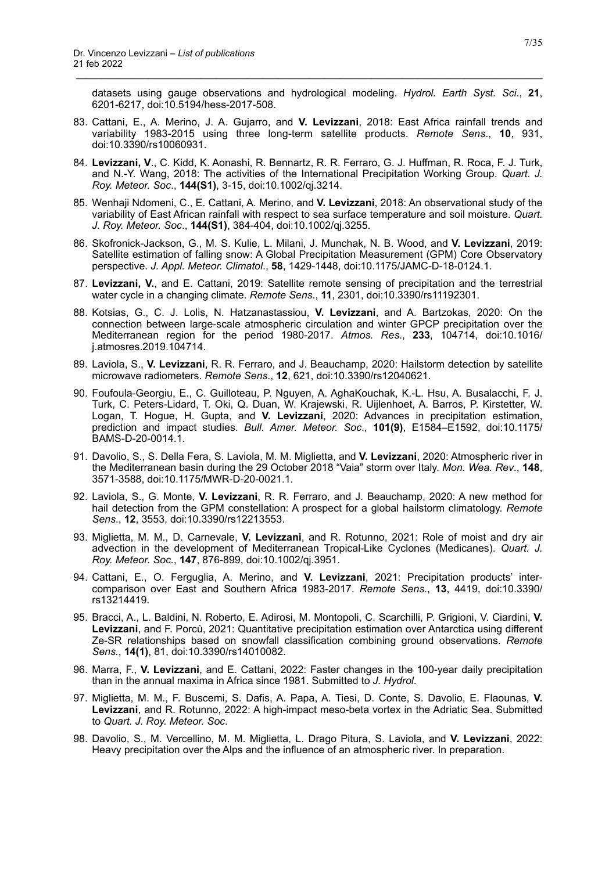datasets using gauge observations and hydrological modeling. *Hydrol. Earth Syst. Sci*., **21**, 6201-6217, doi:10.5194/hess-2017-508.

83. Cattani, E., A. Merino, J. A. Gujarro, and **V. Levizzani**, 2018: East Africa rainfall trends and variability 1983-2015 using three long-term satellite products. *Remote Sens*., **10**, 931, doi:10.3390/rs10060931.

- 84. **Levizzani, V**., C. Kidd, K. Aonashi, R. Bennartz, R. R. Ferraro, G. J. Huffman, R. Roca, F. J. Turk, and N.-Y. Wang, 2018: The activities of the International Precipitation Working Group. *Quart. J. Roy. Meteor. Soc*., **144(S1)**, 3-15, doi:10.1002/qj.3214.
- 85. Wenhaji Ndomeni, C., E. Cattani, A. Merino, and **V. Levizzani**, 2018: An observational study of the variability of East African rainfall with respect to sea surface temperature and soil moisture. *Quart. J. Roy. Meteor. Soc*., **144(S1)**, 384-404, doi:10.1002/qj.3255.
- 86. Skofronick-Jackson, G., M. S. Kulie, L. Milani, J. Munchak, N. B. Wood, and **V. Levizzani**, 2019: Satellite estimation of falling snow: A Global Precipitation Measurement (GPM) Core Observatory perspective. *J. Appl. Meteor. Climatol*., **58**, 1429-1448, doi:10.1175/JAMC-D-18-0124.1.
- 87. **Levizzani, V.**, and E. Cattani, 2019: Satellite remote sensing of precipitation and the terrestrial water cycle in a changing climate. *Remote Sens*., **11**, 2301, doi:10.3390/rs11192301.
- 88. Kotsias, G., C. J. Lolis, N. Hatzanastassiou, **V. Levizzani**, and A. Bartzokas, 2020: On the connection between large-scale atmospheric circulation and winter GPCP precipitation over the Mediterranean region for the period 1980-2017. *Atmos. Res*., **233**, 104714, doi:10.1016/ j.atmosres.2019.104714.
- 89. Laviola, S., **V. Levizzani**, R. R. Ferraro, and J. Beauchamp, 2020: Hailstorm detection by satellite microwave radiometers. *Remote Sens*., **12**, 621, doi:10.3390/rs12040621.
- 90. Foufoula-Georgiu, E., C. Guilloteau, P. Nguyen, A. AghaKouchak, K.-L. Hsu, A. Busalacchi, F. J. Turk, C. Peters-Lidard, T. Oki, Q. Duan, W. Krajewski, R. Uijlenhoet, A. Barros, P. Kirstetter, W. Logan, T. Hogue, H. Gupta, and **V. Levizzani**, 2020: Advances in precipitation estimation, prediction and impact studies. *Bull. Amer. Meteor. Soc*., **101(9)**, E1584–E1592, doi:10.1175/ BAMS-D-20-0014.1.
- 91. Davolio, S., S. Della Fera, S. Laviola, M. M. Miglietta, and **V. Levizzani**, 2020: Atmospheric river in the Mediterranean basin during the 29 October 2018 "Vaia" storm over Italy. *Mon. Wea. Rev*., **148**, 3571-3588, doi:10.1175/MWR-D-20-0021.1.
- 92. Laviola, S., G. Monte, **V. Levizzani**, R. R. Ferraro, and J. Beauchamp, 2020: A new method for hail detection from the GPM constellation: A prospect for a global hailstorm climatology. *Remote Sens*., **12**, 3553, doi:10.3390/rs12213553.
- 93. Miglietta, M. M., D. Carnevale, **V. Levizzani**, and R. Rotunno, 2021: Role of moist and dry air advection in the development of Mediterranean Tropical-Like Cyclones (Medicanes). *Quart. J. Roy. Meteor. Soc.*, **147**, 876-899, doi:10.1002/qj.3951.
- 94. Cattani, E., O. Ferguglia, A. Merino, and **V. Levizzani**, 2021: Precipitation products' intercomparison over East and Southern Africa 1983-2017. *Remote Sens*., **13**, 4419, doi:10.3390/ rs13214419.
- 95. Bracci, A., L. Baldini, N. Roberto, E. Adirosi, M. Montopoli, C. Scarchilli, P. Grigioni, V. Ciardini, **V. Levizzani**, and F. Porcù, 2021: Quantitative precipitation estimation over Antarctica using different Ze-SR relationships based on snowfall classification combining ground observations. *Remote Sens.*, **14(1)**, 81, doi:10.3390/rs14010082.
- 96. Marra, F., **V. Levizzani**, and E. Cattani, 2022: Faster changes in the 100-year daily precipitation than in the annual maxima in Africa since 1981. Submitted to *J. Hydrol*.
- 97. Miglietta, M. M., F. Buscemi, S. Dafis, A. Papa, A. Tiesi, D. Conte, S. Davolio, E. Flaounas, **V. Levizzani**, and R. Rotunno, 2022: A high-impact meso-beta vortex in the Adriatic Sea. Submitted to *Quart. J. Roy. Meteor. Soc*.
- 98. Davolio, S., M. Vercellino, M. M. Miglietta, L. Drago Pitura, S. Laviola, and **V. Levizzani**, 2022: Heavy precipitation over the Alps and the influence of an atmospheric river. In preparation.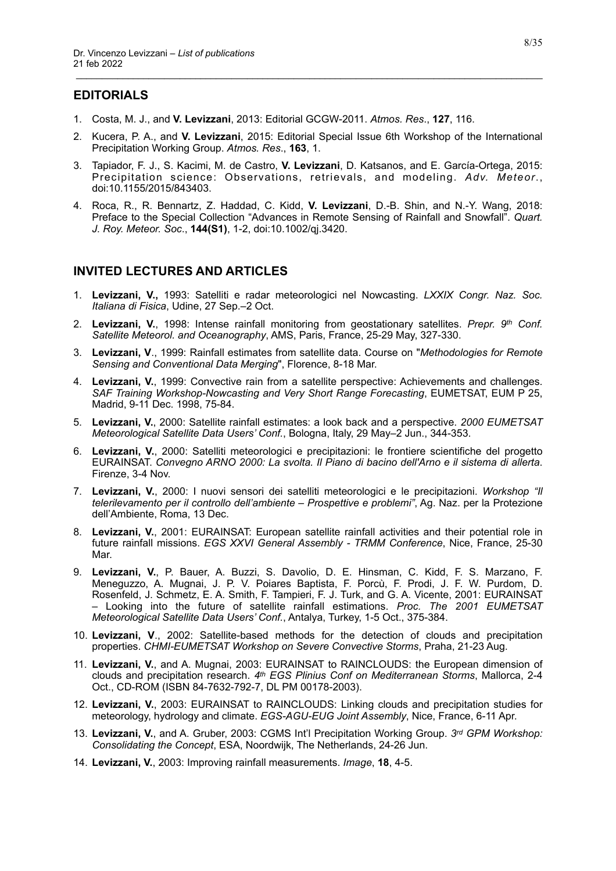# <span id="page-7-0"></span>**EDITORIALS**

- 1. Costa, M. J., and **V. Levizzani**, 2013: Editorial GCGW-2011. *Atmos. Res*., **127**, 116.
- 2. Kucera, P. A., and **V. Levizzani**, 2015: Editorial Special Issue 6th Workshop of the International Precipitation Working Group. *Atmos. Res*., **163**, 1.

\_\_\_\_\_\_\_\_\_\_\_\_\_\_\_\_\_\_\_\_\_\_\_\_\_\_\_\_\_\_\_\_\_\_\_\_\_\_\_\_\_\_\_\_\_\_\_\_\_\_\_\_\_\_\_\_\_\_\_\_\_\_\_\_\_\_\_\_\_\_\_\_\_\_\_\_\_\_\_\_\_\_\_\_\_\_\_\_\_\_

- 3. Tapiador, F. J., S. Kacimi, M. de Castro, **V. Levizzani**, D. Katsanos, and E. García-Ortega, 2015: Precipitation science: Observations, retrievals, and modeling. *Adv. Meteor*., doi:10.1155/2015/843403.
- 4. Roca, R., R. Bennartz, Z. Haddad, C. Kidd, **V. Levizzani**, D.-B. Shin, and N.-Y. Wang, 2018: Preface to the Special Collection "Advances in Remote Sensing of Rainfall and Snowfall". *Quart. J. Roy. Meteor. Soc*., **144(S1)**, 1-2, doi:10.1002/qj.3420.

# <span id="page-7-1"></span>**INVITED LECTURES AND ARTICLES**

- 1. **Levizzani, V.,** 1993: Satelliti e radar meteorologici nel Nowcasting. *LXXIX Congr. Naz. Soc. Italiana di Fisica*, Udine, 27 Sep.–2 Oct.
- 2. **Levizzani, V.**, 1998: Intense rainfall monitoring from geostationary satellites. *Prepr. 9th Conf. Satellite Meteorol. and Oceanography*, AMS, Paris, France, 25-29 May, 327-330.
- 3. **Levizzani, V**., 1999: Rainfall estimates from satellite data. Course on "*Methodologies for Remote Sensing and Conventional Data Merging*", Florence, 8-18 Mar.
- 4. **Levizzani, V.**, 1999: Convective rain from a satellite perspective: Achievements and challenges. *SAF Training Workshop-Nowcasting and Very Short Range Forecasting*, EUMETSAT, EUM P 25, Madrid, 9-11 Dec. 1998, 75-84.
- 5. **Levizzani, V.**, 2000: Satellite rainfall estimates: a look back and a perspective. *2000 EUMETSAT Meteorological Satellite Data Users' Conf.*, Bologna, Italy, 29 May–2 Jun., 344-353.
- 6. **Levizzani, V.**, 2000: Satelliti meteorologici e precipitazioni: le frontiere scientifiche del progetto EURAINSAT. *Convegno ARNO 2000: La svolta. Il Piano di bacino dell'Arno e il sistema di allerta*. Firenze, 3-4 Nov.
- 7. **Levizzani, V.**, 2000: I nuovi sensori dei satelliti meteorologici e le precipitazioni. *Workshop "Il telerilevamento per il controllo dell'ambiente – Prospettive e problemi"*, Ag. Naz. per la Protezione dell'Ambiente, Roma, 13 Dec.
- 8. **Levizzani, V.**, 2001: EURAINSAT: European satellite rainfall activities and their potential role in future rainfall missions. *EGS XXVI General Assembly - TRMM Conference*, Nice, France, 25-30 Mar.
- 9. **Levizzani, V.**, P. Bauer, A. Buzzi, S. Davolio, D. E. Hinsman, C. Kidd, F. S. Marzano, F. Meneguzzo, A. Mugnai, J. P. V. Poiares Baptista, F. Porcù, F. Prodi, J. F. W. Purdom, D. Rosenfeld, J. Schmetz, E. A. Smith, F. Tampieri, F. J. Turk, and G. A. Vicente, 2001: EURAINSAT – Looking into the future of satellite rainfall estimations. *Proc. The 2001 EUMETSAT Meteorological Satellite Data Users' Conf.*, Antalya, Turkey, 1-5 Oct., 375-384.
- 10. **Levizzani, V**., 2002: Satellite-based methods for the detection of clouds and precipitation properties. *CHMI-EUMETSAT Workshop on Severe Convective Storms*, Praha, 21-23 Aug.
- 11. **Levizzani, V.**, and A. Mugnai, 2003: EURAINSAT to RAINCLOUDS: the European dimension of clouds and precipitation research. *4th EGS Plinius Conf on Mediterranean Storms*, Mallorca, 2-4 Oct., CD-ROM (ISBN 84-7632-792-7, DL PM 00178-2003).
- 12. **Levizzani, V.**, 2003: EURAINSAT to RAINCLOUDS: Linking clouds and precipitation studies for meteorology, hydrology and climate. *EGS-AGU-EUG Joint Assembly*, Nice, France, 6-11 Apr.
- 13. **Levizzani, V.**, and A. Gruber, 2003: CGMS Int'l Precipitation Working Group. *3rd GPM Workshop: Consolidating the Concept*, ESA, Noordwijk, The Netherlands, 24-26 Jun.
- 14. **Levizzani, V.**, 2003: Improving rainfall measurements. *Image*, **18**, 4-5.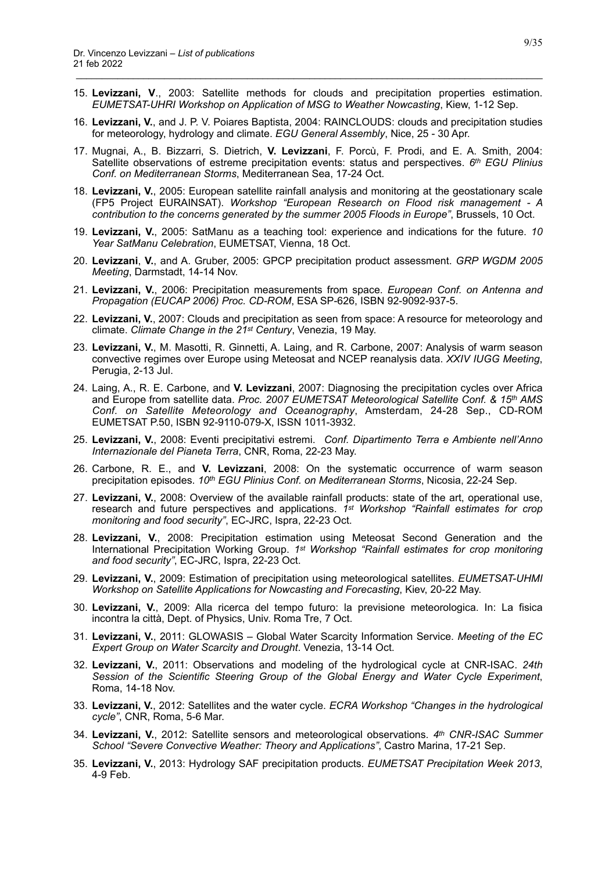15. **Levizzani, V**., 2003: Satellite methods for clouds and precipitation properties estimation. *EUMETSAT-UHRI Workshop on Application of MSG to Weather Nowcasting*, Kiew, 1-12 Sep.

- 16. **Levizzani, V.**, and J. P. V. Poiares Baptista, 2004: RAINCLOUDS: clouds and precipitation studies for meteorology, hydrology and climate. *EGU General Assembly*, Nice, 25 - 30 Apr.
- 17. Mugnai, A., B. Bizzarri, S. Dietrich, **V. Levizzani**, F. Porcù, F. Prodi, and E. A. Smith, 2004: Satellite observations of estreme precipitation events: status and perspectives. *6th EGU Plinius Conf. on Mediterranean Storms*, Mediterranean Sea, 17-24 Oct.
- 18. **Levizzani, V.**, 2005: European satellite rainfall analysis and monitoring at the geostationary scale (FP5 Project EURAINSAT). *Workshop "European Research on Flood risk management - A contribution to the concerns generated by the summer 2005 Floods in Europe"*, Brussels, 10 Oct.
- 19. **Levizzani, V.**, 2005: SatManu as a teaching tool: experience and indications for the future. *10 Year SatManu Celebration*, EUMETSAT, Vienna, 18 Oct.
- 20. **Levizzani**, **V.**, and A. Gruber, 2005: GPCP precipitation product assessment. *GRP WGDM 2005 Meeting*, Darmstadt, 14-14 Nov.
- 21. **Levizzani, V.**, 2006: Precipitation measurements from space. *European Conf. on Antenna and Propagation (EUCAP 2006) Proc. CD-ROM*, ESA SP-626, ISBN 92-9092-937-5.
- 22. **Levizzani, V.**, 2007: Clouds and precipitation as seen from space: A resource for meteorology and climate. *Climate Change in the 21st Century*, Venezia, 19 May.
- 23. **Levizzani, V.**, M. Masotti, R. Ginnetti, A. Laing, and R. Carbone, 2007: Analysis of warm season convective regimes over Europe using Meteosat and NCEP reanalysis data. *XXIV IUGG Meeting*, Perugia, 2-13 Jul.
- 24. Laing, A., R. E. Carbone, and **V. Levizzani**, 2007: Diagnosing the precipitation cycles over Africa and Europe from satellite data. *Proc. 2007 EUMETSAT Meteorological Satellite Conf. & 15th AMS Conf. on Satellite Meteorology and Oceanography*, Amsterdam, 24-28 Sep., CD-ROM EUMETSAT P.50, ISBN 92-9110-079-X, ISSN 1011-3932.
- 25. **Levizzani, V.**, 2008: Eventi precipitativi estremi. *Conf. Dipartimento Terra e Ambiente nell'Anno Internazionale del Pianeta Terra*, CNR, Roma, 22-23 May.
- 26. Carbone, R. E., and **V. Levizzani**, 2008: On the systematic occurrence of warm season precipitation episodes. *10th EGU Plinius Conf. on Mediterranean Storms*, Nicosia, 22-24 Sep.
- 27. **Levizzani, V.**, 2008: Overview of the available rainfall products: state of the art, operational use, research and future perspectives and applications. *1st Workshop "Rainfall estimates for crop monitoring and food security"*, EC-JRC, Ispra, 22-23 Oct.
- 28. **Levizzani, V.**, 2008: Precipitation estimation using Meteosat Second Generation and the International Precipitation Working Group. *1st Workshop "Rainfall estimates for crop monitoring and food security"*, EC-JRC, Ispra, 22-23 Oct.
- 29. **Levizzani, V.**, 2009: Estimation of precipitation using meteorological satellites. *EUMETSAT-UHMI Workshop on Satellite Applications for Nowcasting and Forecasting*, Kiev, 20-22 May.
- 30. **Levizzani, V.**, 2009: Alla ricerca del tempo futuro: la previsione meteorologica. In: La fisica incontra la città, Dept. of Physics, Univ. Roma Tre, 7 Oct.
- 31. **Levizzani, V.**, 2011: GLOWASIS Global Water Scarcity Information Service. *Meeting of the EC Expert Group on Water Scarcity and Drought*. Venezia, 13-14 Oct.
- 32. **Levizzani, V.**, 2011: Observations and modeling of the hydrological cycle at CNR-ISAC. *24th Session of the Scientific Steering Group of the Global Energy and Water Cycle Experiment*, Roma, 14-18 Nov.
- 33. **Levizzani, V.**, 2012: Satellites and the water cycle. *ECRA Workshop "Changes in the hydrological cycle"*, CNR, Roma, 5-6 Mar.
- 34. **Levizzani, V.**, 2012: Satellite sensors and meteorological observations. *4th CNR-ISAC Summer School "Severe Convective Weather: Theory and Applications"*, Castro Marina, 17-21 Sep.
- 35. **Levizzani, V.**, 2013: Hydrology SAF precipitation products. *EUMETSAT Precipitation Week 2013*, 4-9 Feb.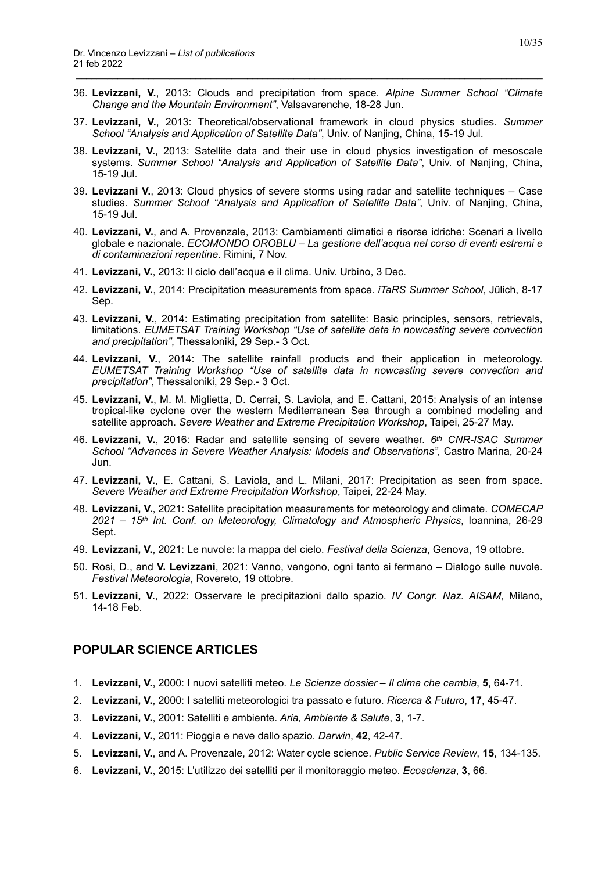36. **Levizzani, V.**, 2013: Clouds and precipitation from space. *Alpine Summer School "Climate Change and the Mountain Environment"*, Valsavarenche, 18-28 Jun.

\_\_\_\_\_\_\_\_\_\_\_\_\_\_\_\_\_\_\_\_\_\_\_\_\_\_\_\_\_\_\_\_\_\_\_\_\_\_\_\_\_\_\_\_\_\_\_\_\_\_\_\_\_\_\_\_\_\_\_\_\_\_\_\_\_\_\_\_\_\_\_\_\_\_\_\_\_\_\_\_\_\_\_\_\_\_\_\_\_\_

- 37. **Levizzani, V.**, 2013: Theoretical/observational framework in cloud physics studies. *Summer School "Analysis and Application of Satellite Data"*, Univ. of Nanjing, China, 15-19 Jul.
- 38. **Levizzani, V.**, 2013: Satellite data and their use in cloud physics investigation of mesoscale systems. *Summer School "Analysis and Application of Satellite Data"*, Univ. of Nanjing, China, 15-19 Jul.
- 39. **Levizzani V.**, 2013: Cloud physics of severe storms using radar and satellite techniques Case studies. *Summer School "Analysis and Application of Satellite Data"*, Univ. of Nanjing, China, 15-19 Jul.
- 40. **Levizzani, V.**, and A. Provenzale, 2013: Cambiamenti climatici e risorse idriche: Scenari a livello globale e nazionale. *ECOMONDO OROBLU – La gestione dell'acqua nel corso di eventi estremi e di contaminazioni repentine*. Rimini, 7 Nov.
- 41. **Levizzani, V.**, 2013: Il ciclo dell'acqua e il clima. Univ. Urbino, 3 Dec.
- 42. **Levizzani, V.**, 2014: Precipitation measurements from space. *iTaRS Summer School*, Jülich, 8-17 Sep.
- 43. **Levizzani, V.**, 2014: Estimating precipitation from satellite: Basic principles, sensors, retrievals, limitations. *EUMETSAT Training Workshop "Use of satellite data in nowcasting severe convection and precipitation"*, Thessaloniki, 29 Sep.- 3 Oct.
- 44. **Levizzani, V.**, 2014: The satellite rainfall products and their application in meteorology. *EUMETSAT Training Workshop "Use of satellite data in nowcasting severe convection and precipitation"*, Thessaloniki, 29 Sep.- 3 Oct.
- 45. **Levizzani, V.**, M. M. Miglietta, D. Cerrai, S. Laviola, and E. Cattani, 2015: Analysis of an intense tropical-like cyclone over the western Mediterranean Sea through a combined modeling and satellite approach. *Severe Weather and Extreme Precipitation Workshop*, Taipei, 25-27 May.
- 46. **Levizzani, V.**, 2016: Radar and satellite sensing of severe weather. *6th CNR-ISAC Summer School "Advances in Severe Weather Analysis: Models and Observations"*, Castro Marina, 20-24 Jun.
- 47. **Levizzani, V.**, E. Cattani, S. Laviola, and L. Milani, 2017: Precipitation as seen from space. *Severe Weather and Extreme Precipitation Workshop*, Taipei, 22-24 May.
- 48. **Levizzani, V.**, 2021: Satellite precipitation measurements for meteorology and climate. *COMECAP 2021 – 15th Int. Conf. on Meteorology, Climatology and Atmospheric Physics*, Ioannina, 26-29 Sept.
- 49. **Levizzani, V.**, 2021: Le nuvole: la mappa del cielo. *Festival della Scienza*, Genova, 19 ottobre.
- 50. Rosi, D., and **V. Levizzani**, 2021: Vanno, vengono, ogni tanto si fermano Dialogo sulle nuvole. *Festival Meteorologia*, Rovereto, 19 ottobre.
- 51. **Levizzani, V.**, 2022: Osservare le precipitazioni dallo spazio. *IV Congr. Naz. AISAM*, Milano, 14-18 Feb.

#### <span id="page-9-0"></span>**POPULAR SCIENCE ARTICLES**

- 1. **Levizzani, V.**, 2000: I nuovi satelliti meteo. *Le Scienze dossier Il clima che cambia*, **5**, 64-71.
- 2. **Levizzani, V.**, 2000: I satelliti meteorologici tra passato e futuro. *Ricerca & Futuro*, **17**, 45-47.
- 3. **Levizzani, V.**, 2001: Satelliti e ambiente*. Aria, Ambiente & Salute*, **3**, 1-7.
- 4. **Levizzani, V.**, 2011: Pioggia e neve dallo spazio. *Darwin*, **42**, 42-47.
- 5. **Levizzani, V.**, and A. Provenzale, 2012: Water cycle science. *Public Service Review*, **15**, 134-135.
- 6. **Levizzani, V.**, 2015: L'utilizzo dei satelliti per il monitoraggio meteo. *Ecoscienza*, **3**, 66.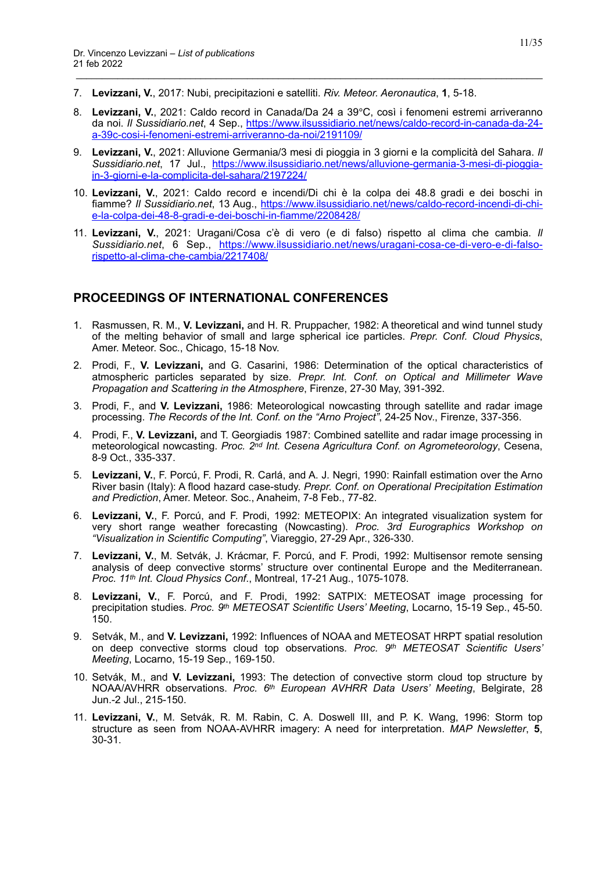- 7. **Levizzani, V.**, 2017: Nubi, precipitazioni e satelliti. *Riv. Meteor. Aeronautica*, **1**, 5-18.
- 8. **Levizzani, V.**, 2021: Caldo record in Canada/Da 24 a 39℃, così i fenomeni estremi arriveranno da noi. *Il Sussidiario.net*, 4 Sep., [https://www.ilsussidiario.net/news/caldo-record-in-canada-da-24](https://www.ilsussidiario.net/news/caldo-record-in-canada-da-24-a-39c-cosi-i-fenomeni-estremi-arriveranno-da-noi/2191109/) [a-39c-cosi-i-fenomeni-estremi-arriveranno-da-noi/2191109/](https://www.ilsussidiario.net/news/caldo-record-in-canada-da-24-a-39c-cosi-i-fenomeni-estremi-arriveranno-da-noi/2191109/)

\_\_\_\_\_\_\_\_\_\_\_\_\_\_\_\_\_\_\_\_\_\_\_\_\_\_\_\_\_\_\_\_\_\_\_\_\_\_\_\_\_\_\_\_\_\_\_\_\_\_\_\_\_\_\_\_\_\_\_\_\_\_\_\_\_\_\_\_\_\_\_\_\_\_\_\_\_\_\_\_\_\_\_\_\_\_\_\_\_\_

- 9. **Levizzani, V.**, 2021: Alluvione Germania/3 mesi di pioggia in 3 giorni e la complicità del Sahara. *Il Sussidiario.net*, 17 Jul., [https://www.ilsussidiario.net/news/alluvione-germania-3-mesi-di-pioggia](https://www.ilsussidiario.net/news/alluvione-germania-3-mesi-di-pioggia-in-3-giorni-e-la-complicita-del-sahara/2197224/)[in-3-giorni-e-la-complicita-del-sahara/2197224/](https://www.ilsussidiario.net/news/alluvione-germania-3-mesi-di-pioggia-in-3-giorni-e-la-complicita-del-sahara/2197224/)
- 10. **Levizzani, V.**, 2021: Caldo record e incendi/Di chi è la colpa dei 48.8 gradi e dei boschi in fiamme? *Il Sussidiario.net*, 13 Aug., [https://www.ilsussidiario.net/news/caldo-record-incendi-di-chi](https://www.ilsussidiario.net/news/caldo-record-incendi-di-chi-e-la-colpa-dei-48-8-gradi-e-dei-boschi-in-fiamme/2208428/)[e-la-colpa-dei-48-8-gradi-e-dei-boschi-in-fiamme/2208428/](https://www.ilsussidiario.net/news/caldo-record-incendi-di-chi-e-la-colpa-dei-48-8-gradi-e-dei-boschi-in-fiamme/2208428/)
- 11. **Levizzani, V.**, 2021: Uragani/Cosa c'è di vero (e di falso) rispetto al clima che cambia. *Il Sussidiario.net*, 6 Sep., [https://www.ilsussidiario.net/news/uragani-cosa-ce-di-vero-e-di-falso](https://www.ilsussidiario.net/news/uragani-cosa-ce-di-vero-e-di-falso-rispetto-al-clima-che-cambia/2217408/)[rispetto-al-clima-che-cambia/2217408/](https://www.ilsussidiario.net/news/uragani-cosa-ce-di-vero-e-di-falso-rispetto-al-clima-che-cambia/2217408/)

# <span id="page-10-0"></span>**PROCEEDINGS OF INTERNATIONAL CONFERENCES**

- 1. Rasmussen, R. M., **V. Levizzani,** and H. R. Pruppacher, 1982: A theoretical and wind tunnel study of the melting behavior of small and large spherical ice particles. *Prepr. Conf. Cloud Physics*, Amer. Meteor. Soc., Chicago, 15-18 Nov.
- 2. Prodi, F., **V. Levizzani,** and G. Casarini, 1986: Determination of the optical characteristics of atmospheric particles separated by size. *Prepr. Int. Conf. on Optical and Millimeter Wave Propagation and Scattering in the Atmosphere*, Firenze, 27-30 May, 391-392.
- 3. Prodi, F., and **V. Levizzani,** 1986: Meteorological nowcasting through satellite and radar image processing. *The Records of the Int. Conf. on the "Arno Project"*, 24-25 Nov., Firenze, 337-356.
- 4. Prodi, F., **V. Levizzani,** and T. Georgiadis 1987: Combined satellite and radar image processing in meteorological nowcasting. *Proc. 2nd Int. Cesena Agricultura Conf. on Agrometeorology*, Cesena, 8-9 Oct., 335-337.
- 5. **Levizzani, V.**, F. Porcú, F. Prodi, R. Carlá, and A. J. Negri, 1990: Rainfall estimation over the Arno River basin (Italy): A flood hazard case-study. *Prepr. Conf. on Operational Precipitation Estimation and Prediction*, Amer. Meteor. Soc., Anaheim, 7-8 Feb., 77-82.
- 6. **Levizzani, V.**, F. Porcú, and F. Prodi, 1992: METEOPIX: An integrated visualization system for very short range weather forecasting (Nowcasting). *Proc. 3rd Eurographics Workshop on "Visualization in Scientific Computing"*, Viareggio, 27-29 Apr., 326-330.
- 7. **Levizzani, V.**, M. Setvák, J. Krácmar, F. Porcú, and F. Prodi, 1992: Multisensor remote sensing analysis of deep convective storms' structure over continental Europe and the Mediterranean. *Proc. 11th Int. Cloud Physics Conf*., Montreal, 17-21 Aug., 1075-1078.
- 8. **Levizzani, V.**, F. Porcú, and F. Prodi, 1992: SATPIX: METEOSAT image processing for precipitation studies. *Proc. 9th METEOSAT Scientific Users' Meeting*, Locarno, 15-19 Sep., 45-50. 150.
- 9. Setvák, M., and **V. Levizzani,** 1992: Influences of NOAA and METEOSAT HRPT spatial resolution on deep convective storms cloud top observations*. Proc. 9th METEOSAT Scientific Users' Meeting*, Locarno, 15-19 Sep., 169-150.
- 10. Setvák, M., and **V. Levizzani,** 1993: The detection of convective storm cloud top structure by NOAA/AVHRR observations. *Proc. 6th European AVHRR Data Users' Meeting*, Belgirate, 28 Jun.-2 Jul., 215-150.
- 11. **Levizzani, V.**, M. Setvák, R. M. Rabin, C. A. Doswell III, and P. K. Wang, 1996: Storm top structure as seen from NOAA-AVHRR imagery: A need for interpretation. *MAP Newsletter*, **5**, 30-31.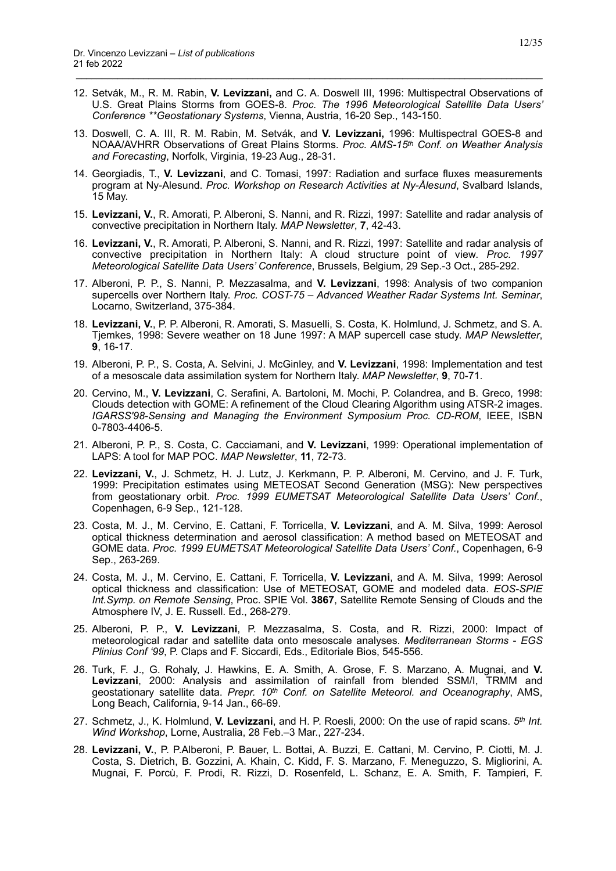12. Setvák, M., R. M. Rabin, **V. Levizzani,** and C. A. Doswell III, 1996: Multispectral Observations of U.S. Great Plains Storms from GOES-8. *Proc. The 1996 Meteorological Satellite Data Users' Conference \*\*Geostationary Systems*, Vienna, Austria, 16-20 Sep., 143-150.

- 13. Doswell, C. A. III, R. M. Rabin, M. Setvák, and **V. Levizzani,** 1996: Multispectral GOES-8 and NOAA/AVHRR Observations of Great Plains Storms. *Proc. AMS-15th Conf. on Weather Analysis and Forecasting*, Norfolk, Virginia, 19-23 Aug., 28-31.
- 14. Georgiadis, T., **V. Levizzani**, and C. Tomasi, 1997: Radiation and surface fluxes measurements program at Ny-Alesund. *Proc. Workshop on Research Activities at Ny-Ålesund*, Svalbard Islands, 15 May.
- 15. **Levizzani, V.**, R. Amorati, P. Alberoni, S. Nanni, and R. Rizzi, 1997: Satellite and radar analysis of convective precipitation in Northern Italy. *MAP Newsletter*, **7**, 42-43.
- 16. **Levizzani, V.**, R. Amorati, P. Alberoni, S. Nanni, and R. Rizzi, 1997: Satellite and radar analysis of convective precipitation in Northern Italy: A cloud structure point of view. *Proc. 1997 Meteorological Satellite Data Users' Conference*, Brussels, Belgium, 29 Sep.-3 Oct., 285-292.
- 17. Alberoni, P. P., S. Nanni, P. Mezzasalma, and **V. Levizzani**, 1998: Analysis of two companion supercells over Northern Italy. *Proc. COST-75 – Advanced Weather Radar Systems Int. Seminar*, Locarno, Switzerland, 375-384.
- 18. **Levizzani, V.**, P. P. Alberoni, R. Amorati, S. Masuelli, S. Costa, K. Holmlund, J. Schmetz, and S. A. Tjemkes, 1998: Severe weather on 18 June 1997: A MAP supercell case study. *MAP Newsletter*, **9**, 16-17.
- 19. Alberoni, P. P., S. Costa, A. Selvini, J. McGinley, and **V. Levizzani**, 1998: Implementation and test of a mesoscale data assimilation system for Northern Italy. *MAP Newsletter*, **9**, 70-71.
- 20. Cervino, M., **V. Levizzani**, C. Serafini, A. Bartoloni, M. Mochi, P. Colandrea, and B. Greco, 1998: Clouds detection with GOME: A refinement of the Cloud Clearing Algorithm using ATSR-2 images. *IGARSS'98-Sensing and Managing the Environment Symposium Proc. CD-ROM*, IEEE, ISBN 0-7803-4406-5.
- 21. Alberoni, P. P., S. Costa, C. Cacciamani, and **V. Levizzani**, 1999: Operational implementation of LAPS: A tool for MAP POC. *MAP Newsletter*, **11**, 72-73.
- 22. **Levizzani, V.**, J. Schmetz, H. J. Lutz, J. Kerkmann, P. P. Alberoni, M. Cervino, and J. F. Turk, 1999: Precipitation estimates using METEOSAT Second Generation (MSG): New perspectives from geostationary orbit. *Proc. 1999 EUMETSAT Meteorological Satellite Data Users' Conf.*, Copenhagen, 6-9 Sep., 121-128.
- 23. Costa, M. J., M. Cervino, E. Cattani, F. Torricella, **V. Levizzani**, and A. M. Silva, 1999: Aerosol optical thickness determination and aerosol classification: A method based on METEOSAT and GOME data. *Proc. 1999 EUMETSAT Meteorological Satellite Data Users' Conf.*, Copenhagen, 6-9 Sep., 263-269.
- 24. Costa, M. J., M. Cervino, E. Cattani, F. Torricella, **V. Levizzani**, and A. M. Silva, 1999: Aerosol optical thickness and classification: Use of METEOSAT, GOME and modeled data. *EOS-SPIE Int.Symp. on Remote Sensing*, Proc. SPIE Vol. **3867**, Satellite Remote Sensing of Clouds and the Atmosphere IV, J. E. Russell. Ed., 268-279.
- 25. Alberoni, P. P., **V. Levizzani**, P. Mezzasalma, S. Costa, and R. Rizzi, 2000: Impact of meteorological radar and satellite data onto mesoscale analyses. *Mediterranean Storms* - *EGS Plinius Conf '99*, P. Claps and F. Siccardi, Eds., Editoriale Bios, 545-556.
- 26. Turk, F. J., G. Rohaly, J. Hawkins, E. A. Smith, A. Grose, F. S. Marzano, A. Mugnai, and **V. Levizzani**, 2000: Analysis and assimilation of rainfall from blended SSM/I, TRMM and geostationary satellite data. *Prepr. 10th Conf. on Satellite Meteorol. and Oceanography*, AMS, Long Beach, California, 9-14 Jan., 66-69.
- 27. Schmetz, J., K. Holmlund, **V. Levizzani**, and H. P. Roesli, 2000: On the use of rapid scans. *5th Int. Wind Workshop*, Lorne, Australia, 28 Feb.–3 Mar., 227-234.
- 28. **Levizzani, V.**, P. P.Alberoni, P. Bauer, L. Bottai, A. Buzzi, E. Cattani, M. Cervino, P. Ciotti, M. J. Costa, S. Dietrich, B. Gozzini, A. Khain, C. Kidd, F. S. Marzano, F. Meneguzzo, S. Migliorini, A. Mugnai, F. Porcù, F. Prodi, R. Rizzi, D. Rosenfeld, L. Schanz, E. A. Smith, F. Tampieri, F.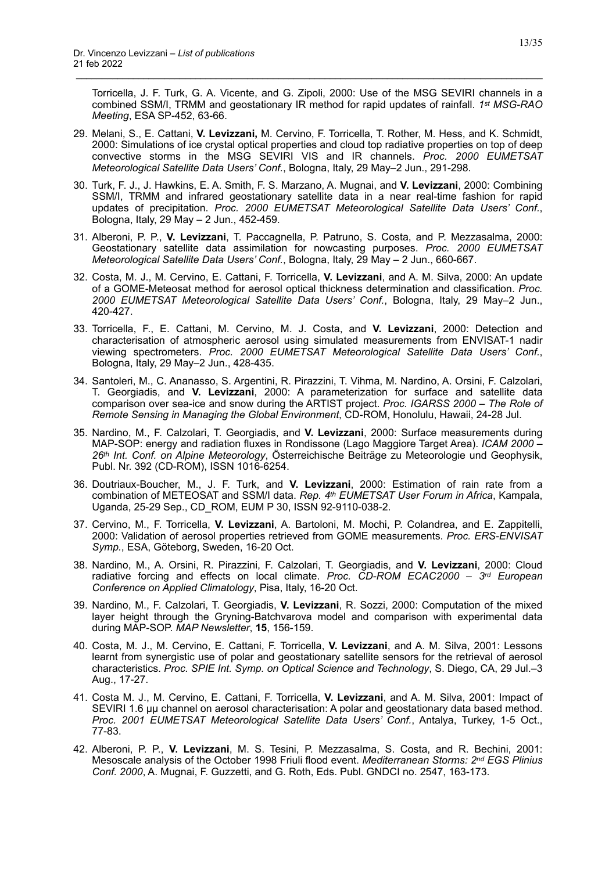Torricella, J. F. Turk, G. A. Vicente, and G. Zipoli, 2000: Use of the MSG SEVIRI channels in a combined SSM/I, TRMM and geostationary IR method for rapid updates of rainfall. *1st MSG-RAO Meeting*, ESA SP-452, 63-66.

29. Melani, S., E. Cattani, **V. Levizzani,** M. Cervino, F. Torricella, T. Rother, M. Hess, and K. Schmidt, 2000: Simulations of ice crystal optical properties and cloud top radiative properties on top of deep convective storms in the MSG SEVIRI VIS and IR channels. *Proc. 2000 EUMETSAT Meteorological Satellite Data Users' Conf.*, Bologna, Italy, 29 May–2 Jun., 291-298.

- 30. Turk, F. J., J. Hawkins, E. A. Smith, F. S. Marzano, A. Mugnai, and **V. Levizzani**, 2000: Combining SSM/I, TRMM and infrared geostationary satellite data in a near real-time fashion for rapid updates of precipitation. *Proc. 2000 EUMETSAT Meteorological Satellite Data Users' Conf.*, Bologna, Italy, 29 May – 2 Jun., 452-459.
- 31. Alberoni, P. P., **V. Levizzani**, T. Paccagnella, P. Patruno, S. Costa, and P. Mezzasalma, 2000: Geostationary satellite data assimilation for nowcasting purposes. *Proc. 2000 EUMETSAT Meteorological Satellite Data Users' Conf.*, Bologna, Italy, 29 May – 2 Jun., 660-667.
- 32. Costa, M. J., M. Cervino, E. Cattani, F. Torricella, **V. Levizzani**, and A. M. Silva, 2000: An update of a GOME-Meteosat method for aerosol optical thickness determination and classification. *Proc. 2000 EUMETSAT Meteorological Satellite Data Users' Conf.*, Bologna, Italy, 29 May–2 Jun., 420-427.
- 33. Torricella, F., E. Cattani, M. Cervino, M. J. Costa, and **V. Levizzani**, 2000: Detection and characterisation of atmospheric aerosol using simulated measurements from ENVISAT-1 nadir viewing spectrometers. *Proc. 2000 EUMETSAT Meteorological Satellite Data Users' Conf.*, Bologna, Italy, 29 May–2 Jun., 428-435.
- 34. Santoleri, M., C. Ananasso, S. Argentini, R. Pirazzini, T. Vihma, M. Nardino, A. Orsini, F. Calzolari, T. Georgiadis, and **V. Levizzani**, 2000: A parameterization for surface and satellite data comparison over sea-ice and snow during the ARTIST project. *Proc. IGARSS 2000 – The Role of Remote Sensing in Managing the Global Environment*, CD-ROM, Honolulu, Hawaii, 24-28 Jul.
- 35. Nardino, M., F. Calzolari, T. Georgiadis, and **V. Levizzani**, 2000: Surface measurements during MAP-SOP: energy and radiation fluxes in Rondissone (Lago Maggiore Target Area). *ICAM 2000 – 26th Int. Conf. on Alpine Meteorology*, Österreichische Beiträge zu Meteorologie und Geophysik, Publ. Nr. 392 (CD-ROM), ISSN 1016-6254.
- 36. Doutriaux-Boucher, M., J. F. Turk, and **V. Levizzani**, 2000: Estimation of rain rate from a combination of METEOSAT and SSM/I data. *Rep. 4th EUMETSAT User Forum in Africa*, Kampala, Uganda, 25-29 Sep., CD\_ROM, EUM P 30, ISSN 92-9110-038-2.
- 37. Cervino, M., F. Torricella, **V. Levizzani**, A. Bartoloni, M. Mochi, P. Colandrea, and E. Zappitelli, 2000: Validation of aerosol properties retrieved from GOME measurements. *Proc. ERS-ENVISAT Symp.*, ESA, Göteborg, Sweden, 16-20 Oct.
- 38. Nardino, M., A. Orsini, R. Pirazzini, F. Calzolari, T. Georgiadis, and **V. Levizzani**, 2000: Cloud radiative forcing and effects on local climate. *Proc. CD-ROM ECAC2000 – 3rd European Conference on Applied Climatology*, Pisa, Italy, 16-20 Oct.
- 39. Nardino, M., F. Calzolari, T. Georgiadis, **V. Levizzani**, R. Sozzi, 2000: Computation of the mixed layer height through the Gryning-Batchvarova model and comparison with experimental data during MAP-SOP. *MAP Newsletter*, **15**, 156-159.
- 40. Costa, M. J., M. Cervino, E. Cattani, F. Torricella, **V. Levizzani**, and A. M. Silva, 2001: Lessons learnt from synergistic use of polar and geostationary satellite sensors for the retrieval of aerosol characteristics. *Proc. SPIE Int. Symp. on Optical Science and Technology*, S. Diego, CA, 29 Jul.–3 Aug., 17-27.
- 41. Costa M. J., M. Cervino, E. Cattani, F. Torricella, **V. Levizzani**, and A. M. Silva, 2001: Impact of SEVIRI 1.6 µµ channel on aerosol characterisation: A polar and geostationary data based method. *Proc. 2001 EUMETSAT Meteorological Satellite Data Users' Conf.*, Antalya, Turkey, 1-5 Oct., 77-83.
- 42. Alberoni, P. P., **V. Levizzani**, M. S. Tesini, P. Mezzasalma, S. Costa, and R. Bechini, 2001: Mesoscale analysis of the October 1998 Friuli flood event. *Mediterranean Storms: 2nd EGS Plinius Conf. 2000*, A. Mugnai, F. Guzzetti, and G. Roth, Eds. Publ. GNDCI no. 2547, 163-173.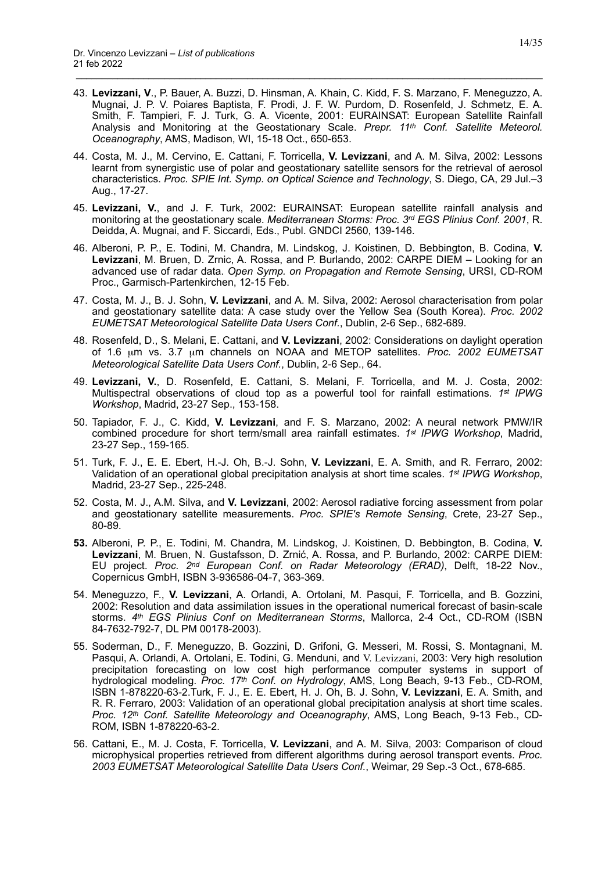43. **Levizzani, V**., P. Bauer, A. Buzzi, D. Hinsman, A. Khain, C. Kidd, F. S. Marzano, F. Meneguzzo, A. Mugnai, J. P. V. Poiares Baptista, F. Prodi, J. F. W. Purdom, D. Rosenfeld, J. Schmetz, E. A. Smith, F. Tampieri, F. J. Turk, G. A. Vicente, 2001: EURAINSAT: European Satellite Rainfall Analysis and Monitoring at the Geostationary Scale. *Prepr. 11th Conf. Satellite Meteorol. Oceanography*, AMS, Madison, WI, 15-18 Oct., 650-653.

- 44. Costa, M. J., M. Cervino, E. Cattani, F. Torricella, **V. Levizzani**, and A. M. Silva, 2002: Lessons learnt from synergistic use of polar and geostationary satellite sensors for the retrieval of aerosol characteristics. *Proc. SPIE Int. Symp. on Optical Science and Technology*, S. Diego, CA, 29 Jul.–3 Aug., 17-27.
- 45. **Levizzani, V.**, and J. F. Turk, 2002: EURAINSAT: European satellite rainfall analysis and monitoring at the geostationary scale. *Mediterranean Storms: Proc. 3rd EGS Plinius Conf. 2001*, R. Deidda, A. Mugnai, and F. Siccardi, Eds., Publ. GNDCI 2560, 139-146.
- 46. Alberoni, P. P., E. Todini, M. Chandra, M. Lindskog, J. Koistinen, D. Bebbington, B. Codina, **V. Levizzani**, M. Bruen, D. Zrnic, A. Rossa, and P. Burlando, 2002: CARPE DIEM – Looking for an advanced use of radar data. *Open Symp. on Propagation and Remote Sensing*, URSI, CD-ROM Proc., Garmisch-Partenkirchen, 12-15 Feb.
- 47. Costa, M. J., B. J. Sohn, **V. Levizzani**, and A. M. Silva, 2002: Aerosol characterisation from polar and geostationary satellite data: A case study over the Yellow Sea (South Korea). *Proc. 2002 EUMETSAT Meteorological Satellite Data Users Conf.*, Dublin, 2-6 Sep., 682-689.
- 48. Rosenfeld, D., S. Melani, E. Cattani, and **V. Levizzani**, 2002: Considerations on daylight operation of 1.6 µm vs. 3.7 µm channels on NOAA and METOP satellites. *Proc. 2002 EUMETSAT Meteorological Satellite Data Users Conf.*, Dublin, 2-6 Sep., 64.
- 49. **Levizzani, V.**, D. Rosenfeld, E. Cattani, S. Melani, F. Torricella, and M. J. Costa, 2002: Multispectral observations of cloud top as a powerful tool for rainfall estimations. *1st IPWG Workshop*, Madrid, 23-27 Sep., 153-158.
- 50. Tapiador, F. J., C. Kidd, **V. Levizzani**, and F. S. Marzano, 2002: A neural network PMW/IR combined procedure for short term/small area rainfall estimates. *1st IPWG Workshop*, Madrid, 23-27 Sep., 159-165.
- 51. Turk, F. J., E. E. Ebert, H.-J. Oh, B.-J. Sohn, **V. Levizzani**, E. A. Smith, and R. Ferraro, 2002: Validation of an operational global precipitation analysis at short time scales. *1st IPWG Workshop*, Madrid, 23-27 Sep., 225-248.
- 52. Costa, M. J., A.M. Silva, and **V. Levizzani**, 2002: Aerosol radiative forcing assessment from polar and geostationary satellite measurements. *Proc. SPIE's Remote Sensing*, Crete, 23-27 Sep., 80-89.
- **53.** Alberoni, P. P., E. Todini, M. Chandra, M. Lindskog, J. Koistinen, D. Bebbington, B. Codina, **V. Levizzani**, M. Bruen, N. Gustafsson, D. Zrnić, A. Rossa, and P. Burlando, 2002: CARPE DIEM: EU project. *Proc. 2nd European Conf. on Radar Meteorology (ERAD)*, Delft, 18-22 Nov., Copernicus GmbH, ISBN 3-936586-04-7, 363-369.
- 54. Meneguzzo, F., **V. Levizzani**, A. Orlandi, A. Ortolani, M. Pasqui, F. Torricella, and B. Gozzini, 2002: Resolution and data assimilation issues in the operational numerical forecast of basin-scale storms. *4th EGS Plinius Conf on Mediterranean Storms*, Mallorca, 2-4 Oct., CD-ROM (ISBN 84-7632-792-7, DL PM 00178-2003).
- 55. Soderman, D., F. Meneguzzo, B. Gozzini, D. Grifoni, G. Messeri, M. Rossi, S. Montagnani, M. Pasqui, A. Orlandi, A. Ortolani, E. Todini, G. Menduni, and V. Levizzani, 2003: Very high resolution precipitation forecasting on low cost high performance computer systems in support of hydrological modeling. *Proc. 17th Conf. on Hydrology*, AMS, Long Beach, 9-13 Feb., CD-ROM, ISBN 1-878220-63-2.Turk, F. J., E. E. Ebert, H. J. Oh, B. J. Sohn, **V. Levizzani**, E. A. Smith, and R. R. Ferraro, 2003: Validation of an operational global precipitation analysis at short time scales. *Proc. 12th Conf. Satellite Meteorology and Oceanography*, AMS, Long Beach, 9-13 Feb., CD-ROM, ISBN 1-878220-63-2.
- 56. Cattani, E., M. J. Costa, F. Torricella, **V. Levizzani**, and A. M. Silva, 2003: Comparison of cloud microphysical properties retrieved from different algorithms during aerosol transport events. *Proc. 2003 EUMETSAT Meteorological Satellite Data Users Conf.*, Weimar, 29 Sep.-3 Oct., 678-685.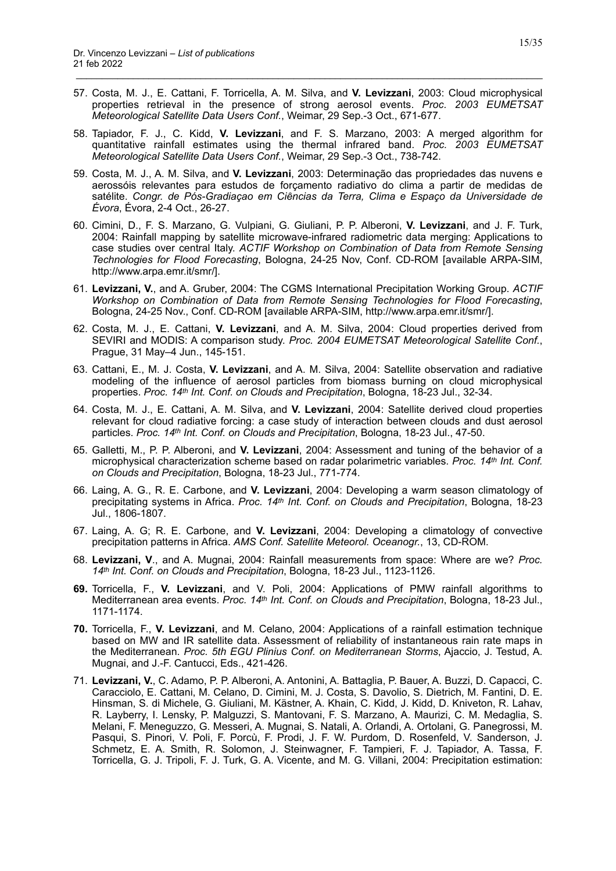57. Costa, M. J., E. Cattani, F. Torricella, A. M. Silva, and **V. Levizzani**, 2003: Cloud microphysical properties retrieval in the presence of strong aerosol events. *Proc. 2003 EUMETSAT Meteorological Satellite Data Users Conf.*, Weimar, 29 Sep.-3 Oct., 671-677.

- 58. Tapiador, F. J., C. Kidd, **V. Levizzani**, and F. S. Marzano, 2003: A merged algorithm for quantitative rainfall estimates using the thermal infrared band. *Proc. 2003 EUMETSAT Meteorological Satellite Data Users Conf.*, Weimar, 29 Sep.-3 Oct., 738-742.
- 59. Costa, M. J., A. M. Silva, and **V. Levizzani**, 2003: Determinação das propriedades das nuvens e aerossóis relevantes para estudos de forçamento radiativo do clima a partir de medidas de satélite. Congr. de Pós-Gradiaçao em Ciências da Terra, Clima e Espaço da Universidade de *Évora*, Évora, 2-4 Oct., 26-27.
- 60. Cimini, D., F. S. Marzano, G. Vulpiani, G. Giuliani, P. P. Alberoni, **V. Levizzani**, and J. F. Turk, 2004: Rainfall mapping by satellite microwave-infrared radiometric data merging: Applications to case studies over central Italy. *ACTIF Workshop on Combination of Data from Remote Sensing Technologies for Flood Forecasting*, Bologna, 24-25 Nov, Conf. CD-ROM [available ARPA-SIM, http://www.arpa.emr.it/smr/].
- 61. **Levizzani, V.**, and A. Gruber, 2004: The CGMS International Precipitation Working Group. *ACTIF Workshop on Combination of Data from Remote Sensing Technologies for Flood Forecasting*, Bologna, 24-25 Nov., Conf. CD-ROM [available ARPA-SIM, http://www.arpa.emr.it/smr/].
- 62. Costa, M. J., E. Cattani, **V. Levizzani**, and A. M. Silva, 2004: Cloud properties derived from SEVIRI and MODIS: A comparison study. *Proc. 2004 EUMETSAT Meteorological Satellite Conf.*, Prague, 31 May–4 Jun., 145-151.
- 63. Cattani, E., M. J. Costa, **V. Levizzani**, and A. M. Silva, 2004: Satellite observation and radiative modeling of the influence of aerosol particles from biomass burning on cloud microphysical properties. *Proc. 14th Int. Conf. on Clouds and Precipitation*, Bologna, 18-23 Jul., 32-34.
- 64. Costa, M. J., E. Cattani, A. M. Silva, and **V. Levizzani**, 2004: Satellite derived cloud properties relevant for cloud radiative forcing: a case study of interaction between clouds and dust aerosol particles. *Proc. 14th Int. Conf. on Clouds and Precipitation*, Bologna, 18-23 Jul., 47-50.
- 65. Galletti, M., P. P. Alberoni, and **V. Levizzani**, 2004: Assessment and tuning of the behavior of a microphysical characterization scheme based on radar polarimetric variables. *Proc. 14th Int. Conf. on Clouds and Precipitation*, Bologna, 18-23 Jul., 771-774.
- 66. Laing, A. G., R. E. Carbone, and **V. Levizzani**, 2004: Developing a warm season climatology of precipitating systems in Africa. *Proc. 14th Int. Conf. on Clouds and Precipitation*, Bologna, 18-23 Jul., 1806-1807.
- 67. Laing, A. G; R. E. Carbone, and **V. Levizzani**, 2004: Developing a climatology of convective precipitation patterns in Africa. *AMS Conf. Satellite Meteorol. Oceanogr.*, 13, CD-ROM.
- 68. **Levizzani, V**., and A. Mugnai, 2004: Rainfall measurements from space: Where are we? *Proc. 14th Int. Conf. on Clouds and Precipitation*, Bologna, 18-23 Jul., 1123-1126.
- **69.** Torricella, F., **V. Levizzani**, and V. Poli, 2004: Applications of PMW rainfall algorithms to Mediterranean area events. *Proc. 14th Int. Conf. on Clouds and Precipitation*, Bologna, 18-23 Jul., 1171-1174.
- **70.** Torricella, F., **V. Levizzani**, and M. Celano, 2004: Applications of a rainfall estimation technique based on MW and IR satellite data. Assessment of reliability of instantaneous rain rate maps in the Mediterranean. *Proc. 5th EGU Plinius Conf. on Mediterranean Storms*, Ajaccio, J. Testud, A. Mugnai, and J.-F. Cantucci, Eds., 421-426.
- 71. **Levizzani, V.**, C. Adamo, P. P. Alberoni, A. Antonini, A. Battaglia, P. Bauer, A. Buzzi, D. Capacci, C. Caracciolo, E. Cattani, M. Celano, D. Cimini, M. J. Costa, S. Davolio, S. Dietrich, M. Fantini, D. E. Hinsman, S. di Michele, G. Giuliani, M. Kästner, A. Khain, C. Kidd, J. Kidd, D. Kniveton, R. Lahav, R. Layberry, I. Lensky, P. Malguzzi, S. Mantovani, F. S. Marzano, A. Maurizi, C. M. Medaglia, S. Melani, F. Meneguzzo, G. Messeri, A. Mugnai, S. Natali, A. Orlandi, A. Ortolani, G. Panegrossi, M. Pasqui, S. Pinori, V. Poli, F. Porcù, F. Prodi, J. F. W. Purdom, D. Rosenfeld, V. Sanderson, J. Schmetz, E. A. Smith, R. Solomon, J. Steinwagner, F. Tampieri, F. J. Tapiador, A. Tassa, F. Torricella, G. J. Tripoli, F. J. Turk, G. A. Vicente, and M. G. Villani, 2004: Precipitation estimation: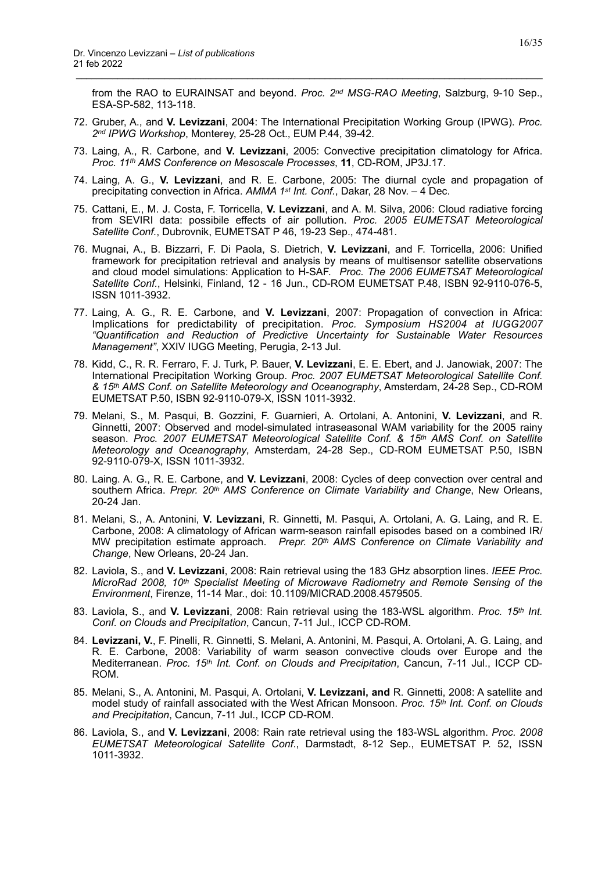from the RAO to EURAINSAT and beyond. *Proc. 2nd MSG-RAO Meeting*, Salzburg, 9-10 Sep., ESA-SP-582, 113-118.

72. Gruber, A., and **V. Levizzani**, 2004: The International Precipitation Working Group (IPWG). *Proc. 2nd IPWG Workshop*, Monterey, 25-28 Oct., EUM P.44, 39-42.

- 73. Laing, A., R. Carbone, and **V. Levizzani**, 2005: Convective precipitation climatology for Africa. *Proc. 11th AMS Conference on Mesoscale Processes*, **11**, CD-ROM, JP3J.17.
- 74. Laing, A. G., **V. Levizzani**, and R. E. Carbone, 2005: The diurnal cycle and propagation of precipitating convection in Africa. *AMMA 1st Int. Conf.*, Dakar, 28 Nov. – 4 Dec.
- 75. Cattani, E., M. J. Costa, F. Torricella, **V. Levizzani**, and A. M. Silva, 2006: Cloud radiative forcing from SEVIRI data: possibile effects of air pollution. *Proc. 2005 EUMETSAT Meteorological Satellite Conf.*, Dubrovnik, EUMETSAT P 46, 19-23 Sep., 474-481.
- 76. Mugnai, A., B. Bizzarri, F. Di Paola, S. Dietrich, **V. Levizzani**, and F. Torricella, 2006: Unified framework for precipitation retrieval and analysis by means of multisensor satellite observations and cloud model simulations: Application to H-SAF. *Proc. The 2006 EUMETSAT Meteorological Satellite Conf.*, Helsinki, Finland, 12 - 16 Jun., CD-ROM EUMETSAT P.48, ISBN 92-9110-076-5, ISSN 1011-3932.
- 77. Laing, A. G., R. E. Carbone, and **V. Levizzani**, 2007: Propagation of convection in Africa: Implications for predictability of precipitation. *Proc. Symposium HS2004 at IUGG2007 "Quantification and Reduction of Predictive Uncertainty for Sustainable Water Resources Management"*, XXIV IUGG Meeting, Perugia, 2-13 Jul.
- 78. Kidd, C., R. R. Ferraro, F. J. Turk, P. Bauer, **V. Levizzani**, E. E. Ebert, and J. Janowiak, 2007: The International Precipitation Working Group. *Proc. 2007 EUMETSAT Meteorological Satellite Conf. & 15th AMS Conf. on Satellite Meteorology and Oceanography*, Amsterdam, 24-28 Sep., CD-ROM EUMETSAT P.50, ISBN 92-9110-079-X, ISSN 1011-3932.
- 79. Melani, S., M. Pasqui, B. Gozzini, F. Guarnieri, A. Ortolani, A. Antonini, **V. Levizzani**, and R. Ginnetti, 2007: Observed and model-simulated intraseasonal WAM variability for the 2005 rainy season. *Proc. 2007 EUMETSAT Meteorological Satellite Conf. & 15th AMS Conf. on Satellite Meteorology and Oceanography*, Amsterdam, 24-28 Sep., CD-ROM EUMETSAT P.50, ISBN 92-9110-079-X, ISSN 1011-3932.
- 80. Laing. A. G., R. E. Carbone, and **V. Levizzani**, 2008: Cycles of deep convection over central and southern Africa. *Prepr. 20th AMS Conference on Climate Variability and Change*, New Orleans, 20-24 Jan.
- 81. Melani, S., A. Antonini, **V. Levizzani**, R. Ginnetti, M. Pasqui, A. Ortolani, A. G. Laing, and R. E. Carbone, 2008: A climatology of African warm-season rainfall episodes based on a combined IR/ MW precipitation estimate approach. *Prepr. 20th AMS Conference on Climate Variability and Change*, New Orleans, 20-24 Jan.
- 82. Laviola, S., and **V. Levizzani**, 2008: Rain retrieval using the 183 GHz absorption lines. *IEEE Proc. MicroRad 2008, 10th Specialist Meeting of Microwave Radiometry and Remote Sensing of the Environment*, Firenze, 11-14 Mar., doi: 10.1109/MICRAD.2008.4579505.
- 83. Laviola, S., and **V. Levizzani**, 2008: Rain retrieval using the 183-WSL algorithm. *Proc. 15th Int. Conf. on Clouds and Precipitation*, Cancun, 7-11 Jul., ICCP CD-ROM.
- 84. **Levizzani, V.**, F. Pinelli, R. Ginnetti, S. Melani, A. Antonini, M. Pasqui, A. Ortolani, A. G. Laing, and R. E. Carbone, 2008: Variability of warm season convective clouds over Europe and the Mediterranean. *Proc. 15th Int. Conf. on Clouds and Precipitation*, Cancun, 7-11 Jul., ICCP CD-ROM.
- 85. Melani, S., A. Antonini, M. Pasqui, A. Ortolani, **V. Levizzani, and** R. Ginnetti, 2008: A satellite and model study of rainfall associated with the West African Monsoon. *Proc. 15th Int. Conf. on Clouds and Precipitation*, Cancun, 7-11 Jul., ICCP CD-ROM.
- 86. Laviola, S., and **V. Levizzani**, 2008: Rain rate retrieval using the 183-WSL algorithm. *Proc. 2008 EUMETSAT Meteorological Satellite Conf*., Darmstadt, 8-12 Sep., EUMETSAT P. 52, ISSN 1011-3932.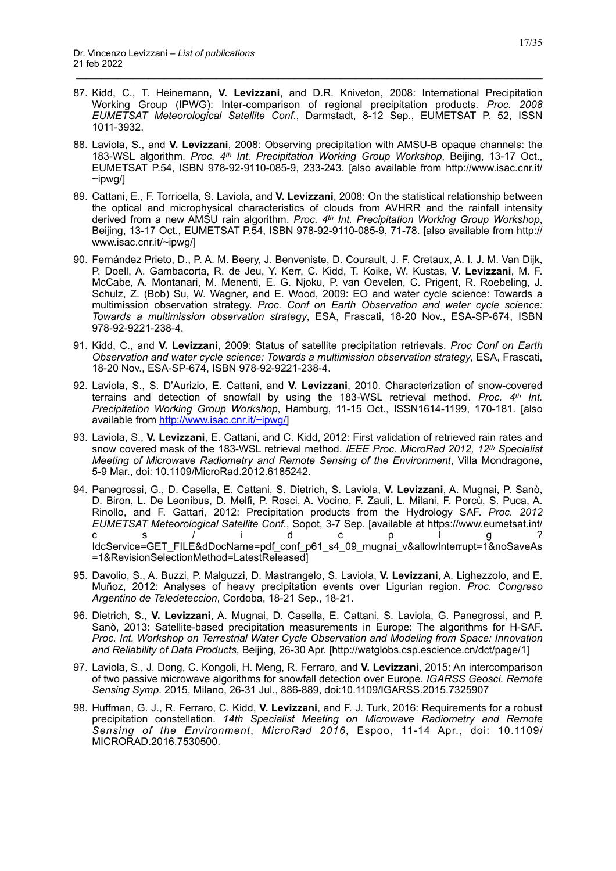87. Kidd, C., T. Heinemann, **V. Levizzani**, and D.R. Kniveton, 2008: International Precipitation Working Group (IPWG): Inter-comparison of regional precipitation products. *Proc. 2008 EUMETSAT Meteorological Satellite Conf*., Darmstadt, 8-12 Sep., EUMETSAT P. 52, ISSN 1011-3932.

- 88. Laviola, S., and **V. Levizzani**, 2008: Observing precipitation with AMSU-B opaque channels: the 183-WSL algorithm. *Proc. 4th Int. Precipitation Working Group Workshop*, Beijing, 13-17 Oct., EUMETSAT P.54, ISBN 978-92-9110-085-9, 233-243. [also available from http://www.isac.cnr.it/ ~ipwg/]
- 89. Cattani, E., F. Torricella, S. Laviola, and **V. Levizzani**, 2008: On the statistical relationship between the optical and microphysical characteristics of clouds from AVHRR and the rainfall intensity derived from a new AMSU rain algorithm. *Proc. 4th Int. Precipitation Working Group Workshop*, Beijing, 13-17 Oct., EUMETSAT P.54, ISBN 978-92-9110-085-9, 71-78. [also available from http:// www.isac.cnr.it/~ipwg/]
- 90. Fernández Prieto, D., P. A. M. Beery, J. Benveniste, D. Courault, J. F. Cretaux, A. I. J. M. Van Dijk, P. Doell, A. Gambacorta, R. de Jeu, Y. Kerr, C. Kidd, T. Koike, W. Kustas, **V. Levizzani**, M. F. McCabe, A. Montanari, M. Menenti, E. G. Njoku, P. van Oevelen, C. Prigent, R. Roebeling, J. Schulz, Z. (Bob) Su, W. Wagner, and E. Wood, 2009: EO and water cycle science: Towards a multimission observation strategy. *Proc. Conf on Earth Observation and water cycle science: Towards a multimission observation strategy*, ESA, Frascati, 18-20 Nov., ESA-SP-674, ISBN 978-92-9221-238-4.
- 91. Kidd, C., and **V. Levizzani**, 2009: Status of satellite precipitation retrievals. *Proc Conf on Earth Observation and water cycle science: Towards a multimission observation strategy*, ESA, Frascati, 18-20 Nov., ESA-SP-674, ISBN 978-92-9221-238-4.
- 92. Laviola, S., S. D'Aurizio, E. Cattani, and **V. Levizzani**, 2010. Characterization of snow-covered terrains and detection of snowfall by using the 183-WSL retrieval method. *Proc. 4th Int. Precipitation Working Group Workshop*, Hamburg, 11-15 Oct., ISSN1614-1199, 170-181. [also available from <http://www.isac.cnr.it/~ipwg/>]
- 93. Laviola, S., **V. Levizzani**, E. Cattani, and C. Kidd, 2012: First validation of retrieved rain rates and snow covered mask of the 183-WSL retrieval method. *IEEE Proc. MicroRad 2012, 12th Specialist Meeting of Microwave Radiometry and Remote Sensing of the Environment*, Villa Mondragone, 5-9 Mar., doi: 10.1109/MicroRad.2012.6185242.
- 94. Panegrossi, G., D. Casella, E. Cattani, S. Dietrich, S. Laviola, **V. Levizzani**, A. Mugnai, P. Sanò, D. Biron, L. De Leonibus, D. Melfi, P. Rosci, A. Vocino, F. Zauli, L. Milani, F. Porcù, S. Puca, A. Rinollo, and F. Gattari, 2012: Precipitation products from the Hydrology SAF. *Proc. 2012 EUMETSAT Meteorological Satellite Conf.*, Sopot, 3-7 Sep. [available at https://www.eumetsat.int/ cs/idcplg? IdcService=GET\_FILE&dDocName=pdf\_conf\_p61\_s4\_09\_mugnai\_v&allowInterrupt=1&noSaveAs =1&RevisionSelectionMethod=LatestReleased]
- 95. Davolio, S., A. Buzzi, P. Malguzzi, D. Mastrangelo, S. Laviola, **V. Levizzani**, A. Lighezzolo, and E. Muñoz, 2012: Analyses of heavy precipitation events over Ligurian region. *Proc. Congreso Argentino de Teledeteccion*, Cordoba, 18-21 Sep., 18-21.
- 96. Dietrich, S., **V. Levizzani**, A. Mugnai, D. Casella, E. Cattani, S. Laviola, G. Panegrossi, and P. Sanò, 2013: Satellite-based precipitation measurements in Europe: The algorithms for H-SAF. *Proc. Int. Workshop on Terrestrial Water Cycle Observation and Modeling from Space: Innovation and Reliability of Data Products*, Beijing, 26-30 Apr. [http://watglobs.csp.escience.cn/dct/page/1]
- 97. Laviola, S., J. Dong, C. Kongoli, H. Meng, R. Ferraro, and **V. Levizzani**, 2015: An intercomparison of two passive microwave algorithms for snowfall detection over Europe. *IGARSS Geosci. Remote Sensing Symp*. 2015, Milano, 26-31 Jul., 886-889, doi:10.1109/IGARSS.2015.7325907
- 98. Huffman, G. J., R. Ferraro, C. Kidd, **V. Levizzani**, and F. J. Turk, 2016: Requirements for a robust precipitation constellation. *14th Specialist Meeting on Microwave Radiometry and Remote Sensing of the Environment*, *MicroRad 2016*, Espoo, 11-14 Apr., doi: 10.1109/ MICRORAD.2016.7530500.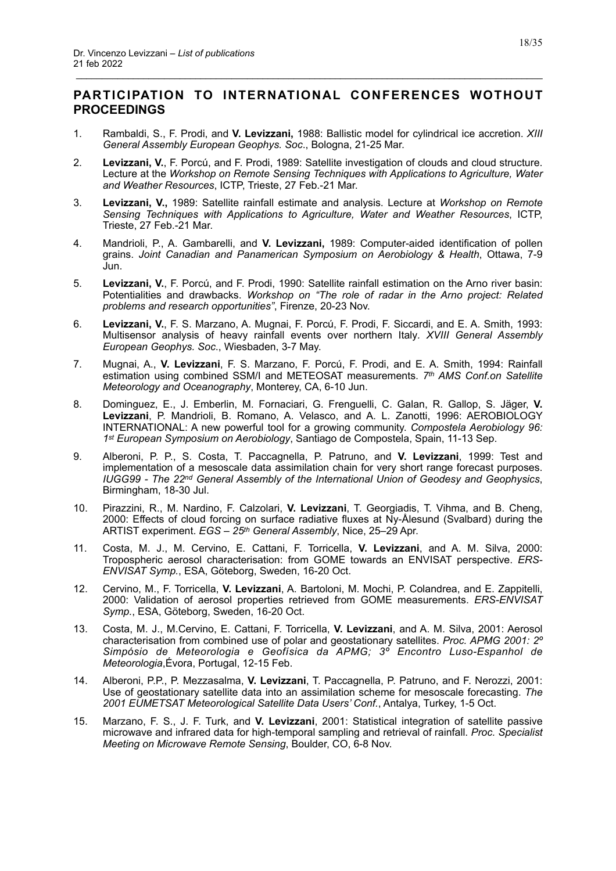# <span id="page-17-0"></span>**PARTICIPATION TO INTERNATIONAL CONFERENCES WOTHOUT PROCEEDINGS**

- 1. Rambaldi, S., F. Prodi, and **V. Levizzani,** 1988: Ballistic model for cylindrical ice accretion. *XIII General Assembly European Geophys. Soc*., Bologna, 21-25 Mar.
- 2. **Levizzani, V.**, F. Porcú, and F. Prodi, 1989: Satellite investigation of clouds and cloud structure. Lecture at the *Workshop on Remote Sensing Techniques with Applications to Agriculture, Water and Weather Resources*, ICTP, Trieste, 27 Feb.-21 Mar.
- 3. **Levizzani, V.,** 1989: Satellite rainfall estimate and analysis. Lecture at *Workshop on Remote Sensing Techniques with Applications to Agriculture, Water and Weather Resources*, ICTP, Trieste, 27 Feb.-21 Mar.
- 4. Mandrioli, P., A. Gambarelli, and **V. Levizzani,** 1989: Computer-aided identification of pollen grains. *Joint Canadian and Panamerican Symposium on Aerobiology & Health*, Ottawa, 7-9 Jun.
- 5. **Levizzani, V.**, F. Porcú, and F. Prodi, 1990: Satellite rainfall estimation on the Arno river basin: Potentialities and drawbacks. *Workshop on "The role of radar in the Arno project: Related problems and research opportunities"*, Firenze, 20-23 Nov.
- 6. **Levizzani, V.**, F. S. Marzano, A. Mugnai, F. Porcú, F. Prodi, F. Siccardi, and E. A. Smith, 1993: Multisensor analysis of heavy rainfall events over northern Italy*. XVIII General Assembly European Geophys. Soc*., Wiesbaden, 3-7 May.
- 7. Mugnai, A., **V. Levizzani**, F. S. Marzano, F. Porcú, F. Prodi, and E. A. Smith, 1994: Rainfall estimation using combined SSM/I and METEOSAT measurements. *7th AMS Conf.on Satellite Meteorology and Oceanography*, Monterey, CA, 6-10 Jun.
- 8. Dominguez, E., J. Emberlin, M. Fornaciari, G. Frenguelli, C. Galan, R. Gallop, S. Jäger, **V. Levizzani**, P. Mandrioli, B. Romano, A. Velasco, and A. L. Zanotti, 1996: AEROBIOLOGY INTERNATIONAL: A new powerful tool for a growing community. *Compostela Aerobiology 96: 1st European Symposium on Aerobiology*, Santiago de Compostela, Spain, 11-13 Sep.
- 9. Alberoni, P. P., S. Costa, T. Paccagnella, P. Patruno, and **V. Levizzani**, 1999: Test and implementation of a mesoscale data assimilation chain for very short range forecast purposes. *IUGG99 - The 22nd General Assembly of the International Union of Geodesy and Geophysics*, Birmingham, 18-30 Jul.
- 10. Pirazzini, R., M. Nardino, F. Calzolari, **V. Levizzani**, T. Georgiadis, T. Vihma, and B. Cheng, 2000: Effects of cloud forcing on surface radiative fluxes at Ny-Ålesund (Svalbard) during the ARTIST experiment. *EGS – 25th General Assembly*, Nice, 25–29 Apr.
- 11. Costa, M. J., M. Cervino, E. Cattani, F. Torricella, **V. Levizzani**, and A. M. Silva, 2000: Tropospheric aerosol characterisation: from GOME towards an ENVISAT perspective. *ERS-ENVISAT Symp.*, ESA, Göteborg, Sweden, 16-20 Oct.
- 12. Cervino, M., F. Torricella, **V. Levizzani**, A. Bartoloni, M. Mochi, P. Colandrea, and E. Zappitelli, 2000: Validation of aerosol properties retrieved from GOME measurements. *ERS-ENVISAT Symp.*, ESA, Göteborg, Sweden, 16-20 Oct.
- 13. Costa, M. J., M.Cervino, E. Cattani, F. Torricella, **V. Levizzani**, and A. M. Silva, 2001: Aerosol characterisation from combined use of polar and geostationary satellites. *Proc. APMG 2001: 2º Simpósio de Meteorologia e Geofísica da APMG; 3º Encontro Luso-Espanhol de Meteorologia*,Évora, Portugal, 12-15 Feb.
- 14. Alberoni, P.P., P. Mezzasalma, **V. Levizzani**, T. Paccagnella, P. Patruno, and F. Nerozzi, 2001: Use of geostationary satellite data into an assimilation scheme for mesoscale forecasting. *The 2001 EUMETSAT Meteorological Satellite Data Users' Conf.*, Antalya, Turkey, 1-5 Oct.
- 15. Marzano, F. S., J. F. Turk, and **V. Levizzani**, 2001: Statistical integration of satellite passive microwave and infrared data for high-temporal sampling and retrieval of rainfall. *Proc. Specialist Meeting on Microwave Remote Sensing*, Boulder, CO, 6-8 Nov.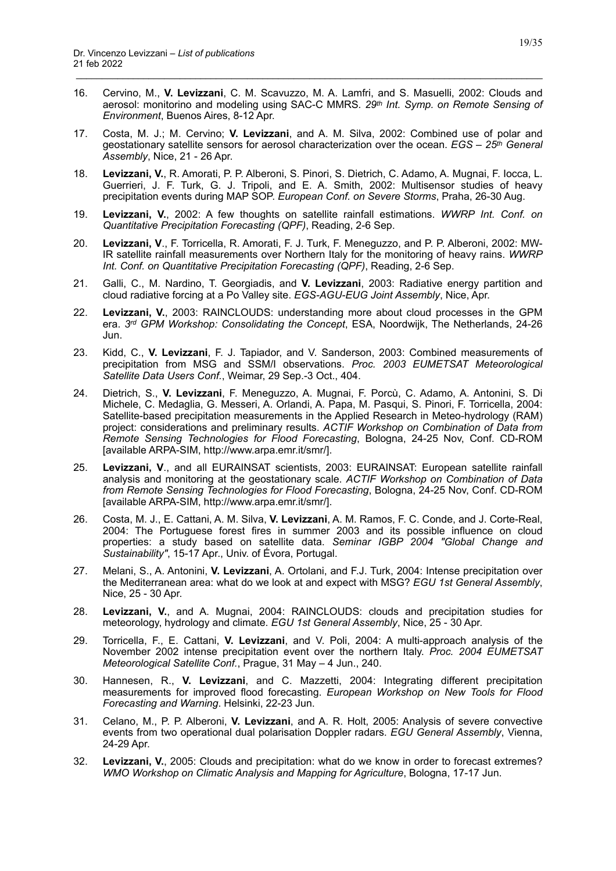16. Cervino, M., **V. Levizzani**, C. M. Scavuzzo, M. A. Lamfri, and S. Masuelli, 2002: Clouds and aerosol: monitorino and modeling using SAC-C MMRS*. 29th Int. Symp. on Remote Sensing of Environment*, Buenos Aires, 8-12 Apr.

- 17. Costa, M. J.; M. Cervino; **V. Levizzani**, and A. M. Silva, 2002: Combined use of polar and geostationary satellite sensors for aerosol characterization over the ocean. *EGS – 25th General Assembly*, Nice, 21 - 26 Apr.
- 18. **Levizzani, V.**, R. Amorati, P. P. Alberoni, S. Pinori, S. Dietrich, C. Adamo, A. Mugnai, F. Iocca, L. Guerrieri, J. F. Turk, G. J. Tripoli, and E. A. Smith, 2002: Multisensor studies of heavy precipitation events during MAP SOP. *European Conf. on Severe Storms*, Praha, 26-30 Aug.
- 19. **Levizzani, V.**, 2002: A few thoughts on satellite rainfall estimations. *WWRP Int. Conf. on Quantitative Precipitation Forecasting (QPF)*, Reading, 2-6 Sep.
- 20. **Levizzani, V**., F. Torricella, R. Amorati, F. J. Turk, F. Meneguzzo, and P. P. Alberoni, 2002: MW-IR satellite rainfall measurements over Northern Italy for the monitoring of heavy rains. *WWRP Int. Conf. on Quantitative Precipitation Forecasting (QPF)*, Reading, 2-6 Sep.
- 21. Galli, C., M. Nardino, T. Georgiadis, and **V. Levizzani**, 2003: Radiative energy partition and cloud radiative forcing at a Po Valley site. *EGS-AGU-EUG Joint Assembly*, Nice, Apr.
- 22. **Levizzani, V.**, 2003: RAINCLOUDS: understanding more about cloud processes in the GPM era. *3rd GPM Workshop: Consolidating the Concept*, ESA, Noordwijk, The Netherlands, 24-26 Jun.
- 23. Kidd, C., **V. Levizzani**, F. J. Tapiador, and V. Sanderson, 2003: Combined measurements of precipitation from MSG and SSM/I observations. *Proc. 2003 EUMETSAT Meteorological Satellite Data Users Conf.*, Weimar, 29 Sep.-3 Oct., 404.
- 24. Dietrich, S., **V. Levizzani**, F. Meneguzzo, A. Mugnai, F. Porcù, C. Adamo, A. Antonini, S. Di Michele, C. Medaglia, G. Messeri, A. Orlandi, A. Papa, M. Pasqui, S. Pinori, F. Torricella, 2004: Satellite-based precipitation measurements in the Applied Research in Meteo-hydrology (RAM) project: considerations and preliminary results. *ACTIF Workshop on Combination of Data from Remote Sensing Technologies for Flood Forecasting*, Bologna, 24-25 Nov, Conf. CD-ROM [available ARPA-SIM, http://www.arpa.emr.it/smr/].
- 25. **Levizzani, V**., and all EURAINSAT scientists, 2003: EURAINSAT: European satellite rainfall analysis and monitoring at the geostationary scale. *ACTIF Workshop on Combination of Data from Remote Sensing Technologies for Flood Forecasting*, Bologna, 24-25 Nov, Conf. CD-ROM [available ARPA-SIM, http://www.arpa.emr.it/smr/].
- 26. Costa, M. J., E. Cattani, A. M. Silva, **V. Levizzani**, A. M. Ramos, F. C. Conde, and J. Corte-Real, 2004: The Portuguese forest fires in summer 2003 and its possible influence on cloud properties: a study based on satellite data. *Seminar IGBP 2004 "Global Change and Sustainability"*, 15-17 Apr., Univ. of Évora, Portugal.
- 27. Melani, S., A. Antonini, **V. Levizzani**, A. Ortolani, and F.J. Turk, 2004: Intense precipitation over the Mediterranean area: what do we look at and expect with MSG? *EGU 1st General Assembly*, Nice, 25 - 30 Apr.
- 28. **Levizzani, V.**, and A. Mugnai, 2004: RAINCLOUDS: clouds and precipitation studies for meteorology, hydrology and climate. *EGU 1st General Assembly*, Nice, 25 - 30 Apr.
- 29. Torricella, F., E. Cattani, **V. Levizzani**, and V. Poli, 2004: A multi-approach analysis of the November 2002 intense precipitation event over the northern Italy. *Proc. 2004 EUMETSAT Meteorological Satellite Conf.*, Prague, 31 May – 4 Jun., 240.
- 30. Hannesen, R., **V. Levizzani**, and C. Mazzetti, 2004: Integrating different precipitation measurements for improved flood forecasting. *European Workshop on New Tools for Flood Forecasting and Warning*. Helsinki, 22-23 Jun.
- 31. Celano, M., P. P. Alberoni, **V. Levizzani**, and A. R. Holt, 2005: Analysis of severe convective events from two operational dual polarisation Doppler radars. *EGU General Assembly*, Vienna, 24-29 Apr.
- 32. **Levizzani, V.**, 2005: Clouds and precipitation: what do we know in order to forecast extremes? *WMO Workshop on Climatic Analysis and Mapping for Agriculture*, Bologna, 17-17 Jun.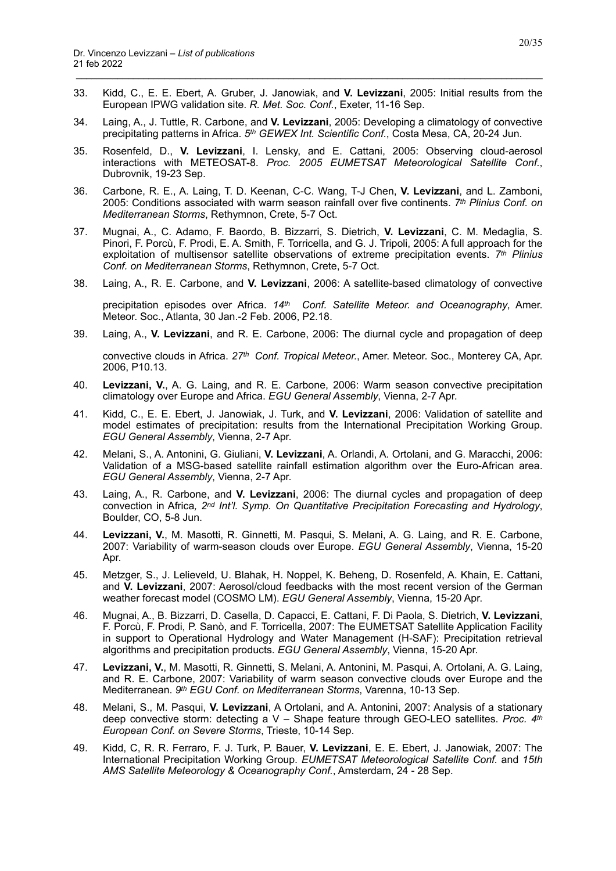33. Kidd, C., E. E. Ebert, A. Gruber, J. Janowiak, and **V. Levizzani**, 2005: Initial results from the European IPWG validation site. *R. Met. Soc. Conf.*, Exeter, 11-16 Sep.

\_\_\_\_\_\_\_\_\_\_\_\_\_\_\_\_\_\_\_\_\_\_\_\_\_\_\_\_\_\_\_\_\_\_\_\_\_\_\_\_\_\_\_\_\_\_\_\_\_\_\_\_\_\_\_\_\_\_\_\_\_\_\_\_\_\_\_\_\_\_\_\_\_\_\_\_\_\_\_\_\_\_\_\_\_\_\_\_\_\_

- 34. Laing, A., J. Tuttle, R. Carbone, and **V. Levizzani**, 2005: Developing a climatology of convective precipitating patterns in Africa. *5th GEWEX Int. Scientific Conf.*, Costa Mesa, CA, 20-24 Jun.
- 35. Rosenfeld, D., **V. Levizzani**, I. Lensky, and E. Cattani, 2005: Observing cloud-aerosol interactions with METEOSAT-8. *Proc. 2005 EUMETSAT Meteorological Satellite Conf.*, Dubrovnik, 19-23 Sep.
- 36. Carbone, R. E., A. Laing, T. D. Keenan, C-C. Wang, T-J Chen, **V. Levizzani**, and L. Zamboni, 2005: Conditions associated with warm season rainfall over five continents. *7th Plinius Conf. on Mediterranean Storms*, Rethymnon, Crete, 5-7 Oct.
- 37. Mugnai, A., C. Adamo, F. Baordo, B. Bizzarri, S. Dietrich, **V. Levizzani**, C. M. Medaglia, S. Pinori, F. Porcù, F. Prodi, E. A. Smith, F. Torricella, and G. J. Tripoli, 2005: A full approach for the exploitation of multisensor satellite observations of extreme precipitation events. *7th Plinius Conf. on Mediterranean Storms*, Rethymnon, Crete, 5-7 Oct.
- 38. Laing, A., R. E. Carbone, and **V. Levizzani**, 2006: A satellite-based climatology of convective

precipitation episodes over Africa. *14th Conf. Satellite Meteor. and Oceanography*, Amer. Meteor. Soc., Atlanta, 30 Jan.-2 Feb. 2006, P2.18.

39. Laing, A., **V. Levizzani**, and R. E. Carbone, 2006: The diurnal cycle and propagation of deep

convective clouds in Africa. *27th Conf. Tropical Meteor.*, Amer. Meteor. Soc., Monterey CA, Apr. 2006, P10.13.

- 40. **Levizzani, V.**, A. G. Laing, and R. E. Carbone, 2006: Warm season convective precipitation climatology over Europe and Africa. *EGU General Assembly*, Vienna, 2-7 Apr.
- 41. Kidd, C., E. E. Ebert, J. Janowiak, J. Turk, and **V. Levizzani**, 2006: Validation of satellite and model estimates of precipitation: results from the International Precipitation Working Group. *EGU General Assembly*, Vienna, 2-7 Apr.
- 42. Melani, S., A. Antonini, G. Giuliani, **V. Levizzani**, A. Orlandi, A. Ortolani, and G. Maracchi, 2006: Validation of a MSG-based satellite rainfall estimation algorithm over the Euro-African area. *EGU General Assembly*, Vienna, 2-7 Apr.
- 43. Laing, A., R. Carbone, and **V. Levizzani**, 2006: The diurnal cycles and propagation of deep convection in Africa*, 2nd Int'l. Symp. On Quantitative Precipitation Forecasting and Hydrology*, Boulder, CO, 5-8 Jun.
- 44. **Levizzani, V.**, M. Masotti, R. Ginnetti, M. Pasqui, S. Melani, A. G. Laing, and R. E. Carbone, 2007: Variability of warm-season clouds over Europe. *EGU General Assembly*, Vienna, 15-20 Apr.
- 45. Metzger, S., J. Lelieveld, U. Blahak, H. Noppel, K. Beheng, D. Rosenfeld, A. Khain, E. Cattani, and **V. Levizzani**, 2007: Aerosol/cloud feedbacks with the most recent version of the German weather forecast model (COSMO LM). *EGU General Assembly*, Vienna, 15-20 Apr.
- 46. Mugnai, A., B. Bizzarri, D. Casella, D. Capacci, E. Cattani, F. Di Paola, S. Dietrich, **V. Levizzani**, F. Porcù, F. Prodi, P. Sanò, and F. Torricella, 2007: The EUMETSAT Satellite Application Facility in support to Operational Hydrology and Water Management (H-SAF): Precipitation retrieval algorithms and precipitation products. *EGU General Assembly*, Vienna, 15-20 Apr.
- 47. **Levizzani, V.**, M. Masotti, R. Ginnetti, S. Melani, A. Antonini, M. Pasqui, A. Ortolani, A. G. Laing, and R. E. Carbone, 2007: Variability of warm season convective clouds over Europe and the Mediterranean. *9th EGU Conf. on Mediterranean Storms*, Varenna, 10-13 Sep.
- 48. Melani, S., M. Pasqui, **V. Levizzani**, A Ortolani, and A. Antonini, 2007: Analysis of a stationary deep convective storm: detecting a V – Shape feature through GEO-LEO satellites. *Proc. 4th European Conf. on Severe Storms*, Trieste, 10-14 Sep.
- 49. Kidd, C, R. R. Ferraro, F. J. Turk, P. Bauer, **V. Levizzani**, E. E. Ebert, J. Janowiak, 2007: The International Precipitation Working Group. *EUMETSAT Meteorological Satellite Conf.* and *15th AMS Satellite Meteorology & Oceanography Conf.*, Amsterdam, 24 - 28 Sep.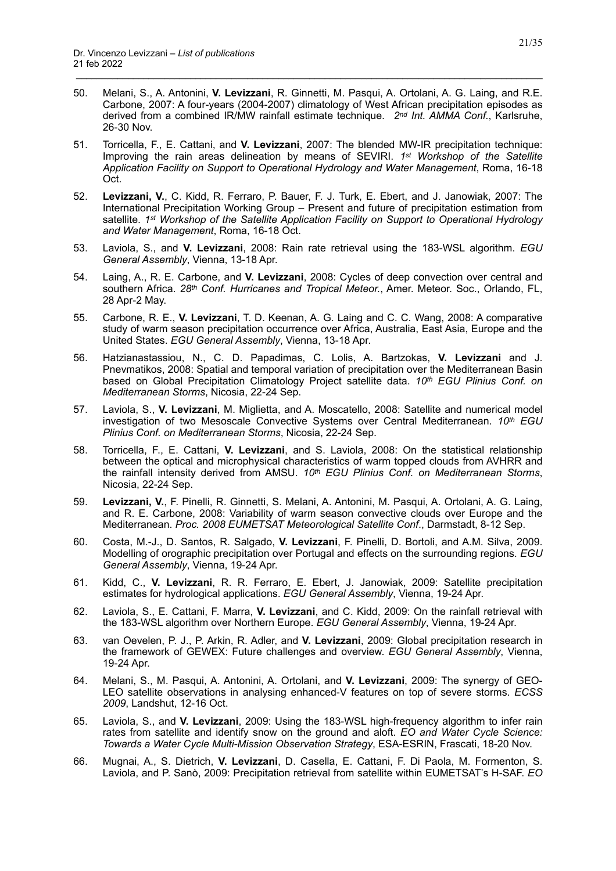50. Melani, S., A. Antonini, **V. Levizzani**, R. Ginnetti, M. Pasqui, A. Ortolani, A. G. Laing, and R.E. Carbone, 2007: A four-years (2004-2007) climatology of West African precipitation episodes as derived from a combined IR/MW rainfall estimate technique. *2nd Int. AMMA Conf.*, Karlsruhe, 26-30 Nov.

- 51. Torricella, F., E. Cattani, and **V. Levizzani**, 2007: The blended MW-IR precipitation technique: Improving the rain areas delineation by means of SEVIRI. *1st Workshop of the Satellite Application Facility on Support to Operational Hydrology and Water Management*, Roma, 16-18 Oct.
- 52. **Levizzani, V.**, C. Kidd, R. Ferraro, P. Bauer, F. J. Turk, E. Ebert, and J. Janowiak, 2007: The International Precipitation Working Group – Present and future of precipitation estimation from satellite. *1st Workshop of the Satellite Application Facility on Support to Operational Hydrology and Water Management*, Roma, 16-18 Oct.
- 53. Laviola, S., and **V. Levizzani**, 2008: Rain rate retrieval using the 183-WSL algorithm. *EGU General Assembly*, Vienna, 13-18 Apr.
- 54. Laing, A., R. E. Carbone, and **V. Levizzani**, 2008: Cycles of deep convection over central and southern Africa. *28th Conf. Hurricanes and Tropical Meteor.*, Amer. Meteor. Soc., Orlando, FL, 28 Apr-2 May.
- 55. Carbone, R. E., **V. Levizzani**, T. D. Keenan, A. G. Laing and C. C. Wang, 2008: A comparative study of warm season precipitation occurrence over Africa, Australia, East Asia, Europe and the United States. *EGU General Assembly*, Vienna, 13-18 Apr.
- 56. Hatzianastassiou, N., C. D. Papadimas, C. Lolis, A. Bartzokas, **V. Levizzani** and J. Pnevmatikos, 2008: Spatial and temporal variation of precipitation over the Mediterranean Basin based on Global Precipitation Climatology Project satellite data. *10th EGU Plinius Conf. on Mediterranean Storms*, Nicosia, 22-24 Sep.
- 57. Laviola, S., **V. Levizzani**, M. Miglietta, and A. Moscatello, 2008: Satellite and numerical model investigation of two Mesoscale Convective Systems over Central Mediterranean. *10th EGU Plinius Conf. on Mediterranean Storms*, Nicosia, 22-24 Sep.
- 58. Torricella, F., E. Cattani, **V. Levizzani**, and S. Laviola, 2008: On the statistical relationship between the optical and microphysical characteristics of warm topped clouds from AVHRR and the rainfall intensity derived from AMSU. *10th EGU Plinius Conf. on Mediterranean Storms*, Nicosia, 22-24 Sep.
- 59. **Levizzani, V.**, F. Pinelli, R. Ginnetti, S. Melani, A. Antonini, M. Pasqui, A. Ortolani, A. G. Laing, and R. E. Carbone, 2008: Variability of warm season convective clouds over Europe and the Mediterranean. *Proc. 2008 EUMETSAT Meteorological Satellite Conf*., Darmstadt, 8-12 Sep.
- 60. Costa, M.-J., D. Santos, R. Salgado, **V. Levizzani**, F. Pinelli, D. Bortoli, and A.M. Silva, 2009. Modelling of orographic precipitation over Portugal and effects on the surrounding regions. *EGU General Assembly*, Vienna, 19-24 Apr.
- 61. Kidd, C., **V. Levizzani**, R. R. Ferraro, E. Ebert, J. Janowiak, 2009: Satellite precipitation estimates for hydrological applications. *EGU General Assembly*, Vienna, 19-24 Apr.
- 62. Laviola, S., E. Cattani, F. Marra, **V. Levizzani**, and C. Kidd, 2009: On the rainfall retrieval with the 183-WSL algorithm over Northern Europe. *EGU General Assembly*, Vienna, 19-24 Apr.
- 63. van Oevelen, P. J., P. Arkin, R. Adler, and **V. Levizzani**, 2009: Global precipitation research in the framework of GEWEX: Future challenges and overview. *EGU General Assembly*, Vienna, 19-24 Apr.
- 64. Melani, S., M. Pasqui, A. Antonini, A. Ortolani, and **V. Levizzani**, 2009: The synergy of GEO-LEO satellite observations in analysing enhanced-V features on top of severe storms. *ECSS 2009*, Landshut, 12-16 Oct.
- 65. Laviola, S., and **V. Levizzani**, 2009: Using the 183-WSL high-frequency algorithm to infer rain rates from satellite and identify snow on the ground and aloft. *EO and Water Cycle Science: Towards a Water Cycle Multi-Mission Observation Strategy*, ESA-ESRIN, Frascati, 18-20 Nov.
- 66. Mugnai, A., S. Dietrich, **V. Levizzani**, D. Casella, E. Cattani, F. Di Paola, M. Formenton, S. Laviola, and P. Sanò, 2009: Precipitation retrieval from satellite within EUMETSAT's H-SAF. *EO*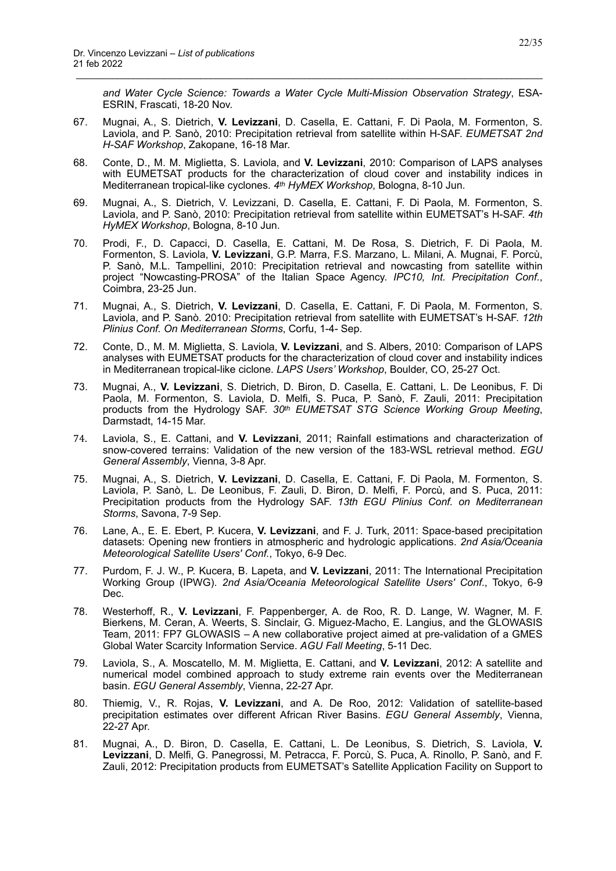*and Water Cycle Science: Towards a Water Cycle Multi-Mission Observation Strategy*, ESA-ESRIN, Frascati, 18-20 Nov.

67. Mugnai, A., S. Dietrich, **V. Levizzani**, D. Casella, E. Cattani, F. Di Paola, M. Formenton, S. Laviola, and P. Sanò, 2010: Precipitation retrieval from satellite within H-SAF. *EUMETSAT 2nd H-SAF Workshop*, Zakopane, 16-18 Mar.

- 68. Conte, D., M. M. Miglietta, S. Laviola, and **V. Levizzani**, 2010: Comparison of LAPS analyses with EUMETSAT products for the characterization of cloud cover and instability indices in Mediterranean tropical-like cyclones. *4th HyMEX Workshop*, Bologna, 8-10 Jun.
- 69. Mugnai, A., S. Dietrich, V. Levizzani, D. Casella, E. Cattani, F. Di Paola, M. Formenton, S. Laviola, and P. Sanò, 2010: Precipitation retrieval from satellite within EUMETSAT's H-SAF. *4th HyMEX Workshop*, Bologna, 8-10 Jun.
- 70. Prodi, F., D. Capacci, D. Casella, E. Cattani, M. De Rosa, S. Dietrich, F. Di Paola, M. Formenton, S. Laviola, **V. Levizzani**, G.P. Marra, F.S. Marzano, L. Milani, A. Mugnai, F. Porcù, P. Sanò, M.L. Tampellini, 2010: Precipitation retrieval and nowcasting from satellite within project "Nowcasting-PROSA" of the Italian Space Agency. *IPC10, Int. Precipitation Conf.*, Coimbra, 23-25 Jun.
- 71. Mugnai, A., S. Dietrich, **V. Levizzani**, D. Casella, E. Cattani, F. Di Paola, M. Formenton, S. Laviola, and P. Sanò. 2010: Precipitation retrieval from satellite with EUMETSAT's H-SAF. *12th Plinius Conf. On Mediterranean Storms*, Corfu, 1-4- Sep.
- 72. Conte, D., M. M. Miglietta, S. Laviola, **V. Levizzani**, and S. Albers, 2010: Comparison of LAPS analyses with EUMETSAT products for the characterization of cloud cover and instability indices in Mediterranean tropical-like ciclone. *LAPS Users' Workshop*, Boulder, CO, 25-27 Oct.
- 73. Mugnai, A., **V. Levizzani**, S. Dietrich, D. Biron, D. Casella, E. Cattani, L. De Leonibus, F. Di Paola, M. Formenton, S. Laviola, D. Melfi, S. Puca, P. Sanò, F. Zauli, 2011: Precipitation products from the Hydrology SAF. *30th EUMETSAT STG Science Working Group Meeting*, Darmstadt, 14-15 Mar.
- 74. Laviola, S., E. Cattani, and **V. Levizzani**, 2011; Rainfall estimations and characterization of snow-covered terrains: Validation of the new version of the 183-WSL retrieval method. *EGU General Assembly*, Vienna, 3-8 Apr.
- 75. Mugnai, A., S. Dietrich, **V. Levizzani**, D. Casella, E. Cattani, F. Di Paola, M. Formenton, S. Laviola, P. Sanò, L. De Leonibus, F. Zauli, D. Biron, D. Melfi, F. Porcù, and S. Puca, 2011: Precipitation products from the Hydrology SAF. *13th EGU Plinius Conf. on Mediterranean Storms*, Savona, 7-9 Sep.
- 76. Lane, A., E. E. Ebert, P. Kucera, **V. Levizzani**, and F. J. Turk, 2011: Space-based precipitation datasets: Opening new frontiers in atmospheric and hydrologic applications. *2nd Asia/Oceania Meteorological Satellite Users' Conf.*, Tokyo, 6-9 Dec.
- 77. Purdom, F. J. W., P. Kucera, B. Lapeta, and **V. Levizzani**, 2011: The International Precipitation Working Group (IPWG). *2nd Asia/Oceania Meteorological Satellite Users' Conf*., Tokyo, 6-9 Dec.
- 78. Westerhoff, R., **V. Levizzani**, F. Pappenberger, A. de Roo, R. D. Lange, W. Wagner, M. F. Bierkens, M. Ceran, A. Weerts, S. Sinclair, G. Miguez-Macho, E. Langius, and the GLOWASIS Team, 2011: FP7 GLOWASIS – A new collaborative project aimed at pre-validation of a GMES Global Water Scarcity Information Service. *AGU Fall Meeting*, 5-11 Dec.
- 79. Laviola, S., A. Moscatello, M. M. Miglietta, E. Cattani, and **V. Levizzani**, 2012: A satellite and numerical model combined approach to study extreme rain events over the Mediterranean basin. *EGU General Assembly*, Vienna, 22-27 Apr.
- 80. Thiemig, V., R. Rojas, **V. Levizzani**, and A. De Roo, 2012: Validation of satellite-based precipitation estimates over different African River Basins. *EGU General Assembly*, Vienna, 22-27 Apr.
- 81. Mugnai, A., D. Biron, D. Casella, E. Cattani, L. De Leonibus, S. Dietrich, S. Laviola, **V. Levizzani**, D. Melfi, G. Panegrossi, M. Petracca, F. Porcù, S. Puca, A. Rinollo, P. Sanò, and F. Zauli, 2012: Precipitation products from EUMETSAT's Satellite Application Facility on Support to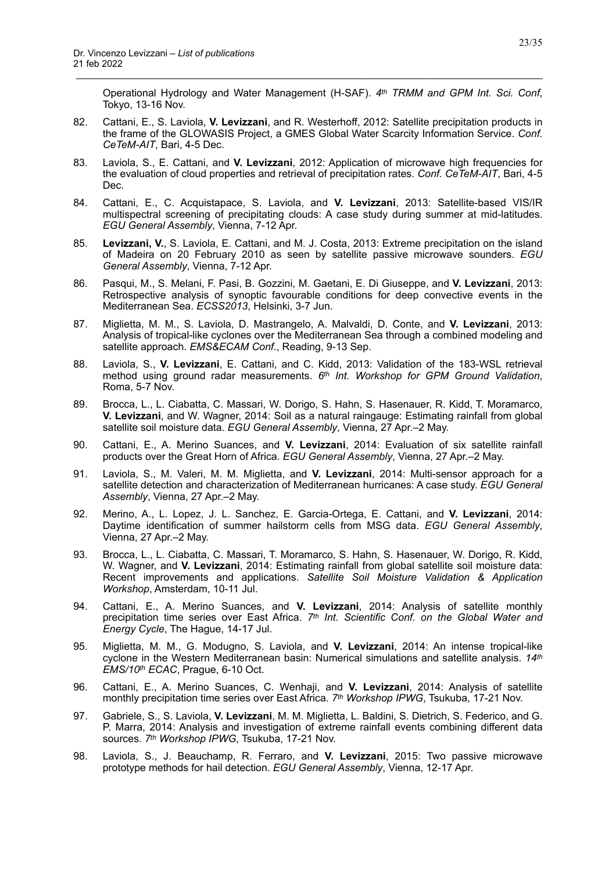Operational Hydrology and Water Management (H-SAF). *4th TRMM and GPM Int. Sci. Conf*, Tokyo, 13-16 Nov.

82. Cattani, E., S. Laviola, **V. Levizzani**, and R. Westerhoff, 2012: Satellite precipitation products in the frame of the GLOWASIS Project, a GMES Global Water Scarcity Information Service. *Conf. CeTeM-AIT*, Bari, 4-5 Dec.

- 83. Laviola, S., E. Cattani, and **V. Levizzani**, 2012: Application of microwave high frequencies for the evaluation of cloud properties and retrieval of precipitation rates. *Conf. CeTeM-AIT*, Bari, 4-5 Dec.
- 84. Cattani, E., C. Acquistapace, S. Laviola, and **V. Levizzani**, 2013: Satellite-based VIS/IR multispectral screening of precipitating clouds: A case study during summer at mid-latitudes. *EGU General Assembly*, Vienna, 7-12 Apr.
- 85. **Levizzani, V.**, S. Laviola, E. Cattani, and M. J. Costa, 2013: Extreme precipitation on the island of Madeira on 20 February 2010 as seen by satellite passive microwave sounders. *EGU General Assembly*, Vienna, 7-12 Apr.
- 86. Pasqui, M., S. Melani, F. Pasi, B. Gozzini, M. Gaetani, E. Di Giuseppe, and **V. Levizzani**, 2013: Retrospective analysis of synoptic favourable conditions for deep convective events in the Mediterranean Sea. *ECSS2013*, Helsinki, 3-7 Jun.
- 87. Miglietta, M. M., S. Laviola, D. Mastrangelo, A. Malvaldi, D. Conte, and **V. Levizzani**, 2013: Analysis of tropical-like cyclones over the Mediterranean Sea through a combined modeling and satellite approach. *EMS&ECAM Conf*., Reading, 9-13 Sep.
- 88. Laviola, S., **V. Levizzani**, E. Cattani, and C. Kidd, 2013: Validation of the 183-WSL retrieval method using ground radar measurements. *6th Int. Workshop for GPM Ground Validation*, Roma, 5-7 Nov.
- 89. Brocca, L., L. Ciabatta, C. Massari, W. Dorigo, S. Hahn, S. Hasenauer, R. Kidd, T. Moramarco, **V. Levizzani**, and W. Wagner, 2014: Soil as a natural raingauge: Estimating rainfall from global satellite soil moisture data. *EGU General Assembly*, Vienna, 27 Apr.–2 May.
- 90. Cattani, E., A. Merino Suances, and **V. Levizzani**, 2014: Evaluation of six satellite rainfall products over the Great Horn of Africa. *EGU General Assembly*, Vienna, 27 Apr.–2 May.
- 91. Laviola, S., M. Valeri, M. M. Miglietta, and **V. Levizzani**, 2014: Multi-sensor approach for a satellite detection and characterization of Mediterranean hurricanes: A case study. *EGU General Assembly*, Vienna, 27 Apr.–2 May.
- 92. Merino, A., L. Lopez, J. L. Sanchez, E. Garcia-Ortega, E. Cattani, and **V. Levizzani**, 2014: Daytime identification of summer hailstorm cells from MSG data. *EGU General Assembly*, Vienna, 27 Apr.–2 May.
- 93. Brocca, L., L. Ciabatta, C. Massari, T. Moramarco, S. Hahn, S. Hasenauer, W. Dorigo, R. Kidd, W. Wagner, and **V. Levizzani**, 2014: Estimating rainfall from global satellite soil moisture data: Recent improvements and applications. *Satellite Soil Moisture Validation & Application Workshop*, Amsterdam, 10-11 Jul.
- 94. Cattani, E., A. Merino Suances, and **V. Levizzani**, 2014: Analysis of satellite monthly precipitation time series over East Africa. *7th Int. Scientific Conf. on the Global Water and Energy Cycle*, The Hague, 14-17 Jul.
- 95. Miglietta, M. M., G. Modugno, S. Laviola, and **V. Levizzani**, 2014: An intense tropical-like cyclone in the Western Mediterranean basin: Numerical simulations and satellite analysis. *14th EMS/10th ECAC*, Prague, 6-10 Oct.
- 96. Cattani, E., A. Merino Suances, C. Wenhaji, and **V. Levizzani**, 2014: Analysis of satellite monthly precipitation time series over East Africa. *7th Workshop IPWG*, Tsukuba, 17-21 Nov.
- 97. Gabriele, S., S. Laviola, **V. Levizzani**, M. M. Miglietta, L. Baldini, S. Dietrich, S. Federico, and G. P. Marra, 2014: Analysis and investigation of extreme rainfall events combining different data sources. *7th Workshop IPWG*, Tsukuba, 17-21 Nov.
- 98. Laviola, S., J. Beauchamp, R. Ferraro, and **V. Levizzani**, 2015: Two passive microwave prototype methods for hail detection. *EGU General Assembly*, Vienna, 12-17 Apr.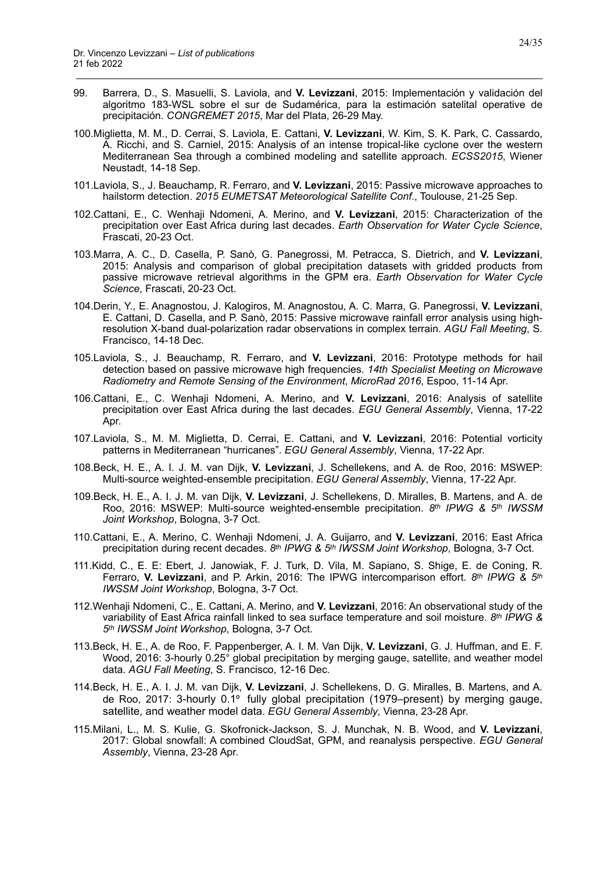99. Barrera, D., S. Masuelli, S. Laviola, and **V. Levizzani**, 2015: Implementación y validación del algoritmo 183-WSL sobre el sur de Sudamérica, para la estimación satelital operative de precipitación. *CONGREMET 2015*, Mar del Plata, 26-29 May.

- 100.Miglietta, M. M., D. Cerrai, S. Laviola, E. Cattani, **V. Levizzani**, W. Kim, S. K. Park, C. Cassardo, A. Ricchi, and S. Carniel, 2015: Analysis of an intense tropical-like cyclone over the western Mediterranean Sea through a combined modeling and satellite approach. *ECSS2015*, Wiener Neustadt, 14-18 Sep.
- 101.Laviola, S., J. Beauchamp, R. Ferraro, and **V. Levizzani**, 2015: Passive microwave approaches to hailstorm detection. *2015 EUMETSAT Meteorological Satellite Conf*., Toulouse, 21-25 Sep.
- 102.Cattani, E., C. Wenhaji Ndomeni, A. Merino, and **V. Levizzani**, 2015: Characterization of the precipitation over East Africa during last decades. *Earth Observation for Water Cycle Science*, Frascati, 20-23 Oct.
- 103.Marra, A. C., D. Casella, P. Sanò, G. Panegrossi, M. Petracca, S. Dietrich, and **V. Levizzani**, 2015: Analysis and comparison of global precipitation datasets with gridded products from passive microwave retrieval algorithms in the GPM era. *Earth Observation for Water Cycle Science*, Frascati, 20-23 Oct.
- 104.Derin, Y., E. Anagnostou, J. Kalogiros, M. Anagnostou, A. C. Marra, G. Panegrossi, **V. Levizzani**, E. Cattani, D. Casella, and P. Sanò, 2015: Passive microwave rainfall error analysis using highresolution X-band dual-polarization radar observations in complex terrain. *AGU Fall Meeting*, S. Francisco, 14-18 Dec.
- 105.Laviola, S., J. Beauchamp, R. Ferraro, and **V. Levizzani**, 2016: Prototype methods for hail detection based on passive microwave high frequencies. *14th Specialist Meeting on Microwave Radiometry and Remote Sensing of the Environment*, *MicroRad 2016*, Espoo, 11-14 Apr.
- 106.Cattani, E., C. Wenhaji Ndomeni, A. Merino, and **V. Levizzani**, 2016: Analysis of satellite precipitation over East Africa during the last decades. *EGU General Assembly*, Vienna, 17-22 Apr.
- 107.Laviola, S., M. M. Miglietta, D. Cerrai, E. Cattani, and **V. Levizzani**, 2016: Potential vorticity patterns in Mediterranean "hurricanes". *EGU General Assembly*, Vienna, 17-22 Apr.
- 108.Beck, H. E., A. I. J. M. van Dijk, **V. Levizzani**, J. Schellekens, and A. de Roo, 2016: MSWEP: Multi-source weighted-ensemble precipitation. *EGU General Assembly*, Vienna, 17-22 Apr.
- 109.Beck, H. E., A. I. J. M. van Dijk, **V. Levizzani**, J. Schellekens, D. Miralles, B. Martens, and A. de Roo, 2016: MSWEP: Multi-source weighted-ensemble precipitation. *8th IPWG & 5th IWSSM Joint Workshop*, Bologna, 3-7 Oct.
- 110.Cattani, E., A. Merino, C. Wenhaji Ndomeni, J. A. Guijarro, and **V. Levizzani**, 2016: East Africa precipitation during recent decades. *8th IPWG & 5th IWSSM Joint Workshop*, Bologna, 3-7 Oct.
- 111.Kidd, C., E. E: Ebert, J. Janowiak, F. J. Turk, D. Vila, M. Sapiano, S. Shige, E. de Coning, R. Ferraro, **V. Levizzani**, and P. Arkin, 2016: The IPWG intercomparison effort. *8th IPWG & 5th IWSSM Joint Workshop*, Bologna, 3-7 Oct.
- 112.Wenhaji Ndomeni, C., E. Cattani, A. Merino, and **V. Levizzani**, 2016: An observational study of the variability of East Africa rainfall linked to sea surface temperature and soil moisture. *8th IPWG & 5th IWSSM Joint Workshop*, Bologna, 3-7 Oct.
- 113.Beck, H. E., A. de Roo, F. Pappenberger, A. I. M. Van Dijk, **V. Levizzani**, G. J. Huffman, and E. F. Wood, 2016: 3-hourly 0.25° global precipitation by merging gauge, satellite, and weather model data. *AGU Fall Meeting*, S. Francisco, 12-16 Dec.
- 114.Beck, H. E., A. I. J. M. van Dijk, **V. Levizzani**, J. Schellekens, D. G. Miralles, B. Martens, and A. de Roo, 2017: 3-hourly 0.1º fully global precipitation (1979–present) by merging gauge, satellite, and weather model data. *EGU General Assembly*, Vienna, 23-28 Apr.
- 115.Milani, L., M. S. Kulie, G. Skofronick-Jackson, S. J. Munchak, N. B. Wood, and **V. Levizzani**, 2017: Global snowfall: A combined CloudSat, GPM, and reanalysis perspective. *EGU General Assembly*, Vienna, 23-28 Apr.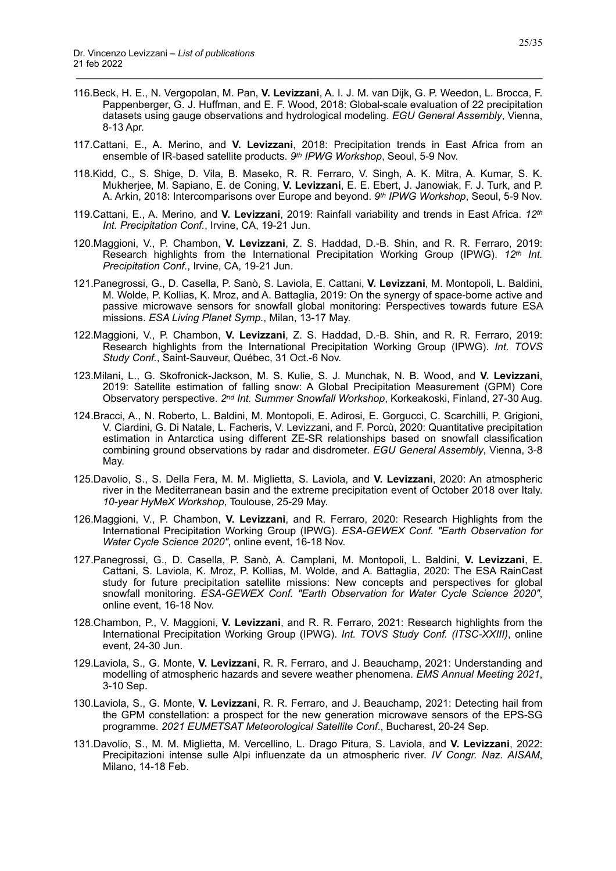116.Beck, H. E., N. Vergopolan, M. Pan, **V. Levizzani**, A. I. J. M. van Dijk, G. P. Weedon, L. Brocca, F. Pappenberger, G. J. Huffman, and E. F. Wood, 2018: Global-scale evaluation of 22 precipitation datasets using gauge observations and hydrological modeling. *EGU General Assembly*, Vienna, 8-13 Apr.

- 117.Cattani, E., A. Merino, and **V. Levizzani**, 2018: Precipitation trends in East Africa from an ensemble of IR-based satellite products. *9th IPWG Workshop*, Seoul, 5-9 Nov.
- 118.Kidd, C., S. Shige, D. Vila, B. Maseko, R. R. Ferraro, V. Singh, A. K. Mitra, A. Kumar, S. K. Mukherjee, M. Sapiano, E. de Coning, **V. Levizzani**, E. E. Ebert, J. Janowiak, F. J. Turk, and P. A. Arkin, 2018: Intercomparisons over Europe and beyond. *9th IPWG Workshop*, Seoul, 5-9 Nov.
- 119.Cattani, E., A. Merino, and **V. Levizzani**, 2019: Rainfall variability and trends in East Africa. *12th Int. Precipitation Conf.*, Irvine, CA, 19-21 Jun.
- 120.Maggioni, V., P. Chambon, **V. Levizzani**, Z. S. Haddad, D.-B. Shin, and R. R. Ferraro, 2019: Research highlights from the International Precipitation Working Group (IPWG). *12th Int. Precipitation Conf.*, Irvine, CA, 19-21 Jun.
- 121.Panegrossi, G., D. Casella, P. Sanò, S. Laviola, E. Cattani, **V. Levizzani**, M. Montopoli, L. Baldini, M. Wolde, P. Kollias, K. Mroz, and A. Battaglia, 2019: On the synergy of space-borne active and passive microwave sensors for snowfall global monitoring: Perspectives towards future ESA missions. *ESA Living Planet Symp.*, Milan, 13-17 May.
- 122.Maggioni, V., P. Chambon, **V. Levizzani**, Z. S. Haddad, D.-B. Shin, and R. R. Ferraro, 2019: Research highlights from the International Precipitation Working Group (IPWG). *Int. TOVS Study Conf.*, Saint-Sauveur, Québec, 31 Oct.-6 Nov.
- 123.Milani, L., G. Skofronick-Jackson, M. S. Kulie, S. J. Munchak, N. B. Wood, and **V. Levizzani**, 2019: Satellite estimation of falling snow: A Global Precipitation Measurement (GPM) Core Observatory perspective. *2nd Int. Summer Snowfall Workshop*, Korkeakoski, Finland, 27-30 Aug.
- 124.Bracci, A., N. Roberto, L. Baldini, M. Montopoli, E. Adirosi, E. Gorgucci, C. Scarchilli, P. Grigioni, V. Ciardini, G. Di Natale, L. Facheris, V. Levizzani, and F. Porcù, 2020: Quantitative precipitation estimation in Antarctica using different ZE-SR relationships based on snowfall classification combining ground observations by radar and disdrometer. *EGU General Assembly*, Vienna, 3-8 May.
- 125.Davolio, S., S. Della Fera, M. M. Miglietta, S. Laviola, and **V. Levizzani**, 2020: An atmospheric river in the Mediterranean basin and the extreme precipitation event of October 2018 over Italy. *10-year HyMeX Workshop*, Toulouse, 25-29 May.
- 126.Maggioni, V., P. Chambon, **V. Levizzani**, and R. Ferraro, 2020: Research Highlights from the International Precipitation Working Group (IPWG). *ESA-GEWEX Conf. "Earth Observation for Water Cycle Science 2020"*, online event, 16-18 Nov.
- 127.Panegrossi, G., D. Casella, P. Sanò, A. Camplani, M. Montopoli, L. Baldini, **V. Levizzani**, E. Cattani, S. Laviola, K. Mroz, P. Kollias, M. Wolde, and A. Battaglia, 2020: The ESA RainCast study for future precipitation satellite missions: New concepts and perspectives for global snowfall monitoring. *ESA-GEWEX Conf. "Earth Observation for Water Cycle Science 2020"*, online event, 16-18 Nov.
- 128.Chambon, P., V. Maggioni, **V. Levizzani**, and R. R. Ferraro, 2021: Research highlights from the International Precipitation Working Group (IPWG). *Int. TOVS Study Conf. (ITSC-XXIII)*, online event, 24-30 Jun.
- 129.Laviola, S., G. Monte, **V. Levizzani**, R. R. Ferraro, and J. Beauchamp, 2021: Understanding and modelling of atmospheric hazards and severe weather phenomena. *EMS Annual Meeting 2021*, 3-10 Sep.
- 130.Laviola, S., G. Monte, **V. Levizzani**, R. R. Ferraro, and J. Beauchamp, 2021: Detecting hail from the GPM constellation: a prospect for the new generation microwave sensors of the EPS-SG programme. *2021 EUMETSAT Meteorological Satellite Conf*., Bucharest, 20-24 Sep.
- 131.Davolio, S., M. M. Miglietta, M. Vercellino, L. Drago Pitura, S. Laviola, and **V. Levizzani**, 2022: Precipitazioni intense sulle Alpi influenzate da un atmospheric river. *IV Congr. Naz. AISAM*, Milano, 14-18 Feb.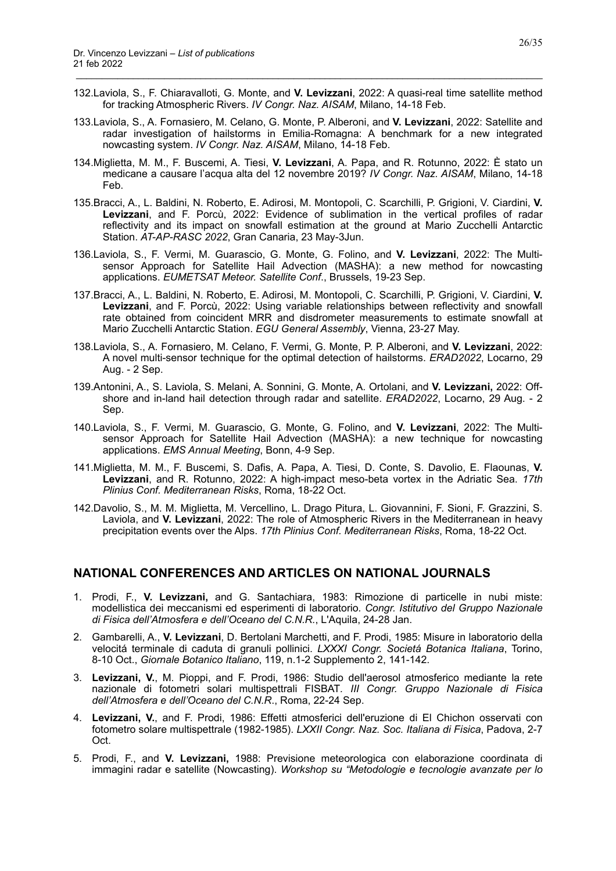132.Laviola, S., F. Chiaravalloti, G. Monte, and **V. Levizzani**, 2022: A quasi-real time satellite method for tracking Atmospheric Rivers. *IV Congr. Naz. AISAM*, Milano, 14-18 Feb.

\_\_\_\_\_\_\_\_\_\_\_\_\_\_\_\_\_\_\_\_\_\_\_\_\_\_\_\_\_\_\_\_\_\_\_\_\_\_\_\_\_\_\_\_\_\_\_\_\_\_\_\_\_\_\_\_\_\_\_\_\_\_\_\_\_\_\_\_\_\_\_\_\_\_\_\_\_\_\_\_\_\_\_\_\_\_\_\_\_\_

- 133.Laviola, S., A. Fornasiero, M. Celano, G. Monte, P. Alberoni, and **V. Levizzani**, 2022: Satellite and radar investigation of hailstorms in Emilia-Romagna: A benchmark for a new integrated nowcasting system. *IV Congr. Naz. AISAM*, Milano, 14-18 Feb.
- 134.Miglietta, M. M., F. Buscemi, A. Tiesi, **V. Levizzani**, A. Papa, and R. Rotunno, 2022: È stato un medicane a causare l'acqua alta del 12 novembre 2019? *IV Congr. Naz. AISAM*, Milano, 14-18 Feb.
- 135.Bracci, A., L. Baldini, N. Roberto, E. Adirosi, M. Montopoli, C. Scarchilli, P. Grigioni, V. Ciardini, **V. Levizzani**, and F. Porcù, 2022: Evidence of sublimation in the vertical profiles of radar reflectivity and its impact on snowfall estimation at the ground at Mario Zucchelli Antarctic Station. *AT-AP-RASC 2022*, Gran Canaria, 23 May-3Jun.
- 136.Laviola, S., F. Vermi, M. Guarascio, G. Monte, G. Folino, and **V. Levizzani**, 2022: The Multisensor Approach for Satellite Hail Advection (MASHA): a new method for nowcasting applications. *EUMETSAT Meteor. Satellite Conf*., Brussels, 19-23 Sep.
- 137.Bracci, A., L. Baldini, N. Roberto, E. Adirosi, M. Montopoli, C. Scarchilli, P. Grigioni, V. Ciardini, **V. Levizzani**, and F. Porcù, 2022: Using variable relationships between reflectivity and snowfall rate obtained from coincident MRR and disdrometer measurements to estimate snowfall at Mario Zucchelli Antarctic Station. *EGU General Assembly*, Vienna, 23-27 May.
- 138.Laviola, S., A. Fornasiero, M. Celano, F. Vermi, G. Monte, P. P. Alberoni, and **V. Levizzani**, 2022: A novel multi-sensor technique for the optimal detection of hailstorms. *ERAD2022*, Locarno, 29 Aug. - 2 Sep.
- 139.Antonini, A., S. Laviola, S. Melani, A. Sonnini, G. Monte, A. Ortolani, and **V. Levizzani,** 2022: Offshore and in-land hail detection through radar and satellite. *ERAD2022*, Locarno, 29 Aug. - 2 Sep.
- 140.Laviola, S., F. Vermi, M. Guarascio, G. Monte, G. Folino, and **V. Levizzani**, 2022: The Multisensor Approach for Satellite Hail Advection (MASHA): a new technique for nowcasting applications. *EMS Annual Meeting*, Bonn, 4-9 Sep.
- 141.Miglietta, M. M., F. Buscemi, S. Dafis, A. Papa, A. Tiesi, D. Conte, S. Davolio, E. Flaounas, **V. Levizzani**, and R. Rotunno, 2022: A high-impact meso-beta vortex in the Adriatic Sea. *17th Plinius Conf. Mediterranean Risks*, Roma, 18-22 Oct.
- 142.Davolio, S., M. M. Miglietta, M. Vercellino, L. Drago Pitura, L. Giovannini, F. Sioni, F. Grazzini, S. Laviola, and **V. Levizzani**, 2022: The role of Atmospheric Rivers in the Mediterranean in heavy precipitation events over the Alps. *17th Plinius Conf. Mediterranean Risks*, Roma, 18-22 Oct.

#### <span id="page-25-0"></span>**NATIONAL CONFERENCES AND ARTICLES ON NATIONAL JOURNALS**

- 1. Prodi, F., **V. Levizzani,** and G. Santachiara, 1983: Rimozione di particelle in nubi miste: modellistica dei meccanismi ed esperimenti di laboratorio*. Congr. Istitutivo del Gruppo Nazionale di Fisica dell'Atmosfera e dell'Oceano del C.N.R.*, L'Aquila, 24-28 Jan.
- 2. Gambarelli, A., **V. Levizzani**, D. Bertolani Marchetti, and F. Prodi, 1985: Misure in laboratorio della velocitá terminale di caduta di granuli pollinici. *LXXXI Congr. Societá Botanica Italiana*, Torino, 8-10 Oct., *Giornale Botanico Italiano*, 119, n.1-2 Supplemento 2, 141-142.
- 3. **Levizzani, V.**, M. Pioppi, and F. Prodi, 1986: Studio dell'aerosol atmosferico mediante la rete nazionale di fotometri solari multispettrali FISBAT*. III Congr. Gruppo Nazionale di Fisica dell'Atmosfera e dell'Oceano del C.N.R*., Roma, 22-24 Sep.
- 4. **Levizzani, V.**, and F. Prodi, 1986: Effetti atmosferici dell'eruzione di El Chichon osservati con fotometro solare multispettrale (1982-1985). *LXXII Congr. Naz. Soc. Italiana di Fisica*, Padova, 2-7 Oct.
- 5. Prodi, F., and **V. Levizzani,** 1988: Previsione meteorologica con elaborazione coordinata di immagini radar e satellite (Nowcasting). *Workshop su "Metodologie e tecnologie avanzate per lo*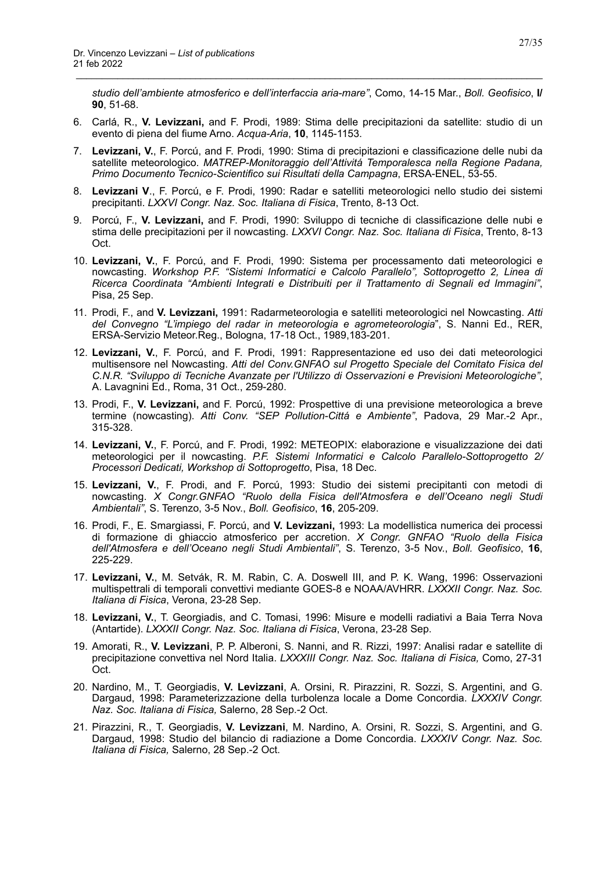*studio dell'ambiente atmosferico e dell'interfaccia aria-mare"*, Como, 14-15 Mar., *Boll. Geofisico*, **I/ 90**, 51-68.

6. Carlá, R., **V. Levizzani,** and F. Prodi, 1989: Stima delle precipitazioni da satellite: studio di un evento di piena del fiume Arno. *Acqua-Aria*, **10**, 1145-1153.

- 7. **Levizzani, V.**, F. Porcú, and F. Prodi, 1990: Stima di precipitazioni e classificazione delle nubi da satellite meteorologico. *MATREP-Monitoraggio dell'Attivitá Temporalesca nella Regione Padana, Primo Documento Tecnico-Scientifico sui Risultati della Campagna*, ERSA-ENEL, 53-55.
- 8. **Levizzani V**., F. Porcú, e F. Prodi, 1990: Radar e satelliti meteorologici nello studio dei sistemi precipitanti. *LXXVI Congr. Naz. Soc. Italiana di Fisica*, Trento, 8-13 Oct.
- 9. Porcú, F., **V. Levizzani,** and F. Prodi, 1990: Sviluppo di tecniche di classificazione delle nubi e stima delle precipitazioni per il nowcasting. *LXXVI Congr. Naz. Soc. Italiana di Fisica*, Trento, 8-13 Oct.
- 10. **Levizzani, V.**, F. Porcú, and F. Prodi, 1990: Sistema per processamento dati meteorologici e nowcasting. *Workshop P.F. "Sistemi Informatici e Calcolo Parallelo", Sottoprogetto 2, Linea di Ricerca Coordinata "Ambienti Integrati e Distribuiti per il Trattamento di Segnali ed Immagini"*, Pisa, 25 Sep.
- 11. Prodi, F., and **V. Levizzani,** 1991: Radarmeteorologia e satelliti meteorologici nel Nowcasting. *Atti del Convegno "L'impiego del radar in meteorologia e agrometeorologia*", S. Nanni Ed., RER, ERSA-Servizio Meteor.Reg., Bologna, 17-18 Oct., 1989,183-201.
- 12. **Levizzani, V.**, F. Porcú, and F. Prodi, 1991: Rappresentazione ed uso dei dati meteorologici multisensore nel Nowcasting. *Atti del Conv.GNFAO sul Progetto Speciale del Comitato Fisica del C.N.R. "Sviluppo di Tecniche Avanzate per l'Utilizzo di Osservazioni e Previsioni Meteorologiche"*, A. Lavagnini Ed., Roma, 31 Oct., 259-280.
- 13. Prodi, F., **V. Levizzani,** and F. Porcú, 1992: Prospettive di una previsione meteorologica a breve termine (nowcasting). *Atti Conv. "SEP Pollution-Cittá e Ambiente"*, Padova, 29 Mar.-2 Apr., 315-328.
- 14. **Levizzani, V.**, F. Porcú, and F. Prodi, 1992: METEOPIX: elaborazione e visualizzazione dei dati meteorologici per il nowcasting. *P.F. Sistemi Informatici e Calcolo Parallelo-Sottoprogetto 2/ Processori Dedicati, Workshop di Sottoprogetto*, Pisa, 18 Dec.
- 15. **Levizzani, V.**, F. Prodi, and F. Porcú, 1993: Studio dei sistemi precipitanti con metodi di nowcasting. *X Congr.GNFAO "Ruolo della Fisica dell'Atmosfera e dell'Oceano negli Studi Ambientali"*, S. Terenzo, 3-5 Nov., *Boll. Geofisico*, **16**, 205-209.
- 16. Prodi, F., E. Smargiassi, F. Porcú, and **V. Levizzani,** 1993: La modellistica numerica dei processi di formazione di ghiaccio atmosferico per accretion. *X Congr. GNFAO "Ruolo della Fisica dell'Atmosfera e dell'Oceano negli Studi Ambientali"*, S. Terenzo, 3-5 Nov., *Boll. Geofisico*, **16**, 225-229.
- 17. **Levizzani, V.**, M. Setvák, R. M. Rabin, C. A. Doswell III, and P. K. Wang, 1996: Osservazioni multispettrali di temporali convettivi mediante GOES-8 e NOAA/AVHRR. *LXXXII Congr. Naz. Soc. Italiana di Fisica*, Verona, 23-28 Sep.
- 18. **Levizzani, V.**, T. Georgiadis, and C. Tomasi, 1996: Misure e modelli radiativi a Baia Terra Nova (Antartide). *LXXXII Congr. Naz. Soc. Italiana di Fisica*, Verona, 23-28 Sep.
- 19. Amorati, R., **V. Levizzani**, P. P. Alberoni, S. Nanni, and R. Rizzi, 1997: Analisi radar e satellite di precipitazione convettiva nel Nord Italia. *LXXXIII Congr. Naz. Soc. Italiana di Fisica,* Como, 27-31 Oct.
- 20. Nardino, M., T. Georgiadis, **V. Levizzani**, A. Orsini, R. Pirazzini, R. Sozzi, S. Argentini, and G. Dargaud, 1998: Parameterizzazione della turbolenza locale a Dome Concordia. *LXXXIV Congr. Naz. Soc. Italiana di Fisica,* Salerno, 28 Sep.-2 Oct.
- 21. Pirazzini, R., T. Georgiadis, **V. Levizzani**, M. Nardino, A. Orsini, R. Sozzi, S. Argentini, and G. Dargaud, 1998: Studio del bilancio di radiazione a Dome Concordia. *LXXXIV Congr. Naz. Soc. Italiana di Fisica,* Salerno, 28 Sep.-2 Oct.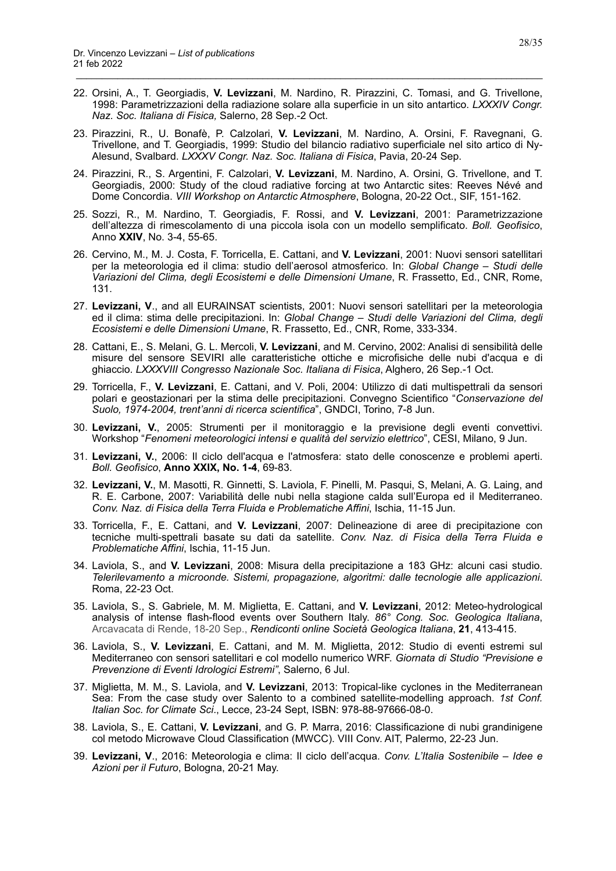22. Orsini, A., T. Georgiadis, **V. Levizzani**, M. Nardino, R. Pirazzini, C. Tomasi, and G. Trivellone, 1998: Parametrizzazioni della radiazione solare alla superficie in un sito antartico. *LXXXIV Congr. Naz. Soc. Italiana di Fisica,* Salerno, 28 Sep.-2 Oct.

- 23. Pirazzini, R., U. Bonafè, P. Calzolari, **V. Levizzani**, M. Nardino, A. Orsini, F. Ravegnani, G. Trivellone, and T. Georgiadis, 1999: Studio del bilancio radiativo superficiale nel sito artico di Ny-Alesund, Svalbard. *LXXXV Congr. Naz. Soc. Italiana di Fisica*, Pavia, 20-24 Sep.
- 24. Pirazzini, R., S. Argentini, F. Calzolari, **V. Levizzani**, M. Nardino, A. Orsini, G. Trivellone, and T. Georgiadis, 2000: Study of the cloud radiative forcing at two Antarctic sites: Reeves Névé and Dome Concordia. *VIII Workshop on Antarctic Atmosphere*, Bologna, 20-22 Oct., SIF, 151-162.
- 25. Sozzi, R., M. Nardino, T. Georgiadis, F. Rossi, and **V. Levizzani**, 2001: Parametrizzazione dell'altezza di rimescolamento di una piccola isola con un modello semplificato. *Boll. Geofisico*, Anno **XXIV**, No. 3-4, 55-65.
- 26. Cervino, M., M. J. Costa, F. Torricella, E. Cattani, and **V. Levizzani**, 2001: Nuovi sensori satellitari per la meteorologia ed il clima: studio dell'aerosol atmosferico. In: *Global Change – Studi delle Variazioni del Clima, degli Ecosistemi e delle Dimensioni Umane*, R. Frassetto, Ed., CNR, Rome, 131.
- 27. **Levizzani, V**., and all EURAINSAT scientists, 2001: Nuovi sensori satellitari per la meteorologia ed il clima: stima delle precipitazioni. In: *Global Change – Studi delle Variazioni del Clima, degli Ecosistemi e delle Dimensioni Umane*, R. Frassetto, Ed., CNR, Rome, 333-334.
- 28. Cattani, E., S. Melani, G. L. Mercoli, **V. Levizzani**, and M. Cervino, 2002: Analisi di sensibilità delle misure del sensore SEVIRI alle caratteristiche ottiche e microfisiche delle nubi d'acqua e di ghiaccio. *LXXXVIII Congresso Nazionale Soc. Italiana di Fisica*, Alghero, 26 Sep.-1 Oct.
- 29. Torricella, F., **V. Levizzani**, E. Cattani, and V. Poli, 2004: Utilizzo di dati multispettrali da sensori polari e geostazionari per la stima delle precipitazioni. Convegno Scientifico "*Conservazione del Suolo, 1974-2004, trent'anni di ricerca scientifica*", GNDCI, Torino, 7-8 Jun.
- 30. **Levizzani, V.**, 2005: Strumenti per il monitoraggio e la previsione degli eventi convettivi. Workshop "*Fenomeni meteorologici intensi e qualità del servizio elettrico*", CESI, Milano, 9 Jun.
- 31. **Levizzani, V.**, 2006: Il ciclo dell'acqua e l'atmosfera: stato delle conoscenze e problemi aperti. *Boll. Geofisico*, **Anno XXIX, No. 1-4**, 69-83.
- 32. **Levizzani, V.**, M. Masotti, R. Ginnetti, S. Laviola, F. Pinelli, M. Pasqui, S, Melani, A. G. Laing, and R. E. Carbone, 2007: Variabilità delle nubi nella stagione calda sull'Europa ed il Mediterraneo. *Conv. Naz. di Fisica della Terra Fluida e Problematiche Affini*, Ischia, 11-15 Jun.
- 33. Torricella, F., E. Cattani, and **V. Levizzani**, 2007: Delineazione di aree di precipitazione con tecniche multi-spettrali basate su dati da satellite. *Conv. Naz. di Fisica della Terra Fluida e Problematiche Affini*, Ischia, 11-15 Jun.
- 34. Laviola, S., and **V. Levizzani**, 2008: Misura della precipitazione a 183 GHz: alcuni casi studio. *Telerilevamento a microonde. Sistemi, propagazione, algoritmi: dalle tecnologie alle applicazioni*. Roma, 22-23 Oct.
- 35. Laviola, S., S. Gabriele, M. M. Miglietta, E. Cattani, and **V. Levizzani**, 2012: Meteo-hydrological analysis of intense flash-flood events over Southern Italy. *86° Cong. Soc. Geologica Italiana*, Arcavacata di Rende, 18-20 Sep., *Rendiconti online Società Geologica Italiana*, **21**, 413-415.
- 36. Laviola, S., **V. Levizzani**, E. Cattani, and M. M. Miglietta, 2012: Studio di eventi estremi sul Mediterraneo con sensori satellitari e col modello numerico WRF. *Giornata di Studio "Previsione e Prevenzione di Eventi Idrologici Estremi"*, Salerno, 6 Jul.
- 37. Miglietta, M. M., S. Laviola, and **V. Levizzani**, 2013: Tropical-like cyclones in the Mediterranean Sea: From the case study over Salento to a combined satellite-modelling approach. *1st Conf. Italian Soc. for Climate Sci*., Lecce, 23-24 Sept, ISBN: 978-88-97666-08-0.
- 38. Laviola, S., E. Cattani, **V. Levizzani**, and G. P. Marra, 2016: Classificazione di nubi grandinigene col metodo Microwave Cloud Classification (MWCC). VIII Conv. AIT, Palermo, 22-23 Jun.
- 39. **Levizzani, V**., 2016: Meteorologia e clima: Il ciclo dell'acqua. *Conv. L'Italia Sostenibile Idee e Azioni per il Futuro*, Bologna, 20-21 May.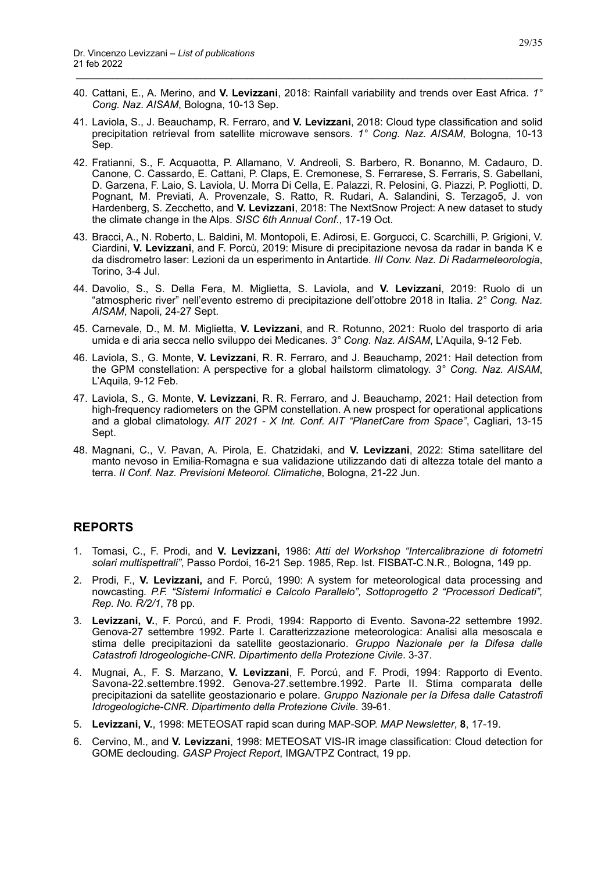40. Cattani, E., A. Merino, and **V. Levizzani**, 2018: Rainfall variability and trends over East Africa. *1° Cong. Naz. AISAM*, Bologna, 10-13 Sep.

\_\_\_\_\_\_\_\_\_\_\_\_\_\_\_\_\_\_\_\_\_\_\_\_\_\_\_\_\_\_\_\_\_\_\_\_\_\_\_\_\_\_\_\_\_\_\_\_\_\_\_\_\_\_\_\_\_\_\_\_\_\_\_\_\_\_\_\_\_\_\_\_\_\_\_\_\_\_\_\_\_\_\_\_\_\_\_\_\_\_

- 41. Laviola, S., J. Beauchamp, R. Ferraro, and **V. Levizzani**, 2018: Cloud type classification and solid precipitation retrieval from satellite microwave sensors. *1° Cong. Naz. AISAM*, Bologna, 10-13 Sep.
- 42. Fratianni, S., F. Acquaotta, P. Allamano, V. Andreoli, S. Barbero, R. Bonanno, M. Cadauro, D. Canone, C. Cassardo, E. Cattani, P. Claps, E. Cremonese, S. Ferrarese, S. Ferraris, S. Gabellani, D. Garzena, F. Laio, S. Laviola, U. Morra Di Cella, E. Palazzi, R. Pelosini, G. Piazzi, P. Pogliotti, D. Pognant, M. Previati, A. Provenzale, S. Ratto, R. Rudari, A. Salandini, S. Terzago5, J. von Hardenberg, S. Zecchetto, and **V. Levizzani**, 2018: The NextSnow Project: A new dataset to study the climate change in the Alps. *SISC 6th Annual Conf*., 17-19 Oct.
- 43. Bracci, A., N. Roberto, L. Baldini, M. Montopoli, E. Adirosi, E. Gorgucci, C. Scarchilli, P. Grigioni, V. Ciardini, **V. Levizzani**, and F. Porcù, 2019: Misure di precipitazione nevosa da radar in banda K e da disdrometro laser: Lezioni da un esperimento in Antartide. *III Conv. Naz. Di Radarmeteorologia*, Torino, 3-4 Jul.
- 44. Davolio, S., S. Della Fera, M. Miglietta, S. Laviola, and **V. Levizzani**, 2019: Ruolo di un "atmospheric river" nell'evento estremo di precipitazione dell'ottobre 2018 in Italia. *2° Cong. Naz. AISAM*, Napoli, 24-27 Sept.
- 45. Carnevale, D., M. M. Miglietta, **V. Levizzani**, and R. Rotunno, 2021: Ruolo del trasporto di aria umida e di aria secca nello sviluppo dei Medicanes. *3° Cong. Naz. AISAM*, L'Aquila, 9-12 Feb.
- 46. Laviola, S., G. Monte, **V. Levizzani**, R. R. Ferraro, and J. Beauchamp, 2021: Hail detection from the GPM constellation: A perspective for a global hailstorm climatology. *3° Cong. Naz. AISAM*, L'Aquila, 9-12 Feb.
- 47. Laviola, S., G. Monte, **V. Levizzani**, R. R. Ferraro, and J. Beauchamp, 2021: Hail detection from high-frequency radiometers on the GPM constellation. A new prospect for operational applications and a global climatology. *AIT 2021 - X Int. Conf. AIT "PlanetCare from Space"*, Cagliari, 13-15 Sept.
- 48. Magnani, C., V. Pavan, A. Pirola, E. Chatzidaki, and **V. Levizzani**, 2022: Stima satellitare del manto nevoso in Emilia-Romagna e sua validazione utilizzando dati di altezza totale del manto a terra. *II Conf. Naz. Previsioni Meteorol. Climatiche*, Bologna, 21-22 Jun.

#### <span id="page-28-0"></span>**REPORTS**

- 1. Tomasi, C., F. Prodi, and **V. Levizzani,** 1986: *Atti del Workshop "Intercalibrazione di fotometri solari multispettrali"*, Passo Pordoi, 16-21 Sep. 1985, Rep. Ist. FISBAT-C.N.R., Bologna, 149 pp.
- 2. Prodi, F., **V. Levizzani,** and F. Porcú, 1990: A system for meteorological data processing and nowcasting*. P.F. "Sistemi Informatici e Calcolo Parallelo", Sottoprogetto 2 "Processori Dedicati", Rep. No. R/2/1*, 78 pp.
- 3. **Levizzani, V.**, F. Porcú, and F. Prodi, 1994: Rapporto di Evento. Savona-22 settembre 1992. Genova-27 settembre 1992. Parte I. Caratterizzazione meteorologica: Analisi alla mesoscala e stima delle precipitazioni da satellite geostazionario. *Gruppo Nazionale per la Difesa dalle Catastrofi Idrogeologiche-CNR*. *Dipartimento della Protezione Civile*. 3-37.
- 4. Mugnai, A., F. S. Marzano, **V. Levizzani**, F. Porcú, and F. Prodi, 1994: Rapporto di Evento. Savona-22.settembre.1992. Genova-27.settembre.1992. Parte II. Stima comparata delle precipitazioni da satellite geostazionario e polare. *Gruppo Nazionale per la Difesa dalle Catastrofi Idrogeologiche-CNR*. *Dipartimento della Protezione Civile*. 39-61.
- 5. **Levizzani, V.**, 1998: METEOSAT rapid scan during MAP-SOP. *MAP Newsletter*, **8**, 17-19.
- 6. Cervino, M., and **V. Levizzani**, 1998: METEOSAT VIS-IR image classification: Cloud detection for GOME declouding. *GASP Project Report*, IMGA/TPZ Contract, 19 pp.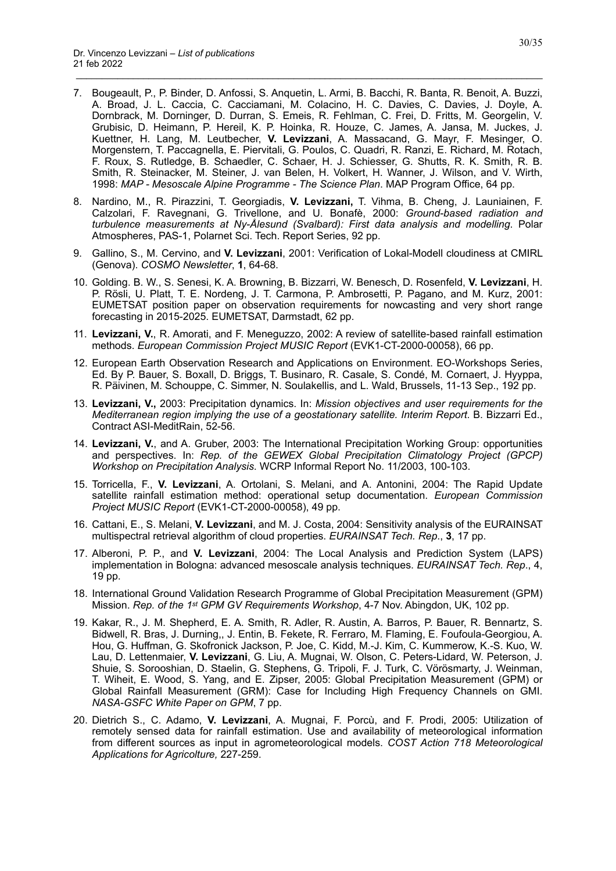7. Bougeault, P., P. Binder, D. Anfossi, S. Anquetin, L. Armi, B. Bacchi, R. Banta, R. Benoit, A. Buzzi, A. Broad, J. L. Caccia, C. Cacciamani, M. Colacino, H. C. Davies, C. Davies, J. Doyle, A. Dornbrack, M. Dorninger, D. Durran, S. Emeis, R. Fehlman, C. Frei, D. Fritts, M. Georgelin, V. Grubisic, D. Heimann, P. Hereil, K. P. Hoinka, R. Houze, C. James, A. Jansa, M. Juckes, J. Kuettner, H. Lang, M. Leutbecher, **V. Levizzani**, A. Massacand, G. Mayr, F. Mesinger, O. Morgenstern, T. Paccagnella, E. Piervitali, G. Poulos, C. Quadri, R. Ranzi, E. Richard, M. Rotach, F. Roux, S. Rutledge, B. Schaedler, C. Schaer, H. J. Schiesser, G. Shutts, R. K. Smith, R. B. Smith, R. Steinacker, M. Steiner, J. van Belen, H. Volkert, H. Wanner, J. Wilson, and V. Wirth, 1998: *MAP - Mesoscale Alpine Programme - The Science Plan*. MAP Program Office, 64 pp.

- 8. Nardino, M., R. Pirazzini, T. Georgiadis, **V. Levizzani,** T. Vihma, B. Cheng, J. Launiainen, F. Calzolari, F. Ravegnani, G. Trivellone, and U. Bonafè, 2000: *Ground-based radiation and turbulence measurements at Ny-Ålesund (Svalbard): First data analysis and modelling*. Polar Atmospheres, PAS-1, Polarnet Sci. Tech. Report Series, 92 pp.
- 9. Gallino, S., M. Cervino, and **V. Levizzani**, 2001: Verification of Lokal-Modell cloudiness at CMIRL (Genova). *COSMO Newsletter*, **1**, 64-68.
- 10. Golding. B. W., S. Senesi, K. A. Browning, B. Bizzarri, W. Benesch, D. Rosenfeld, **V. Levizzani**, H. P. Rösli, U. Platt, T. E. Nordeng, J. T. Carmona, P. Ambrosetti, P. Pagano, and M. Kurz, 2001: EUMETSAT position paper on observation requirements for nowcasting and very short range forecasting in 2015-2025. EUMETSAT, Darmstadt, 62 pp.
- 11. **Levizzani, V.**, R. Amorati, and F. Meneguzzo, 2002: A review of satellite-based rainfall estimation methods. *European Commission Project MUSIC Report* (EVK1-CT-2000-00058), 66 pp.
- 12. European Earth Observation Research and Applications on Environment. EO-Workshops Series, Ed. By P. Bauer, S. Boxall, D. Briggs, T. Businaro, R. Casale, S. Condé, M. Cornaert, J. Hyyppa, R. Päivinen, M. Schouppe, C. Simmer, N. Soulakellis, and L. Wald, Brussels, 11-13 Sep., 192 pp.
- 13. **Levizzani, V.,** 2003: Precipitation dynamics. In: *Mission objectives and user requirements for the Mediterranean region implying the use of a geostationary satellite. Interim Report*. B. Bizzarri Ed., Contract ASI-MeditRain, 52-56.
- 14. **Levizzani, V.**, and A. Gruber, 2003: The International Precipitation Working Group: opportunities and perspectives. In: *Rep. of the GEWEX Global Precipitation Climatology Project (GPCP) Workshop on Precipitation Analysis*. WCRP Informal Report No. 11/2003, 100-103.
- 15. Torricella, F., **V. Levizzani**, A. Ortolani, S. Melani, and A. Antonini, 2004: The Rapid Update satellite rainfall estimation method: operational setup documentation. *European Commission Project MUSIC Report* (EVK1-CT-2000-00058), 49 pp.
- 16. Cattani, E., S. Melani, **V. Levizzani**, and M. J. Costa, 2004: Sensitivity analysis of the EURAINSAT multispectral retrieval algorithm of cloud properties. *EURAINSAT Tech. Rep*., **3**, 17 pp.
- 17. Alberoni, P. P., and **V. Levizzani**, 2004: The Local Analysis and Prediction System (LAPS) implementation in Bologna: advanced mesoscale analysis techniques. *EURAINSAT Tech. Rep*., 4, 19 pp.
- 18. International Ground Validation Research Programme of Global Precipitation Measurement (GPM) Mission. *Rep. of the 1st GPM GV Requirements Workshop*, 4-7 Nov. Abingdon, UK, 102 pp.
- 19. Kakar, R., J. M. Shepherd, E. A. Smith, R. Adler, R. Austin, A. Barros, P. Bauer, R. Bennartz, S. Bidwell, R. Bras, J. Durning,, J. Entin, B. Fekete, R. Ferraro, M. Flaming, E. Foufoula-Georgiou, A. Hou, G. Huffman, G. Skofronick Jackson, P. Joe, C. Kidd, M.-J. Kim, C. Kummerow, K.-S. Kuo, W. Lau, D. Lettenmaier, **V. Levizzani**, G. Liu, A. Mugnai, W. Olson, C. Peters-Lidard, W. Peterson, J. Shuie, S. Sorooshian, D. Staelin, G. Stephens, G. Tripoli, F. J. Turk, C. Vörösmarty, J. Weinman, T. Wiheit, E. Wood, S. Yang, and E. Zipser, 2005: Global Precipitation Measurement (GPM) or Global Rainfall Measurement (GRM): Case for Including High Frequency Channels on GMI. *NASA-GSFC White Paper on GPM*, 7 pp.
- 20. Dietrich S., C. Adamo, **V. Levizzani**, A. Mugnai, F. Porcù, and F. Prodi, 2005: Utilization of remotely sensed data for rainfall estimation. Use and availability of meteorological information from different sources as input in agrometeorological models. *COST Action 718 Meteorological Applications for Agricolture,* 227-259.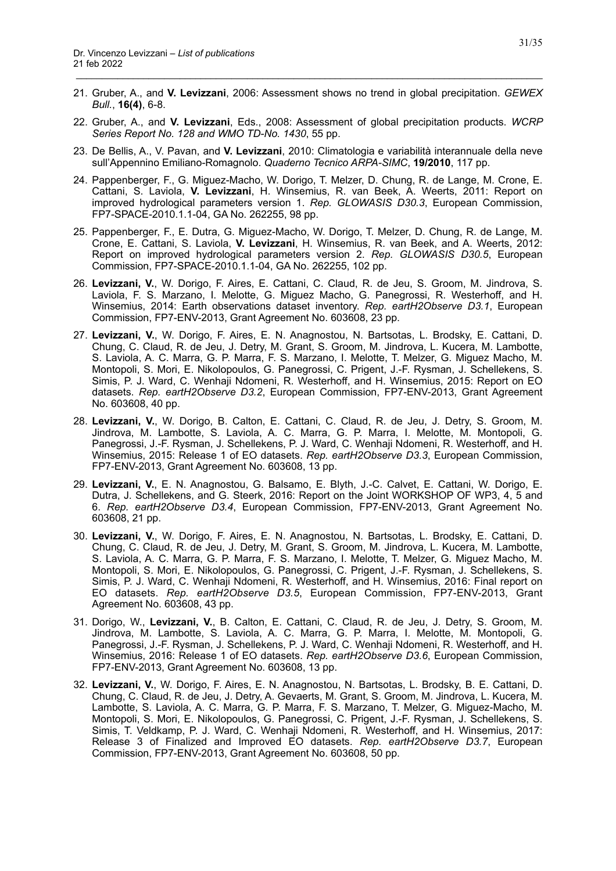21. Gruber, A., and **V. Levizzani**, 2006: Assessment shows no trend in global precipitation. *GEWEX Bull.*, **16(4)**, 6-8.

- 22. Gruber, A., and **V. Levizzani**, Eds., 2008: Assessment of global precipitation products. *WCRP Series Report No. 128 and WMO TD-No. 1430*, 55 pp.
- 23. De Bellis, A., V. Pavan, and **V. Levizzani**, 2010: Climatologia e variabilità interannuale della neve sull'Appennino Emiliano-Romagnolo. *Quaderno Tecnico ARPA-SIMC*, **19/2010**, 117 pp.
- 24. Pappenberger, F., G. Miguez-Macho, W. Dorigo, T. Melzer, D. Chung, R. de Lange, M. Crone, E. Cattani, S. Laviola, **V. Levizzani**, H. Winsemius, R. van Beek, A. Weerts, 2011: Report on improved hydrological parameters version 1. *Rep. GLOWASIS D30.3*, European Commission, FP7-SPACE-2010.1.1-04, GA No. 262255, 98 pp.
- 25. Pappenberger, F., E. Dutra, G. Miguez-Macho, W. Dorigo, T. Melzer, D. Chung, R. de Lange, M. Crone, E. Cattani, S. Laviola, **V. Levizzani**, H. Winsemius, R. van Beek, and A. Weerts, 2012: Report on improved hydrological parameters version 2. *Rep. GLOWASIS D30.5*, European Commission, FP7-SPACE-2010.1.1-04, GA No. 262255, 102 pp.
- 26. **Levizzani, V.**, W. Dorigo, F. Aires, E. Cattani, C. Claud, R. de Jeu, S. Groom, M. Jindrova, S. Laviola, F. S. Marzano, I. Melotte, G. Miguez Macho, G. Panegrossi, R. Westerhoff, and H. Winsemius, 2014: Earth observations dataset inventory. *Rep. eartH2Observe D3.1*, European Commission, FP7-ENV-2013, Grant Agreement No. 603608, 23 pp.
- 27. **Levizzani, V.**, W. Dorigo, F. Aires, E. N. Anagnostou, N. Bartsotas, L. Brodsky, E. Cattani, D. Chung, C. Claud, R. de Jeu, J. Detry, M. Grant, S. Groom, M. Jindrova, L. Kucera, M. Lambotte, S. Laviola, A. C. Marra, G. P. Marra, F. S. Marzano, I. Melotte, T. Melzer, G. Miguez Macho, M. Montopoli, S. Mori, E. Nikolopoulos, G. Panegrossi, C. Prigent, J.-F. Rysman, J. Schellekens, S. Simis, P. J. Ward, C. Wenhaji Ndomeni, R. Westerhoff, and H. Winsemius, 2015: Report on EO datasets. *Rep. eartH2Observe D3.2*, European Commission, FP7-ENV-2013, Grant Agreement No. 603608, 40 pp.
- 28. **Levizzani, V.**, W. Dorigo, B. Calton, E. Cattani, C. Claud, R. de Jeu, J. Detry, S. Groom, M. Jindrova, M. Lambotte, S. Laviola, A. C. Marra, G. P. Marra, I. Melotte, M. Montopoli, G. Panegrossi, J.-F. Rysman, J. Schellekens, P. J. Ward, C. Wenhaji Ndomeni, R. Westerhoff, and H. Winsemius, 2015: Release 1 of EO datasets. *Rep. eartH2Observe D3.3*, European Commission, FP7-ENV-2013, Grant Agreement No. 603608, 13 pp.
- 29. **Levizzani, V.**, E. N. Anagnostou, G. Balsamo, E. Blyth, J.-C. Calvet, E. Cattani, W. Dorigo, E. Dutra, J. Schellekens, and G. Steerk, 2016: Report on the Joint WORKSHOP OF WP3, 4, 5 and 6. *Rep. eartH2Observe D3.4*, European Commission, FP7-ENV-2013, Grant Agreement No. 603608, 21 pp.
- 30. **Levizzani, V.**, W. Dorigo, F. Aires, E. N. Anagnostou, N. Bartsotas, L. Brodsky, E. Cattani, D. Chung, C. Claud, R. de Jeu, J. Detry, M. Grant, S. Groom, M. Jindrova, L. Kucera, M. Lambotte, S. Laviola, A. C. Marra, G. P. Marra, F. S. Marzano, I. Melotte, T. Melzer, G. Miguez Macho, M. Montopoli, S. Mori, E. Nikolopoulos, G. Panegrossi, C. Prigent, J.-F. Rysman, J. Schellekens, S. Simis, P. J. Ward, C. Wenhaji Ndomeni, R. Westerhoff, and H. Winsemius, 2016: Final report on EO datasets. *Rep. eartH2Observe D3.5*, European Commission, FP7-ENV-2013, Grant Agreement No. 603608, 43 pp.
- 31. Dorigo, W., **Levizzani, V.**, B. Calton, E. Cattani, C. Claud, R. de Jeu, J. Detry, S. Groom, M. Jindrova, M. Lambotte, S. Laviola, A. C. Marra, G. P. Marra, I. Melotte, M. Montopoli, G. Panegrossi, J.-F. Rysman, J. Schellekens, P. J. Ward, C. Wenhaji Ndomeni, R. Westerhoff, and H. Winsemius, 2016: Release 1 of EO datasets. *Rep. eartH2Observe D3.6*, European Commission, FP7-ENV-2013, Grant Agreement No. 603608, 13 pp.
- 32. **Levizzani, V.**, W. Dorigo, F. Aires, E. N. Anagnostou, N. Bartsotas, L. Brodsky, B. E. Cattani, D. Chung, C. Claud, R. de Jeu, J. Detry, A. Gevaerts, M. Grant, S. Groom, M. Jindrova, L. Kucera, M. Lambotte, S. Laviola, A. C. Marra, G. P. Marra, F. S. Marzano, T. Melzer, G. Miguez-Macho, M. Montopoli, S. Mori, E. Nikolopoulos, G. Panegrossi, C. Prigent, J.-F. Rysman, J. Schellekens, S. Simis, T. Veldkamp, P. J. Ward, C. Wenhaji Ndomeni, R. Westerhoff, and H. Winsemius, 2017: Release 3 of Finalized and Improved EO datasets. *Rep. eartH2Observe D3.7*, European Commission, FP7-ENV-2013, Grant Agreement No. 603608, 50 pp.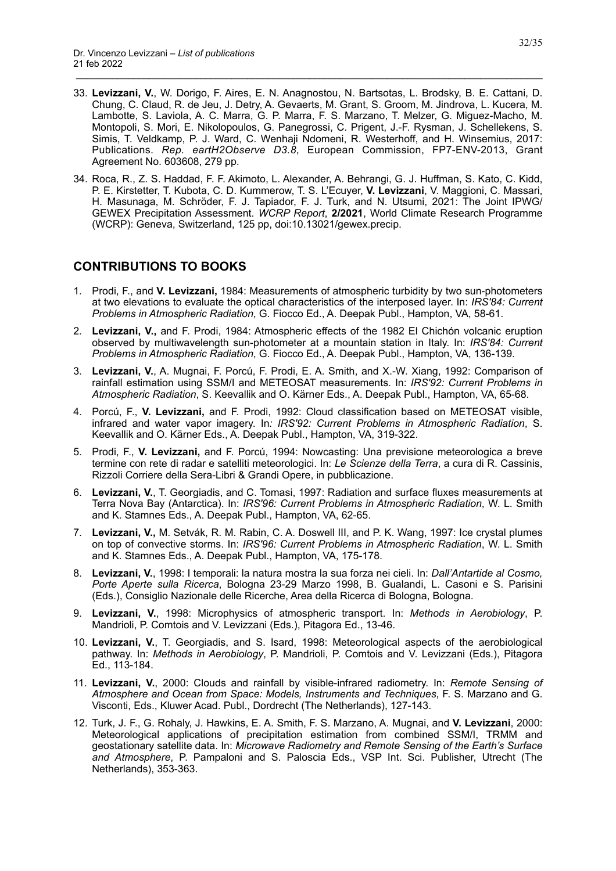33. **Levizzani, V.**, W. Dorigo, F. Aires, E. N. Anagnostou, N. Bartsotas, L. Brodsky, B. E. Cattani, D. Chung, C. Claud, R. de Jeu, J. Detry, A. Gevaerts, M. Grant, S. Groom, M. Jindrova, L. Kucera, M. Lambotte, S. Laviola, A. C. Marra, G. P. Marra, F. S. Marzano, T. Melzer, G. Miguez-Macho, M. Montopoli, S. Mori, E. Nikolopoulos, G. Panegrossi, C. Prigent, J.-F. Rysman, J. Schellekens, S. Simis, T. Veldkamp, P. J. Ward, C. Wenhaji Ndomeni, R. Westerhoff, and H. Winsemius, 2017: Publications. *Rep. eartH2Observe D3.8*, European Commission, FP7-ENV-2013, Grant Agreement No. 603608, 279 pp.

\_\_\_\_\_\_\_\_\_\_\_\_\_\_\_\_\_\_\_\_\_\_\_\_\_\_\_\_\_\_\_\_\_\_\_\_\_\_\_\_\_\_\_\_\_\_\_\_\_\_\_\_\_\_\_\_\_\_\_\_\_\_\_\_\_\_\_\_\_\_\_\_\_\_\_\_\_\_\_\_\_\_\_\_\_\_\_\_\_\_

34. Roca, R., Z. S. Haddad, F. F. Akimoto, L. Alexander, A. Behrangi, G. J. Huffman, S. Kato, C. Kidd, P. E. Kirstetter, T. Kubota, C. D. Kummerow, T. S. L'Ecuyer, **V. Levizzani**, V. Maggioni, C. Massari, H. Masunaga, M. Schröder, F. J. Tapiador, F. J. Turk, and N. Utsumi, 2021: The Joint IPWG/ GEWEX Precipitation Assessment. *WCRP Report*, **2/2021**, World Climate Research Programme (WCRP): Geneva, Switzerland, 125 pp, doi:10.13021/gewex.precip.

# <span id="page-31-0"></span>**CONTRIBUTIONS TO BOOKS**

- 1. Prodi, F., and **V. Levizzani,** 1984: Measurements of atmospheric turbidity by two sun-photometers at two elevations to evaluate the optical characteristics of the interposed layer. In: *IRS'84: Current Problems in Atmospheric Radiation*, G. Fiocco Ed., A. Deepak Publ., Hampton, VA, 58-61.
- 2. **Levizzani, V.,** and F. Prodi, 1984: Atmospheric effects of the 1982 El Chichón volcanic eruption observed by multiwavelength sun-photometer at a mountain station in Italy. In: *IRS'84: Current Problems in Atmospheric Radiation*, G. Fiocco Ed., A. Deepak Publ., Hampton, VA, 136-139.
- 3. **Levizzani, V.**, A. Mugnai, F. Porcú, F. Prodi, E. A. Smith, and X.-W. Xiang, 1992: Comparison of rainfall estimation using SSM/I and METEOSAT measurements. In: *IRS'92: Current Problems in Atmospheric Radiation*, S. Keevallik and O. Kärner Eds., A. Deepak Publ., Hampton, VA, 65-68.
- 4. Porcú, F., **V. Levizzani,** and F. Prodi, 1992: Cloud classification based on METEOSAT visible, infrared and water vapor imagery. In*: IRS'92: Current Problems in Atmospheric Radiation*, S. Keevallik and O. Kärner Eds., A. Deepak Publ., Hampton, VA, 319-322.
- 5. Prodi, F., **V. Levizzani,** and F. Porcú, 1994: Nowcasting: Una previsione meteorologica a breve termine con rete di radar e satelliti meteorologici. In: *Le Scienze della Terra*, a cura di R. Cassinis, Rizzoli Corriere della Sera-Libri & Grandi Opere, in pubblicazione.
- 6. **Levizzani, V.**, T. Georgiadis, and C. Tomasi, 1997: Radiation and surface fluxes measurements at Terra Nova Bay (Antarctica). In: *IRS'96: Current Problems in Atmospheric Radiation*, W. L. Smith and K. Stamnes Eds., A. Deepak Publ., Hampton, VA, 62-65.
- 7. **Levizzani, V.,** M. Setvák, R. M. Rabin, C. A. Doswell III, and P. K. Wang, 1997: Ice crystal plumes on top of convective storms. In: *IRS'96: Current Problems in Atmospheric Radiation*, W. L. Smith and K. Stamnes Eds., A. Deepak Publ., Hampton, VA, 175-178.
- 8. **Levizzani, V.**, 1998: I temporali: la natura mostra la sua forza nei cieli. In: *Dall'Antartide al Cosmo, Porte Aperte sulla Ricerca*, Bologna 23-29 Marzo 1998, B. Gualandi, L. Casoni e S. Parisini (Eds.), Consiglio Nazionale delle Ricerche, Area della Ricerca di Bologna, Bologna.
- 9. **Levizzani, V.**, 1998: Microphysics of atmospheric transport. In: *Methods in Aerobiology*, P. Mandrioli, P. Comtois and V. Levizzani (Eds.), Pitagora Ed., 13-46.
- 10. **Levizzani, V.**, T. Georgiadis, and S. Isard, 1998: Meteorological aspects of the aerobiological pathway. In: *Methods in Aerobiology*, P. Mandrioli, P. Comtois and V. Levizzani (Eds.), Pitagora Ed., 113-184.
- 11. **Levizzani, V.**, 2000: Clouds and rainfall by visible-infrared radiometry. In: *Remote Sensing of Atmosphere and Ocean from Space: Models, Instruments and Techniques*, F. S. Marzano and G. Visconti, Eds., Kluwer Acad. Publ., Dordrecht (The Netherlands), 127-143.
- 12. Turk, J. F., G. Rohaly, J. Hawkins, E. A. Smith, F. S. Marzano, A. Mugnai, and **V. Levizzani**, 2000: Meteorological applications of precipitation estimation from combined SSM/I, TRMM and geostationary satellite data. In: *Microwave Radiometry and Remote Sensing of the Earth's Surface and Atmosphere*, P. Pampaloni and S. Paloscia Eds., VSP Int. Sci. Publisher, Utrecht (The Netherlands), 353-363.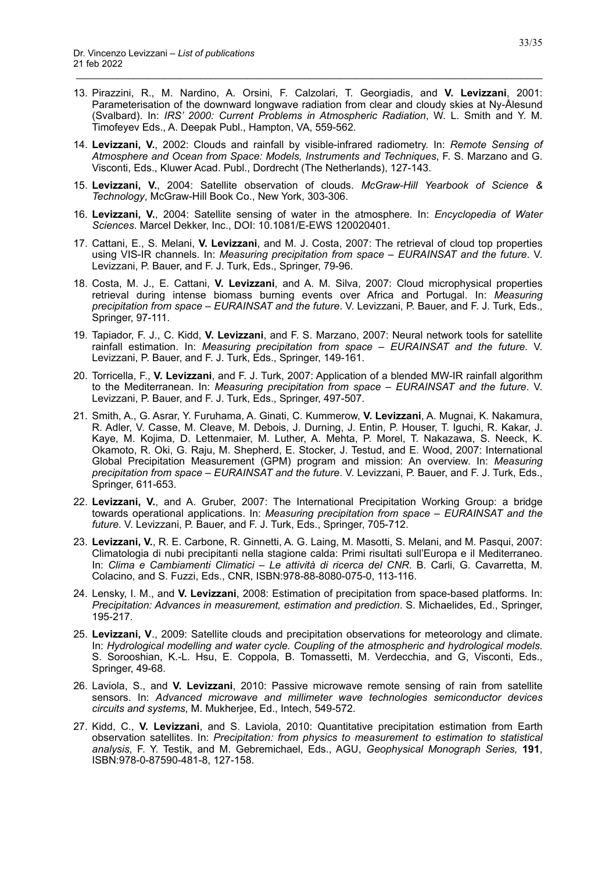13. Pirazzini, R., M. Nardino, A. Orsini, F. Calzolari, T. Georgiadis, and **V. Levizzani**, 2001: Parameterisation of the downward longwave radiation from clear and cloudy skies at Ny-Ålesund (Svalbard). In: *IRS' 2000: Current Problems in Atmospheric Radiation*, W. L. Smith and Y. M. Timofeyev Eds., A. Deepak Publ., Hampton, VA, 559-562.

- 14. **Levizzani, V.**, 2002: Clouds and rainfall by visible-infrared radiometry. In: *Remote Sensing of Atmosphere and Ocean from Space: Models, Instruments and Techniques*, F. S. Marzano and G. Visconti, Eds., Kluwer Acad. Publ., Dordrecht (The Netherlands), 127-143.
- 15. **Levizzani, V.**, 2004: Satellite observation of clouds. *McGraw-Hill Yearbook of Science & Technology*, McGraw-Hill Book Co., New York, 303-306.
- 16. **Levizzani, V.**, 2004: Satellite sensing of water in the atmosphere. In: *Encyclopedia of Water Sciences*. Marcel Dekker, Inc., DOI: 10.1081/E-EWS 120020401.
- 17. Cattani, E., S. Melani, **V. Levizzani**, and M. J. Costa, 2007: The retrieval of cloud top properties using VIS-IR channels. In: *Measuring precipitation from space – EURAINSAT and the future*. V. Levizzani, P. Bauer, and F. J. Turk, Eds., Springer, 79-96.
- 18. Costa, M. J., E. Cattani, **V. Levizzani**, and A. M. Silva, 2007: Cloud microphysical properties retrieval during intense biomass burning events over Africa and Portugal. In: *Measuring precipitation from space – EURAINSAT and the future*. V. Levizzani, P. Bauer, and F. J. Turk, Eds., Springer, 97-111.
- 19. Tapiador, F. J., C. Kidd, **V. Levizzani**, and F. S. Marzano, 2007: Neural network tools for satellite rainfall estimation. In: *Measuring precipitation from space – EURAINSAT and the future*. V. Levizzani, P. Bauer, and F. J. Turk, Eds., Springer, 149-161.
- 20. Torricella, F., **V. Levizzani**, and F. J. Turk, 2007: Application of a blended MW-IR rainfall algorithm to the Mediterranean. In: *Measuring precipitation from space – EURAINSAT and the future*. V. Levizzani, P. Bauer, and F. J. Turk, Eds., Springer, 497-507.
- 21. Smith, A., G. Asrar, Y. Furuhama, A. Ginati, C. Kummerow, **V. Levizzani**, A. Mugnai, K. Nakamura, R. Adler, V. Casse, M. Cleave, M. Debois, J. Durning, J. Entin, P. Houser, T. Iguchi, R. Kakar, J. Kaye, M. Kojima, D. Lettenmaier, M. Luther, A. Mehta, P. Morel, T. Nakazawa, S. Neeck, K. Okamoto, R. Oki, G. Raju, M. Shepherd, E. Stocker, J. Testud, and E. Wood, 2007: International Global Precipitation Measurement (GPM) program and mission: An overview. In: *Measuring precipitation from space – EURAINSAT and the future*. V. Levizzani, P. Bauer, and F. J. Turk, Eds., Springer, 611-653.
- 22. **Levizzani, V.**, and A. Gruber, 2007: The International Precipitation Working Group: a bridge towards operational applications. In: *Measuring precipitation from space – EURAINSAT and the future*. V. Levizzani, P. Bauer, and F. J. Turk, Eds., Springer, 705-712.
- 23. **Levizzani, V.**, R. E. Carbone, R. Ginnetti, A. G. Laing, M. Masotti, S. Melani, and M. Pasqui, 2007: Climatologia di nubi precipitanti nella stagione calda: Primi risultati sull'Europa e il Mediterraneo. In: *Clima e Cambiamenti Climatici – Le attività di ricerca del CNR*. B. Carli, G. Cavarretta, M. Colacino, and S. Fuzzi, Eds., CNR, ISBN:978-88-8080-075-0, 113-116.
- 24. Lensky, I. M., and **V. Levizzani**, 2008: Estimation of precipitation from space-based platforms. In: *Precipitation: Advances in measurement, estimation and prediction*. S. Michaelides, Ed., Springer, 195-217.
- 25. **Levizzani, V**., 2009: Satellite clouds and precipitation observations for meteorology and climate. In: *Hydrological modelling and water cycle. Coupling of the atmospheric and hydrological models*. S. Sorooshian, K.-L. Hsu, E. Coppola, B. Tomassetti, M. Verdecchia, and G, Visconti, Eds., Springer, 49-68.
- 26. Laviola, S., and **V. Levizzani**, 2010: Passive microwave remote sensing of rain from satellite sensors. In: *Advanced microwave and millimeter wave technologies semiconductor devices circuits and systems*, M. Mukherjee, Ed., Intech, 549-572.
- 27. Kidd, C., **V. Levizzani**, and S. Laviola, 2010: Quantitative precipitation estimation from Earth observation satellites. In: *Precipitation: from physics to measurement to estimation to statistical analysis*, F. Y. Testik, and M. Gebremichael, Eds., AGU, *Geophysical Monograph Series,* **191**, ISBN:978-0-87590-481-8, 127-158.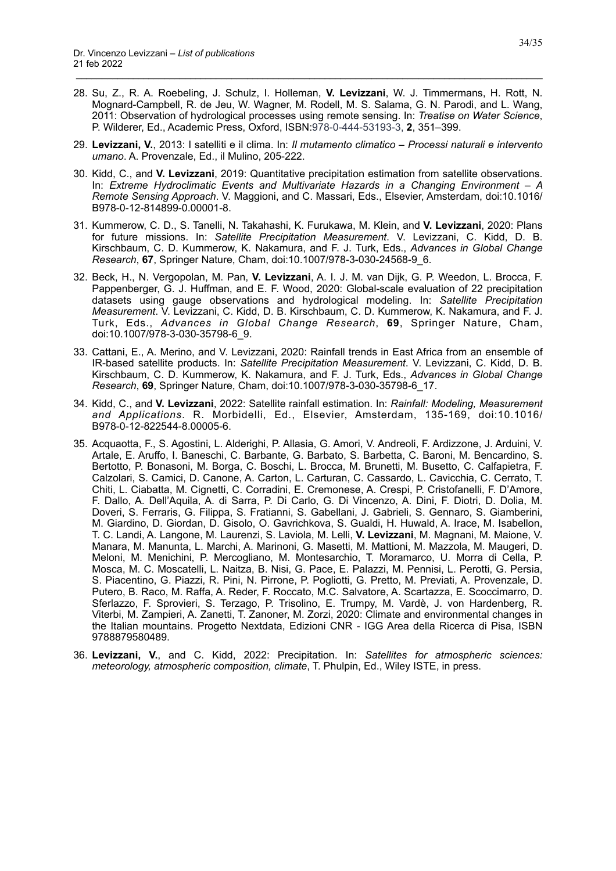28. Su, Z., R. A. Roebeling, J. Schulz, I. Holleman, **V. Levizzani**, W. J. Timmermans, H. Rott, N. Mognard-Campbell, R. de Jeu, W. Wagner, M. Rodell, M. S. Salama, G. N. Parodi, and L. Wang, 2011: Observation of hydrological processes using remote sensing. In: *Treatise on Water Science*, P. Wilderer, Ed., Academic Press, Oxford, ISBN:978-0-444-53193-3, **2**, 351–399.

- 29. **Levizzani, V.**, 2013: I satelliti e il clima. In: *Il mutamento climatico Processi naturali e intervento umano*. A. Provenzale, Ed., il Mulino, 205-222.
- 30. Kidd, C., and **V. Levizzani**, 2019: Quantitative precipitation estimation from satellite observations. In: *Extreme Hydroclimatic Events and Multivariate Hazards in a Changing Environment – A Remote Sensing Approach*. V. Maggioni, and C. Massari, Eds., Elsevier, Amsterdam, doi:10.1016/ B978-0-12-814899-0.00001-8.
- 31. Kummerow, C. D., S. Tanelli, N. Takahashi, K. Furukawa, M. Klein, and **V. Levizzani**, 2020: Plans for future missions. In: *Satellite Precipitation Measurement*. V. Levizzani, C. Kidd, D. B. Kirschbaum, C. D. Kummerow, K. Nakamura, and F. J. Turk, Eds., *Advances in Global Change Research*, **67**, Springer Nature, Cham, doi:10.1007/978-3-030-24568-9\_6.
- 32. Beck, H., N. Vergopolan, M. Pan, **V. Levizzani**, A. I. J. M. van Dijk, G. P. Weedon, L. Brocca, F. Pappenberger, G. J. Huffman, and E. F. Wood, 2020: Global-scale evaluation of 22 precipitation datasets using gauge observations and hydrological modeling. In: *Satellite Precipitation Measurement*. V. Levizzani, C. Kidd, D. B. Kirschbaum, C. D. Kummerow, K. Nakamura, and F. J. Turk, Eds., *Advances in Global Change Research*, **69**, Springer Nature, Cham, doi:10.1007/978-3-030-35798-6\_9.
- 33. Cattani, E., A. Merino, and V. Levizzani, 2020: Rainfall trends in East Africa from an ensemble of IR-based satellite products. In: *Satellite Precipitation Measurement*. V. Levizzani, C. Kidd, D. B. Kirschbaum, C. D. Kummerow, K. Nakamura, and F. J. Turk, Eds., *Advances in Global Change Research*, **69**, Springer Nature, Cham, doi:10.1007/978-3-030-35798-6\_17.
- 34. Kidd, C., and **V. Levizzani**, 2022: Satellite rainfall estimation. In: *Rainfall: Modeling, Measurement and Applications*. R. Morbidelli, Ed., Elsevier, Amsterdam, 135-169, doi:10.1016/ B978-0-12-822544-8.00005-6.
- 35. Acquaotta, F., S. Agostini, L. Alderighi, P. Allasia, G. Amori, V. Andreoli, F. Ardizzone, J. Arduini, V. Artale, E. Aruffo, I. Baneschi, C. Barbante, G. Barbato, S. Barbetta, C. Baroni, M. Bencardino, S. Bertotto, P. Bonasoni, M. Borga, C. Boschi, L. Brocca, M. Brunetti, M. Busetto, C. Calfapietra, F. Calzolari, S. Camici, D. Canone, A. Carton, L. Carturan, C. Cassardo, L. Cavicchia, C. Cerrato, T. Chiti, L. Ciabatta, M. Cignetti, C. Corradini, E. Cremonese, A. Crespi, P. Cristofanelli, F. D'Amore, F. Dallo, A. Dell'Aquila, A. di Sarra, P. Di Carlo, G. Di Vincenzo, A. Dini, F. Diotri, D. Dolia, M. Doveri, S. Ferraris, G. Filippa, S. Fratianni, S. Gabellani, J. Gabrieli, S. Gennaro, S. Giamberini, M. Giardino, D. Giordan, D. Gisolo, O. Gavrichkova, S. Gualdi, H. Huwald, A. Irace, M. Isabellon, T. C. Landi, A. Langone, M. Laurenzi, S. Laviola, M. Lelli, **V. Levizzani**, M. Magnani, M. Maione, V. Manara, M. Manunta, L. Marchi, A. Marinoni, G. Masetti, M. Mattioni, M. Mazzola, M. Maugeri, D. Meloni, M. Menichini, P. Mercogliano, M. Montesarchio, T. Moramarco, U. Morra di Cella, P. Mosca, M. C. Moscatelli, L. Naitza, B. Nisi, G. Pace, E. Palazzi, M. Pennisi, L. Perotti, G. Persia, S. Piacentino, G. Piazzi, R. Pini, N. Pirrone, P. Pogliotti, G. Pretto, M. Previati, A. Provenzale, D. Putero, B. Raco, M. Raffa, A. Reder, F. Roccato, M.C. Salvatore, A. Scartazza, E. Scoccimarro, D. Sferlazzo, F. Sprovieri, S. Terzago, P. Trisolino, E. Trumpy, M. Vardè, J. von Hardenberg, R. Viterbi, M. Zampieri, A. Zanetti, T. Zanoner, M. Zorzi, 2020: Climate and environmental changes in the Italian mountains. Progetto Nextdata, Edizioni CNR - IGG Area della Ricerca di Pisa, ISBN 9788879580489.
- 36. **Levizzani, V.**, and C. Kidd, 2022: Precipitation. In: *Satellites for atmospheric sciences: meteorology, atmospheric composition, climate*, T. Phulpin, Ed., Wiley ISTE, in press.